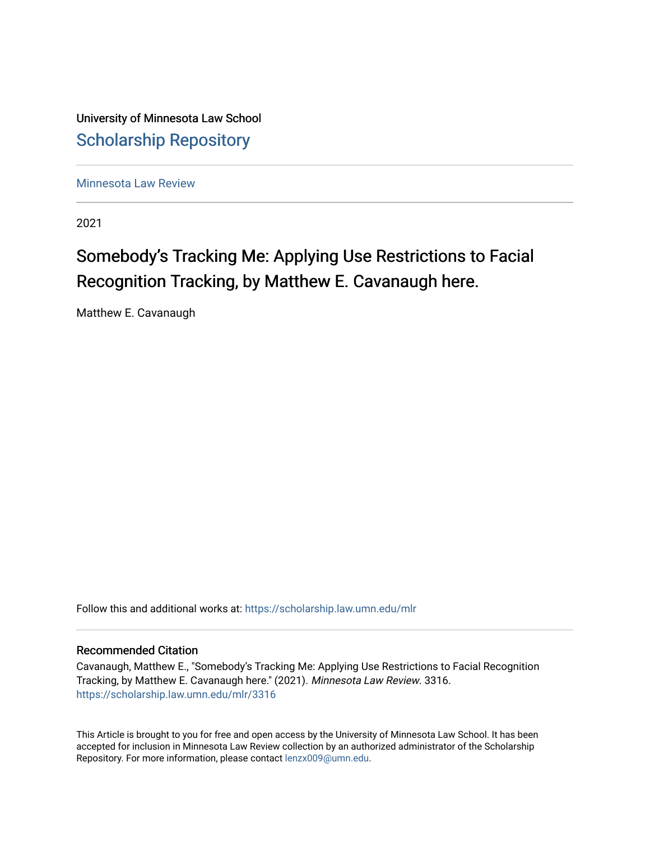University of Minnesota Law School [Scholarship Repository](https://scholarship.law.umn.edu/) 

[Minnesota Law Review](https://scholarship.law.umn.edu/mlr) 

2021

# Somebody's Tracking Me: Applying Use Restrictions to Facial Recognition Tracking, by Matthew E. Cavanaugh here.

Matthew E. Cavanaugh

Follow this and additional works at: [https://scholarship.law.umn.edu/mlr](https://scholarship.law.umn.edu/mlr?utm_source=scholarship.law.umn.edu%2Fmlr%2F3316&utm_medium=PDF&utm_campaign=PDFCoverPages)

# Recommended Citation

Cavanaugh, Matthew E., "Somebody's Tracking Me: Applying Use Restrictions to Facial Recognition Tracking, by Matthew E. Cavanaugh here." (2021). Minnesota Law Review. 3316. [https://scholarship.law.umn.edu/mlr/3316](https://scholarship.law.umn.edu/mlr/3316?utm_source=scholarship.law.umn.edu%2Fmlr%2F3316&utm_medium=PDF&utm_campaign=PDFCoverPages)

This Article is brought to you for free and open access by the University of Minnesota Law School. It has been accepted for inclusion in Minnesota Law Review collection by an authorized administrator of the Scholarship Repository. For more information, please contact [lenzx009@umn.edu.](mailto:lenzx009@umn.edu)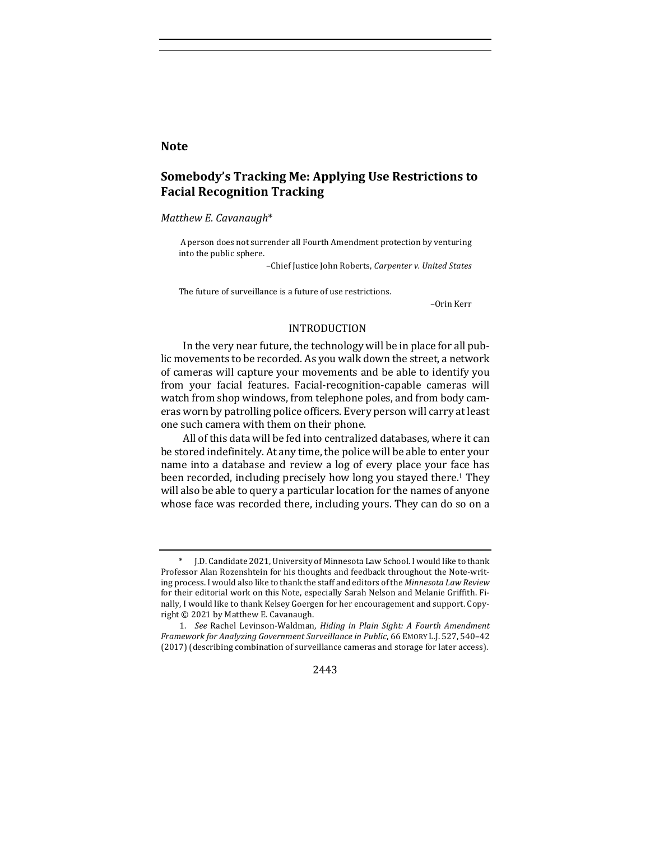# **Note**

# **Somebody's Tracking Me: Applying Use Restrictions to Facial Recognition Tracking**

*Matthew E. Cavanaugh*\*

A person does not surrender all Fourth Amendment protection by venturing into the public sphere.

–Chief Justice John Roberts, *Carpenter v. United States*

The future of surveillance is a future of use restrictions.

–Orin Kerr

## INTRODUCTION

In the very near future, the technology will be in place for all public movements to be recorded. As you walk down the street, a network of cameras will capture your movements and be able to identify you from your facial features. Facial-recognition-capable cameras will watch from shop windows, from telephone poles, and from body cameras worn by patrolling police officers. Every person will carry at least one such camera with them on their phone.

All of this data will be fed into centralized databases, where it can be stored indefinitely. At any time, the police will be able to enter your name into a database and review a log of every place your face has been recorded, including precisely how long you stayed there.<sup>1</sup> They will also be able to query a particular location for the names of anyone whose face was recorded there, including yours. They can do so on a

<sup>1.</sup> See Rachel Levinson-Waldman, *Hiding in Plain Sight: A Fourth Amendment Framework for Analyzing Government Surveillance in Public, 66* EMORY L.J. 527, 540-42 (2017) (describing combination of surveillance cameras and storage for later access).



J.D. Candidate 2021, University of Minnesota Law School. I would like to thank Professor Alan Rozenshtein for his thoughts and feedback throughout the Note-writing process. I would also like to thank the staff and editors of the *Minnesota Law Review* for their editorial work on this Note, especially Sarah Nelson and Melanie Griffith. Finally, I would like to thank Kelsey Goergen for her encouragement and support. Copyright  $©$  2021 by Matthew E. Cavanaugh.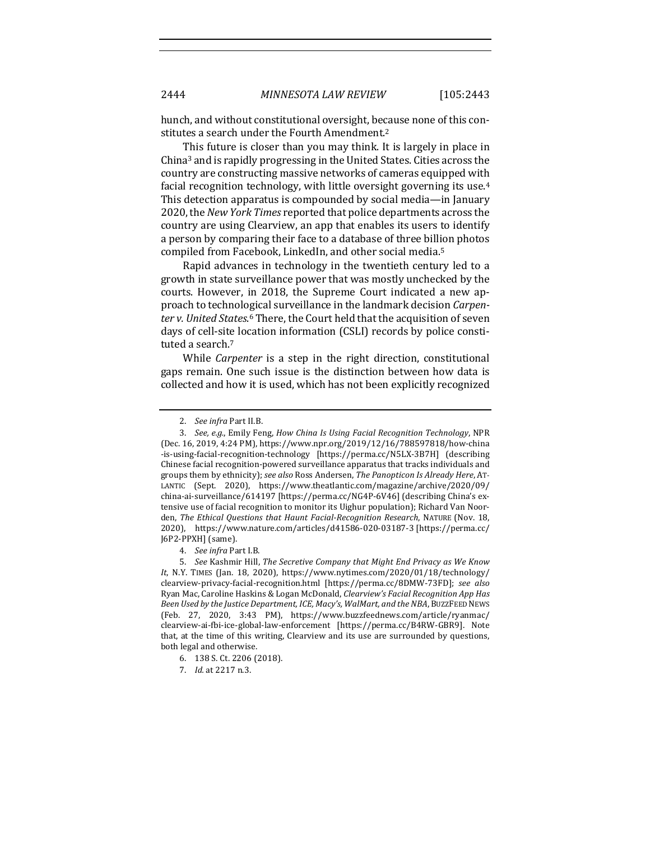hunch, and without constitutional oversight, because none of this constitutes a search under the Fourth Amendment.<sup>2</sup>

This future is closer than you may think. It is largely in place in China<sup>3</sup> and is rapidly progressing in the United States. Cities across the country are constructing massive networks of cameras equipped with facial recognition technology, with little oversight governing its use.<sup>4</sup> This detection apparatus is compounded by social media—in January 2020, the *New York Times* reported that police departments across the country are using Clearview, an app that enables its users to identify a person by comparing their face to a database of three billion photos compiled from Facebook, LinkedIn, and other social media.<sup>5</sup>

Rapid advances in technology in the twentieth century led to a growth in state surveillance power that was mostly unchecked by the courts. However, in 2018, the Supreme Court indicated a new approach to technological surveillance in the landmark decision *Carpen*ter *v. United States*.<sup>6</sup> There, the Court held that the acquisition of seven days of cell-site location information (CSLI) records by police constituted a search.<sup>7</sup>

While *Carpenter* is a step in the right direction, constitutional gaps remain. One such issue is the distinction between how data is collected and how it is used, which has not been explicitly recognized

<sup>2.</sup> *See infra* Part II.B.

<sup>3.</sup> *See, e.g.*, Emily Feng, *How China Is Using Facial Recognition Technology*, NPR (Dec. 16, 2019, 4:24 PM), https://www.npr.org/2019/12/16/788597818/how-china -is-using-facial-recognition-technology [https://perma.cc/N5LX-3B7H] (describing Chinese facial recognition-powered surveillance apparatus that tracks individuals and groups them by ethnicity); see also Ross Andersen, *The Panopticon Is Already Here*, AT-LANTIC (Sept. 2020), https://www.theatlantic.com/magazine/archive/2020/09/ china-ai-surveillance/614197 [https://perma.cc/NG4P-6V46] (describing China's extensive use of facial recognition to monitor its Uighur population); Richard Van Noorden, The Ethical Questions that Haunt Facial-Recognition Research, NATURE (Nov. 18, 2020), https://www.nature.com/articles/d41586-020-03187-3 [https://perma.cc/ J6P2-PPXH] (same).

<sup>4.</sup> *See infra* Part I.B.

<sup>5.</sup> *See* Kashmir Hill, *The Secretive Company that Might End Privacy as We Know* It, N.Y. TIMES (Jan. 18, 2020), https://www.nytimes.com/2020/01/18/technology/ clearview-privacy-facial-recognition.html [https://perma.cc/8DMW-73FD]; *see also*  Ryan Mac, Caroline Haskins & Logan McDonald, *Clearview's Facial Recognition App Has Been Used by the Justice Department, ICE, Macy's, WalMart, and the NBA*, BUZZFEED NEWS (Feb. 27, 2020, 3:43 PM), https://www.buzzfeednews.com/article/ryanmac/ clearview-ai-fbi-ice-global-law-enforcement [https://perma.cc/B4RW-GBR9]. Note that, at the time of this writing, Clearview and its use are surrounded by questions, both legal and otherwise.

<sup>6.</sup> 138 S. Ct. 2206 (2018).

<sup>7.</sup> *Id.* at 2217 n.3.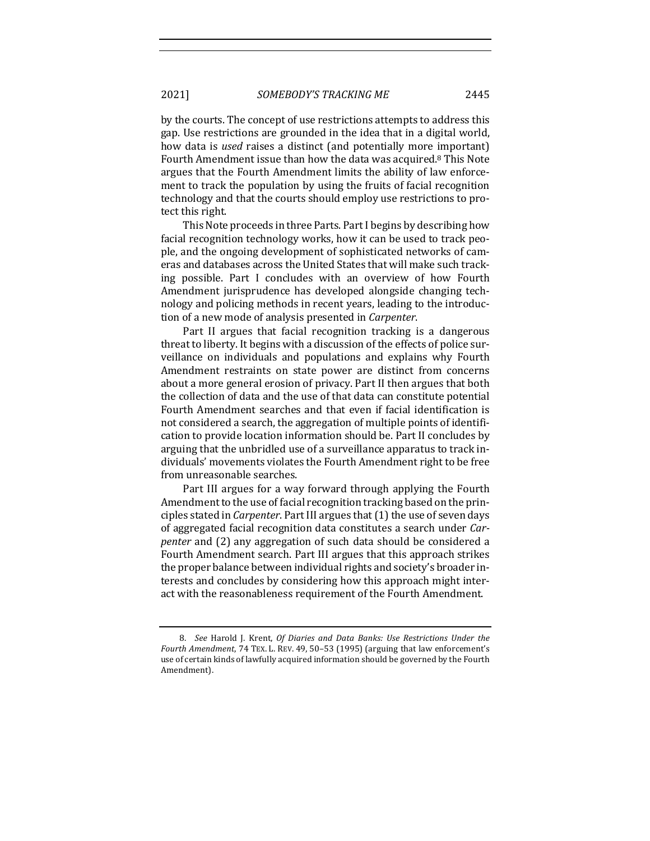2021] *SOMEBODY'S TRACKING ME* 2445

by the courts. The concept of use restrictions attempts to address this gap. Use restrictions are grounded in the idea that in a digital world, how data is *used* raises a distinct (and potentially more important) Fourth Amendment issue than how the data was acquired.<sup>8</sup> This Note argues that the Fourth Amendment limits the ability of law enforcement to track the population by using the fruits of facial recognition technology and that the courts should employ use restrictions to protect this right.

This Note proceeds in three Parts. Part I begins by describing how facial recognition technology works, how it can be used to track people, and the ongoing development of sophisticated networks of cameras and databases across the United States that will make such tracking possible. Part I concludes with an overview of how Fourth Amendment jurisprudence has developed alongside changing technology and policing methods in recent years, leading to the introduction of a new mode of analysis presented in *Carpenter*.

Part II argues that facial recognition tracking is a dangerous threat to liberty. It begins with a discussion of the effects of police surveillance on individuals and populations and explains why Fourth Amendment restraints on state power are distinct from concerns about a more general erosion of privacy. Part II then argues that both the collection of data and the use of that data can constitute potential Fourth Amendment searches and that even if facial identification is not considered a search, the aggregation of multiple points of identification to provide location information should be. Part II concludes by arguing that the unbridled use of a surveillance apparatus to track individuals' movements violates the Fourth Amendment right to be free from unreasonable searches.

Part III argues for a way forward through applying the Fourth Amendment to the use of facial recognition tracking based on the principles stated in *Carpenter*. Part III argues that (1) the use of seven days of aggregated facial recognition data constitutes a search under *Carpenter* and (2) any aggregation of such data should be considered a Fourth Amendment search. Part III argues that this approach strikes the proper balance between individual rights and society's broader interests and concludes by considering how this approach might interact with the reasonableness requirement of the Fourth Amendment.

<sup>8.</sup> *See* Harold J. Krent, *Of Diaries and Data Banks: Use Restrictions Under the* Fourth Amendment, 74 TEX. L. REV. 49, 50-53 (1995) (arguing that law enforcement's use of certain kinds of lawfully acquired information should be governed by the Fourth Amendment).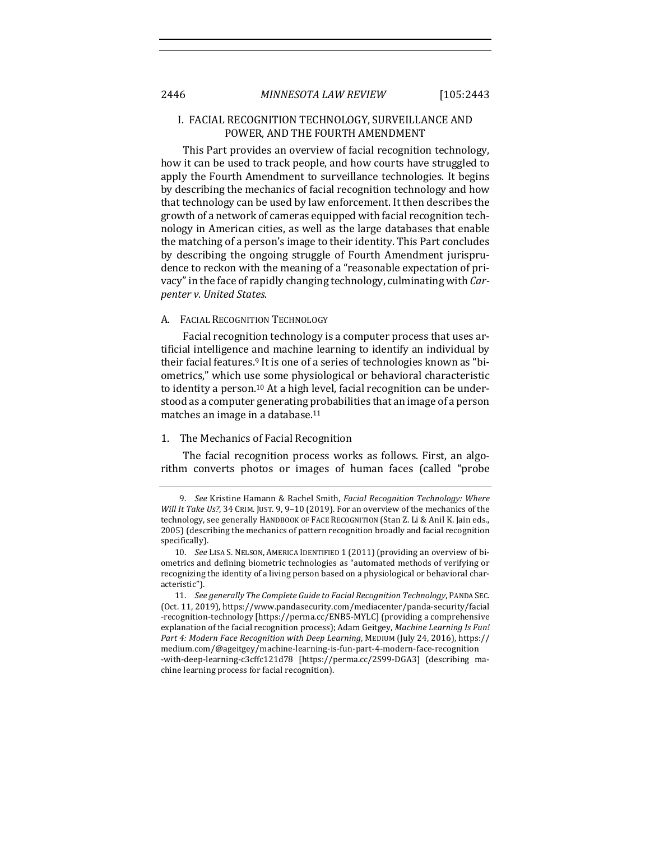## I. FACIAL RECOGNITION TECHNOLOGY, SURVEILLANCE AND POWER, AND THE FOURTH AMENDMENT

This Part provides an overview of facial recognition technology, how it can be used to track people, and how courts have struggled to apply the Fourth Amendment to surveillance technologies. It begins by describing the mechanics of facial recognition technology and how that technology can be used by law enforcement. It then describes the growth of a network of cameras equipped with facial recognition technology in American cities, as well as the large databases that enable the matching of a person's image to their identity. This Part concludes by describing the ongoing struggle of Fourth Amendment jurisprudence to reckon with the meaning of a "reasonable expectation of privacy" in the face of rapidly changing technology, culminating with *Carpenter v. United States*.

#### A. FACIAL RECOGNITION TECHNOLOGY

Facial recognition technology is a computer process that uses artificial intelligence and machine learning to identify an individual by their facial features.<sup>9</sup> It is one of a series of technologies known as "biometrics," which use some physiological or behavioral characteristic to identity a person.<sup>10</sup> At a high level, facial recognition can be understood as a computer generating probabilities that an image of a person matches an image in a database.<sup>11</sup>

## 1. The Mechanics of Facial Recognition

The facial recognition process works as follows. First, an algorithm converts photos or images of human faces (called "probe

<sup>9.</sup> *See* Kristine Hamann & Rachel Smith, *Facial Recognition Technology: Where Will It Take Us?*, 34 CRIM. JUST. 9, 9-10 (2019). For an overview of the mechanics of the technology, see generally HANDBOOK OF FACE RECOGNITION (Stan Z. Li & Anil K. Jain eds., 2005) (describing the mechanics of pattern recognition broadly and facial recognition specifically).

<sup>10.</sup> *See LISA S. NELSON, AMERICA IDENTIFIED* 1 (2011) (providing an overview of biometrics and defining biometric technologies as "automated methods of verifying or recognizing the identity of a living person based on a physiological or behavioral characteristic").

<sup>11.</sup> See generally The Complete Guide to Facial Recognition Technology, PANDA SEC. (Oct. 11, 2019), https://www.pandasecurity.com/mediacenter/panda-security/facial -recognition-technology [https://perma.cc/ENB5-MYLC] (providing a comprehensive explanation of the facial recognition process); Adam Geitgey, *Machine Learning Is Fun! Part 4: Modern Face Recognition with Deep Learning, MEDIUM* (July 24, 2016), https:// medium.com/@ageitgey/machine-learning-is-fun-part-4-modern-face-recognition -with-deep-learning-c3cffc121d78 [https://perma.cc/2S99-DGA3] (describing machine learning process for facial recognition).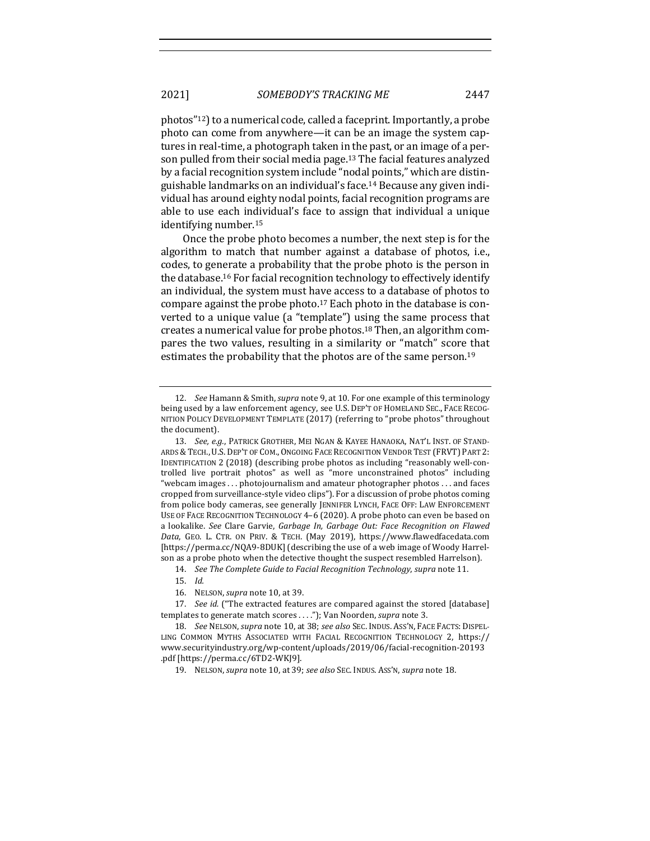photos"<sup>12</sup>) to a numerical code, called a faceprint. Importantly, a probe photo can come from anywhere—it can be an image the system captures in real-time, a photograph taken in the past, or an image of a person pulled from their social media page.<sup>13</sup> The facial features analyzed by a facial recognition system include "nodal points," which are distinguishable landmarks on an individual's face.<sup>14</sup> Because any given individual has around eighty nodal points, facial recognition programs are able to use each individual's face to assign that individual a unique identifying number.<sup>15</sup>

Once the probe photo becomes a number, the next step is for the algorithm to match that number against a database of photos, i.e., codes, to generate a probability that the probe photo is the person in the database.<sup>16</sup> For facial recognition technology to effectively identify an individual, the system must have access to a database of photos to compare against the probe photo.<sup>17</sup> Each photo in the database is converted to a unique value (a "template") using the same process that creates a numerical value for probe photos.<sup>18</sup> Then, an algorithm compares the two values, resulting in a similarity or "match" score that estimates the probability that the photos are of the same person.<sup>19</sup>

16. NELSON, *supra* note 10, at 39.

19. NELSON, *supra* note 10, at 39; *see also* SEC. INDUS. ASS'N, *supra* note 18.

<sup>12.</sup> *See* Hamann & Smith, *supra* note 9, at 10. For one example of this terminology being used by a law enforcement agency, see U.S. DEP'T OF HOMELAND SEC., FACE RECOG-NITION POLICY DEVELOPMENT TEMPLATE (2017) (referring to "probe photos" throughout the document).

<sup>13.</sup> See, e.g., PATRICK GROTHER, MEI NGAN & KAYEE HANAOKA, NAT'L INST. OF STAND-ARDS & TECH., U.S. DEP'T OF COM., ONGOING FACE RECOGNITION VENDOR TEST (FRVT) PART 2: IDENTIFICATION 2 (2018) (describing probe photos as including "reasonably well-controlled live portrait photos" as well as "more unconstrained photos" including "webcam images . . . photojournalism and amateur photographer photos . . . and faces cropped from surveillance-style video clips"). For a discussion of probe photos coming from police body cameras, see generally JENNIFER LYNCH, FACE OFF: LAW ENFORCEMENT USE OF FACE RECOGNITION TECHNOLOGY 4-6 (2020). A probe photo can even be based on a lookalike. See Clare Garvie, Garbage In, Garbage Out: Face Recognition on Flawed *Data*, GEO. L. CTR. ON PRIV. & TECH. (May 2019), https://www.flawedfacedata.com [https://perma.cc/NQA9-8DUK] (describing the use of a web image of Woody Harrelson as a probe photo when the detective thought the suspect resembled Harrelson).

<sup>14.</sup> *See The Complete Guide to Facial Recognition Technology, supra* note 11.

<sup>15.</sup> *Id.*

<sup>17.</sup> *See id.* ("The extracted features are compared against the stored [database] templates to generate match scores . . . ."); Van Noorden, *supra* note 3.

<sup>18.</sup> *See NELSON, supra note* 10, at 38; *see also SEC. INDUS. ASS'N, FACE FACTS: DISPEL-*LING COMMON MYTHS ASSOCIATED WITH FACIAL RECOGNITION TECHNOLOGY 2, https:// www.securityindustry.org/wp-content/uploads/2019/06/facial-recognition-20193 .pdf [https://perma.cc/6TD2-WKJ9].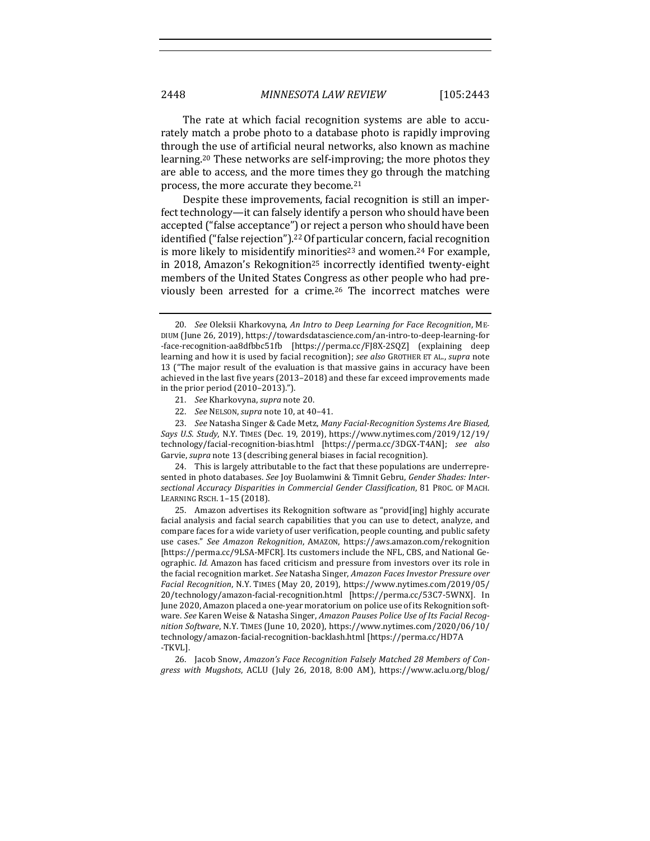The rate at which facial recognition systems are able to accurately match a probe photo to a database photo is rapidly improving through the use of artificial neural networks, also known as machine learning.<sup>20</sup> These networks are self-improving; the more photos they are able to access, and the more times they go through the matching process, the more accurate they become.<sup>21</sup>

Despite these improvements, facial recognition is still an imperfect technology—it can falsely identify a person who should have been accepted ("false acceptance") or reject a person who should have been identified ("false rejection").<sup>22</sup> Of particular concern, facial recognition is more likely to misidentify minorities<sup>23</sup> and women.<sup>24</sup> For example, in 2018, Amazon's Rekognition<sup>25</sup> incorrectly identified twenty-eight members of the United States Congress as other people who had previously been arrested for a crime.<sup>26</sup> The incorrect matches were

- 21. *See* Kharkovyna, *supra* note 20.
- 22. *See* NELSON,*supra* note 10, at 40–41.

23. *See* Natasha Singer & Cade Metz, *Many Facial-Recognition Systems Are Biased*, *Says U.S. Study*, N.Y. TIMES (Dec. 19, 2019), https://www.nytimes.com/2019/12/19/ technology/facial-recognition-bias.html [https://perma.cc/3DGX-T4AN]; *see also*  Garvie, supra note 13 (describing general biases in facial recognition).

24. This is largely attributable to the fact that these populations are underrepresented in photo databases. See Joy Buolamwini & Timnit Gebru, Gender Shades: Inter*sectional Accuracy Disparities in Commercial Gender Classification*, 81 PROC. OF MACH. LEARNING RSCH. 1-15 (2018).

25. Amazon advertises its Rekognition software as "provid[ing] highly accurate facial analysis and facial search capabilities that you can use to detect, analyze, and compare faces for a wide variety of user verification, people counting, and public safety use cases." See Amazon Rekognition, AMAZON, https://aws.amazon.com/rekognition [https://perma.cc/9LSA-MFCR]. Its customers include the NFL, CBS, and National Geographic. *Id.* Amazon has faced criticism and pressure from investors over its role in the facial recognition market. See Natasha Singer, *Amazon Faces Investor Pressure over Facial Recognition*, N.Y. TIMES (May 20, 2019), https://www.nytimes.com/2019/05/ 20/technology/amazon-facial-recognition.html [https://perma.cc/53C7-5WNX]. In June 2020, Amazon placed a one-year moratorium on police use of its Rekognition software. See Karen Weise & Natasha Singer, *Amazon Pauses Police Use of Its Facial Recognition Software*, N.Y. TIMES (June 10, 2020), https://www.nytimes.com/2020/06/10/ technology/amazon-facial-recognition-backlash.html [https://perma.cc/HD7A -TKVL].

26. Jacob Snow, *Amazon's Face Recognition Falsely Matched 28 Members of Congress with Mugshots*, ACLU (July 26, 2018, 8:00 AM), https://www.aclu.org/blog/

<sup>20.</sup> *See* Oleksii Kharkovyna, An Intro to Deep Learning for Face Recognition, ME-DIUM (June 26, 2019), https://towardsdatascience.com/an-intro-to-deep-learning-for -face-recognition-aa8dfbbc51fb [https://perma.cc/FJ8X-2SQZ] (explaining deep learning and how it is used by facial recognition); see also GROTHER ET AL., supra note 13 ("The major result of the evaluation is that massive gains in accuracy have been achieved in the last five years (2013-2018) and these far exceed improvements made in the prior period  $(2010-2013)$ .").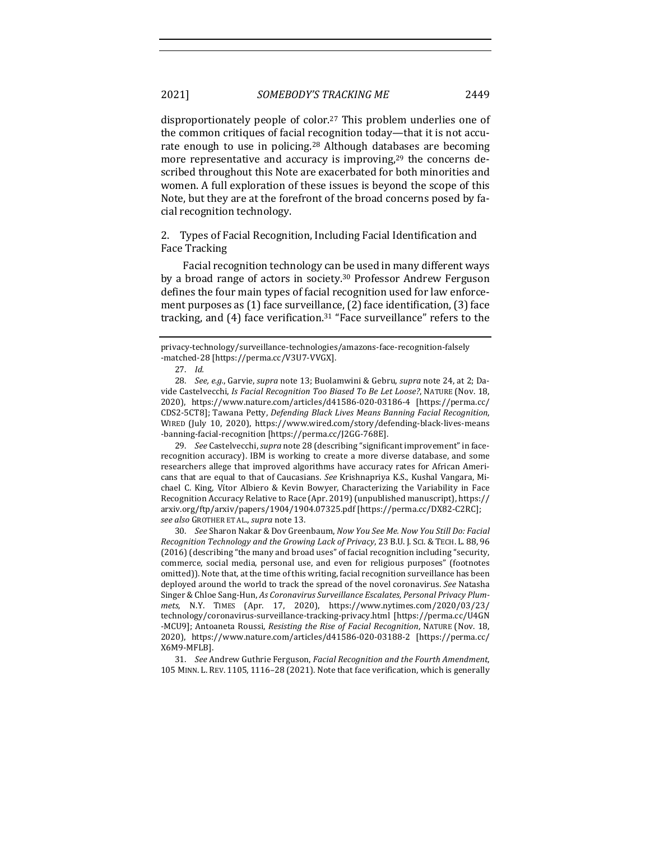disproportionately people of color.<sup>27</sup> This problem underlies one of the common critiques of facial recognition today—that it is not accurate enough to use in policing.<sup>28</sup> Although databases are becoming more representative and accuracy is improving, $29$  the concerns described throughout this Note are exacerbated for both minorities and women. A full exploration of these issues is beyond the scope of this Note, but they are at the forefront of the broad concerns posed by facial recognition technology.

2. Types of Facial Recognition, Including Facial Identification and Face Tracking

Facial recognition technology can be used in many different ways by a broad range of actors in society.<sup>30</sup> Professor Andrew Ferguson defines the four main types of facial recognition used for law enforcement purposes as  $(1)$  face surveillance,  $(2)$  face identification,  $(3)$  face tracking, and  $(4)$  face verification.<sup>31</sup> "Face surveillance" refers to the

29. *See* Castelvecchi, *supra* note 28 (describing "significant improvement" in facerecognition accuracy). IBM is working to create a more diverse database, and some researchers allege that improved algorithms have accuracy rates for African Americans that are equal to that of Caucasians. See Krishnapriya K.S., Kushal Vangara, Michael C. King, Vítor Albiero & Kevin Bowyer, Characterizing the Variability in Face Recognition Accuracy Relative to Race (Apr. 2019) (unpublished manuscript), https:// arxiv.org/ftp/arxiv/papers/1904/1904.07325.pdf [https://perma.cc/DX82-C2RC]; *see also* GROTHER ET AL., *supra* note 13.

30. *See* Sharon Nakar & Dov Greenbaum, *Now You See Me. Now You Still Do: Facial Recognition Technology and the Growing Lack of Privacy*, 23 B.U. J. SCI. & TECH. L. 88, 96  $(2016)$  (describing "the many and broad uses" of facial recognition including "security, commerce, social media, personal use, and even for religious purposes" (footnotes omitted)). Note that, at the time of this writing, facial recognition surveillance has been deployed around the world to track the spread of the novel coronavirus. See Natasha Singer & Chloe Sang-Hun, As Coronavirus Surveillance Escalates, Personal Privacy Plum*mets*, N.Y. TIMES (Apr. 17, 2020), https://www.nytimes.com/2020/03/23/ technology/coronavirus-surveillance-tracking-privacy.html [https://perma.cc/U4GN -MCU9]; Antoaneta Roussi, *Resisting the Rise of Facial Recognition*, NATURE (Nov. 18, 2020), https://www.nature.com/articles/d41586-020-03188-2 [https://perma.cc/ X6M9-MFLB].

31. *See* Andrew Guthrie Ferguson, *Facial Recognition and the Fourth Amendment*, 105 MINN. L. REV. 1105, 1116-28 (2021). Note that face verification, which is generally

privacy-technology/surveillance-technologies/amazons-face-recognition-falsely -matched-28 [https://perma.cc/V3U7-VVGX].

<sup>27.</sup> *Id.*

<sup>28.</sup> *See, e.g.*, Garvie, *supra* note 13; Buolamwini & Gebru, *supra* note 24, at 2; Davide Castelvecchi, *Is Facial Recognition Too Biased To Be Let Loose?*, NATURE (Nov. 18, 2020), https://www.nature.com/articles/d41586-020-03186-4 [https://perma.cc/ CDS2-5CT8]; Tawana Petty, *Defending Black Lives Means Banning Facial Recognition*, WIRED (July 10, 2020), https://www.wired.com/story/defending-black-lives-means -banning-facial-recognition [https://perma.cc/J2GG-768E].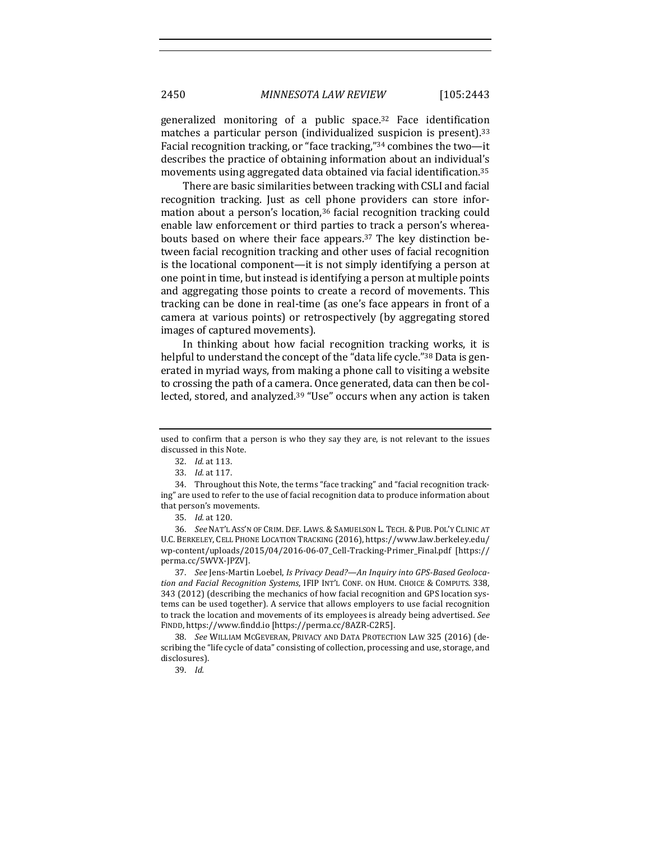generalized monitoring of a public space.<sup>32</sup> Face identification matches a particular person (individualized suspicion is present).<sup>33</sup> Facial recognition tracking, or "face tracking," $34$  combines the two-it describes the practice of obtaining information about an individual's movements using aggregated data obtained via facial identification.<sup>35</sup>

There are basic similarities between tracking with CSLI and facial recognition tracking. Just as cell phone providers can store information about a person's location,<sup>36</sup> facial recognition tracking could enable law enforcement or third parties to track a person's whereabouts based on where their face appears.<sup>37</sup> The key distinction between facial recognition tracking and other uses of facial recognition is the locational component—it is not simply identifying a person at one point in time, but instead is identifying a person at multiple points and aggregating those points to create a record of movements. This tracking can be done in real-time (as one's face appears in front of a camera at various points) or retrospectively (by aggregating stored images of captured movements).

In thinking about how facial recognition tracking works, it is helpful to understand the concept of the "data life cycle."<sup>38</sup> Data is generated in myriad ways, from making a phone call to visiting a website to crossing the path of a camera. Once generated, data can then be collected, stored, and analyzed.<sup>39</sup> "Use" occurs when any action is taken

34. Throughout this Note, the terms "face tracking" and "facial recognition tracking" are used to refer to the use of facial recognition data to produce information about that person's movements.

36. *See* NAT'L ASS'N OF CRIM. DEF. LAWS. & SAMUELSON L. TECH. & PUB. POL'Y CLINIC AT U.C. BERKELEY, CELL PHONE LOCATION TRACKING (2016), https://www.law.berkeley.edu/ wp-content/uploads/2015/04/2016-06-07\_Cell-Tracking-Primer\_Final.pdf [https:// perma.cc/5WVX-JPZV].

37. See Jens-Martin Loebel, *Is Privacy Dead?—An Inquiry into GPS-Based Geoloca*tion and Facial Recognition Systems, IFIP INT'L CONF. ON HUM. CHOICE & COMPUTS. 338, 343 (2012) (describing the mechanics of how facial recognition and GPS location systems can be used together). A service that allows employers to use facial recognition to track the location and movements of its employees is already being advertised. See FINDD, https://www.findd.io [https://perma.cc/8AZR-C2R5].

38. *See* WILLIAM MCGEVERAN, PRIVACY AND DATA PROTECTION LAW 325 (2016) (describing the "life cycle of data" consisting of collection, processing and use, storage, and disclosures).

39. *Id.*

used to confirm that a person is who they say they are, is not relevant to the issues discussed in this Note.

<sup>32.</sup> *Id.* at 113.

<sup>33.</sup> *Id.* at 117.

<sup>35.</sup> *Id.* at 120.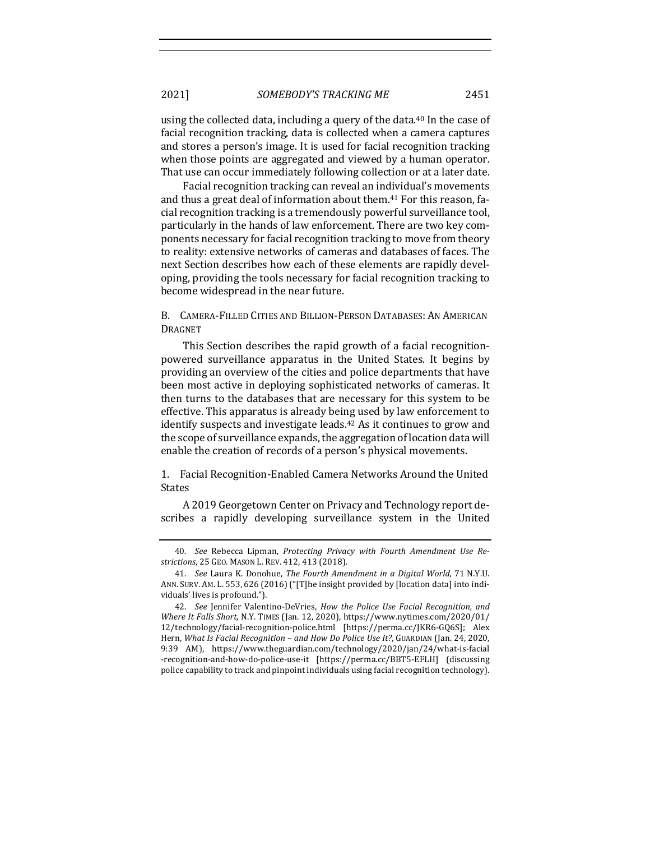2021] *SOMEBODY'S TRACKING ME* 2451

using the collected data, including a query of the data.<sup>40</sup> In the case of facial recognition tracking, data is collected when a camera captures and stores a person's image. It is used for facial recognition tracking when those points are aggregated and viewed by a human operator. That use can occur immediately following collection or at a later date.

Facial recognition tracking can reveal an individual's movements and thus a great deal of information about them.<sup>41</sup> For this reason, facial recognition tracking is a tremendously powerful surveillance tool, particularly in the hands of law enforcement. There are two key components necessary for facial recognition tracking to move from theory to reality: extensive networks of cameras and databases of faces. The next Section describes how each of these elements are rapidly developing, providing the tools necessary for facial recognition tracking to become widespread in the near future.

B. CAMERA-FILLED CITIES AND BILLION-PERSON DATABASES: AN AMERICAN DRAGNET

This Section describes the rapid growth of a facial recognitionpowered surveillance apparatus in the United States. It begins by providing an overview of the cities and police departments that have been most active in deploying sophisticated networks of cameras. It then turns to the databases that are necessary for this system to be effective. This apparatus is already being used by law enforcement to identify suspects and investigate leads.<sup>42</sup> As it continues to grow and the scope of surveillance expands, the aggregation of location data will enable the creation of records of a person's physical movements.

1. Facial Recognition-Enabled Camera Networks Around the United States

A 2019 Georgetown Center on Privacy and Technology report describes a rapidly developing surveillance system in the United

<sup>40.</sup> See Rebecca Lipman, Protecting Privacy with Fourth Amendment Use Re*strictions*, 25 GEO. MASON L. REV. 412, 413 (2018).

<sup>41.</sup> *See Laura K. Donohue, The Fourth Amendment in a Digital World, 71 N.Y.U.* ANN. SURV. AM. L. 553, 626 (2016) ("[T]he insight provided by [location data] into individuals' lives is profound.").

<sup>42.</sup> *See* Jennifer Valentino-DeVries, *How the Police Use Facial Recognition, and Where It Falls Short*, N.Y. TIMES (Jan. 12, 2020), https://www.nytimes.com/2020/01/ 12/technology/facial-recognition-police.html [https://perma.cc/JKR6-GQ6S]; Alex Hern, *What Is Facial Recognition – and How Do Police Use It?*, GUARDIAN (Jan. 24, 2020, 9:39 AM), https://www.theguardian.com/technology/2020/jan/24/what-is-facial -recognition-and-how-do-police-use-it [https://perma.cc/BBT5-EFLH] (discussing police capability to track and pinpoint individuals using facial recognition technology).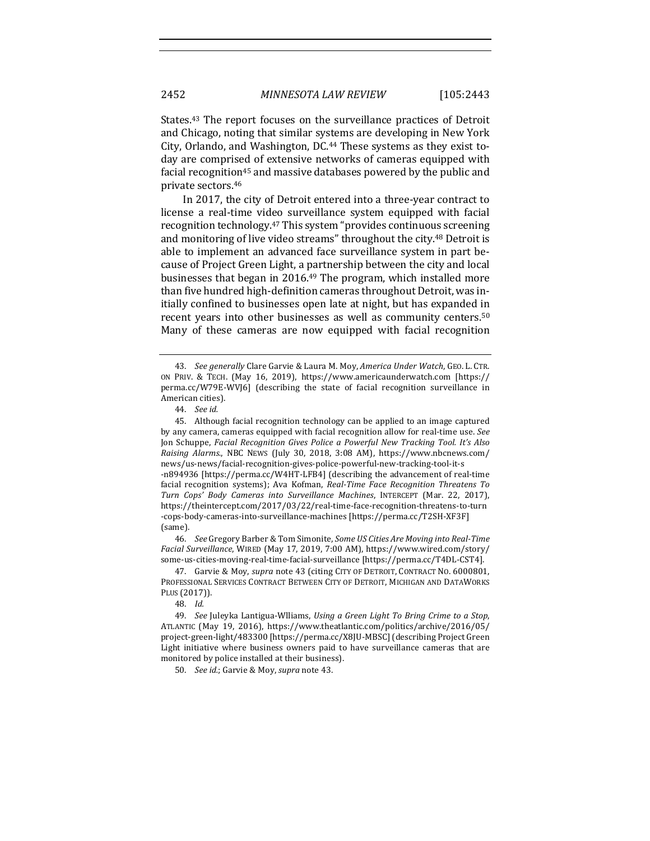States.<sup>43</sup> The report focuses on the surveillance practices of Detroit and Chicago, noting that similar systems are developing in New York City, Orlando, and Washington, DC.<sup>44</sup> These systems as they exist today are comprised of extensive networks of cameras equipped with facial recognition<sup>45</sup> and massive databases powered by the public and private sectors.<sup>46</sup>

In 2017, the city of Detroit entered into a three-year contract to license a real-time video surveillance system equipped with facial recognition technology.<sup>47</sup> This system "provides continuous screening and monitoring of live video streams" throughout the city.<sup>48</sup> Detroit is able to implement an advanced face surveillance system in part because of Project Green Light, a partnership between the city and local businesses that began in  $2016<sup>49</sup>$  The program, which installed more than five hundred high-definition cameras throughout Detroit, was initially confined to businesses open late at night, but has expanded in recent years into other businesses as well as community centers.<sup>50</sup> Many of these cameras are now equipped with facial recognition

46. *See* Gregory Barber & Tom Simonite, Some US Cities Are Moving into Real-Time Facial Surveillance, WIRED (May 17, 2019, 7:00 AM), https://www.wired.com/story/ some-us-cities-moving-real-time-facial-surveillance [https://perma.cc/T4DL-CST4].

47. Garvie & Moy, *supra* note 43 (citing CITY OF DETROIT, CONTRACT NO. 6000801, PROFESSIONAL SERVICES CONTRACT BETWEEN CITY OF DETROIT, MICHIGAN AND DATAWORKS PLUS (2017)).

48. *Id.*

49. *See* Juleyka Lantigua-Wlliams, *Using a Green Light To Bring Crime to a Stop*, ATLANTIC (May 19, 2016), https://www.theatlantic.com/politics/archive/2016/05/ project-green-light/483300 [https://perma.cc/X8JU-MBSC] (describing Project Green Light initiative where business owners paid to have surveillance cameras that are monitored by police installed at their business).

50. *See id.*; Garvie & Moy, *supra* note 43.

<sup>43.</sup> *See generally* Clare Garvie & Laura M. Moy, *America Under Watch*, GEO. L. CTR. ON PRIV. & TECH. (May 16, 2019), https://www.americaunderwatch.com [https:// perma.cc/W79E-WVJ6] (describing the state of facial recognition surveillance in American cities).

<sup>44.</sup> *See id.*

<sup>45.</sup> Although facial recognition technology can be applied to an image captured by any camera, cameras equipped with facial recognition allow for real-time use. See Jon Schuppe, *Facial Recognition Gives Police a Powerful New Tracking Tool. It's Also Raising Alarms., NBC NEWS (July 30, 2018, 3:08 AM), https://www.nbcnews.com/* news/us-news/facial-recognition-gives-police-powerful-new-tracking-tool-it-s -n894936 [https://perma.cc/W4HT-LFB4] (describing the advancement of real-time facial recognition systems); Ava Kofman, *Real-Time Face Recognition Threatens To Turn Cops' Body Cameras into Surveillance Machines*, INTERCEPT (Mar. 22, 2017), https://theintercept.com/2017/03/22/real-time-face-recognition-threatens-to-turn -cops-body-cameras-into-surveillance-machines [https://perma.cc/T2SH-XF3F] (same).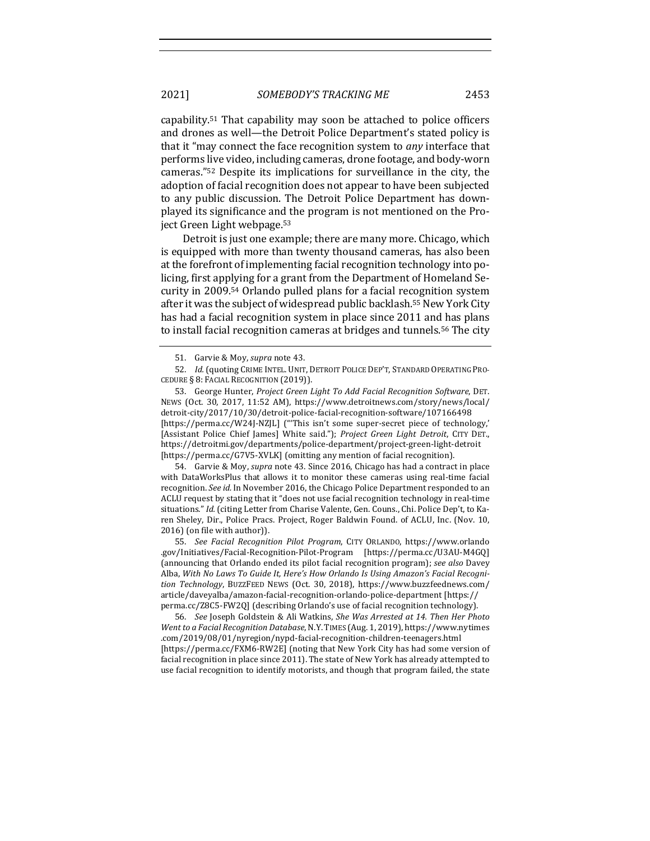2021] *SOMEBODY'S TRACKING ME* 2453

capability.<sup>51</sup> That capability may soon be attached to police officers and drones as well—the Detroit Police Department's stated policy is that it "may connect the face recognition system to *any* interface that performs live video, including cameras, drone footage, and body-worn cameras."<sup>52</sup> Despite its implications for surveillance in the city, the adoption of facial recognition does not appear to have been subjected to any public discussion. The Detroit Police Department has downplayed its significance and the program is not mentioned on the Project Green Light webpage.<sup>53</sup>

Detroit is just one example; there are many more. Chicago, which is equipped with more than twenty thousand cameras, has also been at the forefront of implementing facial recognition technology into policing, first applying for a grant from the Department of Homeland Security in 2009.<sup>54</sup> Orlando pulled plans for a facial recognition system after it was the subject of widespread public backlash.<sup>55</sup> New York City has had a facial recognition system in place since 2011 and has plans to install facial recognition cameras at bridges and tunnels.<sup>56</sup> The city

52. *Id.* (quoting CRIME INTEL. UNIT, DETROIT POLICE DEP'T, STANDARD OPERATING PRO-CEDURE § 8: FACIAL RECOGNITION (2019)).

53. George Hunter, *Project Green Light To Add Facial Recognition Software*, DET. NEWS (Oct. 30, 2017, 11:52 AM), https://www.detroitnews.com/story/news/local/ detroit-city/2017/10/30/detroit-police-facial-recognition-software/107166498 [https://perma.cc/W24J-NZJL] ("This isn't some super-secret piece of technology,' [Assistant Police Chief James] White said."); *Project Green Light Detroit*, CITY DET., https://detroitmi.gov/departments/police-department/project-green-light-detroit [https://perma.cc/G7V5-XVLK] (omitting any mention of facial recognition).

54. Garvie & Moy, *supra* note 43. Since 2016, Chicago has had a contract in place with DataWorksPlus that allows it to monitor these cameras using real-time facial recognition. *See id.* In November 2016, the Chicago Police Department responded to an ACLU request by stating that it "does not use facial recognition technology in real-time situations." *Id.* (citing Letter from Charise Valente, Gen. Couns., Chi. Police Dep't, to Karen Sheley, Dir., Police Pracs. Project, Roger Baldwin Found. of ACLU, Inc. (Nov. 10, 2016) (on file with author)).

55. *See Facial Recognition Pilot Program*, CITY ORLANDO, https://www.orlando .gov/Initiatives/Facial-Recognition-Pilot-Program [https://perma.cc/U3AU-M4GQ] (announcing that Orlando ended its pilot facial recognition program); see also Davey Alba, With No Laws To Guide It, Here's How Orlando Is Using Amazon's Facial Recogni*tion Technology*, BUZZFEED NEWS (Oct. 30, 2018), https://www.buzzfeednews.com/ article/daveyalba/amazon-facial-recognition-orlando-police-department [https:// perma.cc/Z8C5-FW2Q] (describing Orlando's use of facial recognition technology).

56. *See* Joseph Goldstein & Ali Watkins, *She Was Arrested at 14. Then Her Photo Went to a Facial Recognition Database, N.Y. TIMES (Aug. 1, 2019), https://www.nytimes* .com/2019/08/01/nyregion/nypd-facial-recognition-children-teenagers.html [https://perma.cc/FXM6-RW2E] (noting that New York City has had some version of facial recognition in place since 2011). The state of New York has already attempted to use facial recognition to identify motorists, and though that program failed, the state

<sup>51.</sup> Garvie & Moy, *supra* note 43.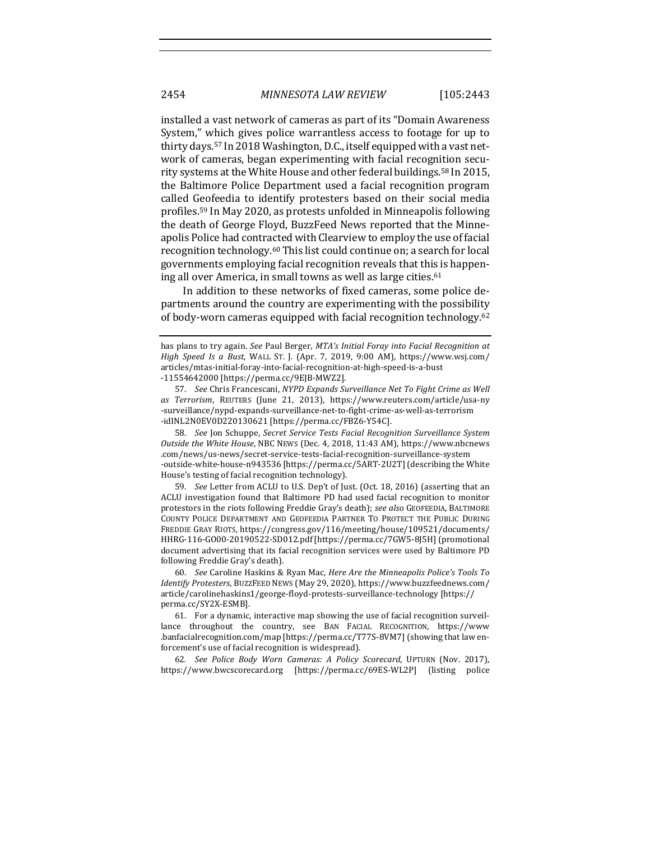installed a vast network of cameras as part of its "Domain Awareness" System," which gives police warrantless access to footage for up to thirty days.<sup>57</sup> In 2018 Washington, D.C., itself equipped with a vast network of cameras, began experimenting with facial recognition security systems at the White House and other federal buildings.<sup>58</sup> In 2015, the Baltimore Police Department used a facial recognition program called Geofeedia to identify protesters based on their social media profiles.<sup>59</sup> In May 2020, as protests unfolded in Minneapolis following the death of George Floyd, BuzzFeed News reported that the Minneapolis Police had contracted with Clearview to employ the use of facial recognition technology.<sup>60</sup> This list could continue on; a search for local governments employing facial recognition reveals that this is happening all over America, in small towns as well as large cities.<sup>61</sup>

In addition to these networks of fixed cameras, some police departments around the country are experimenting with the possibility of body-worn cameras equipped with facial recognition technology.<sup>62</sup>

58. *See* Jon Schuppe, *Secret Service Tests Facial Recognition Surveillance System Outside the White House, NBC NEWS (Dec. 4, 2018, 11:43 AM), https://www.nbcnews* .com/news/us-news/secret-service-tests-facial-recognition-surveillance-system -outside-white-house-n943536 [https://perma.cc/5ART-2U2T] (describing the White House's testing of facial recognition technology).

59. *See* Letter from ACLU to U.S. Dep't of Just. (Oct. 18, 2016) (asserting that an ACLU investigation found that Baltimore PD had used facial recognition to monitor protestors in the riots following Freddie Gray's death); see also GEOFEEDIA, BALTIMORE COUNTY POLICE DEPARTMENT AND GEOFEEDIA PARTNER TO PROTECT THE PUBLIC DURING FREDDIE GRAY RIOTS, https://congress.gov/116/meeting/house/109521/documents/ HHRG-116-GO00-20190522-SD012.pdf [https://perma.cc/7GW5-8J5H](promotional document advertising that its facial recognition services were used by Baltimore PD following Freddie Gray's death).

60. *See* Caroline Haskins & Ryan Mac, *Here Are the Minneapolis Police's Tools To Identify Protesters*, BUZZFEED NEWS (May 29, 2020), https://www.buzzfeednews.com/ article/carolinehaskins1/george-floyd-protests-surveillance-technology [https:// perma.cc/SY2X-ESMB].

61. For a dynamic, interactive map showing the use of facial recognition surveillance throughout the country, see BAN FACIAL RECOGNITION, https://www .banfacialrecognition.com/map [https://perma.cc/T77S-8VM7] (showing that law enforcement's use of facial recognition is widespread).

62*. See Police Body Worn Cameras: A Policy Scorecard*, UPTURN (Nov. 2017), https://www.bwcscorecard.org [https://perma.cc/69ES-WL2P] [listing police

has plans to try again. See Paul Berger, *MTA's Initial Foray into Facial Recognition at High Speed Is a Bust*, WALL ST. J. (Apr. 7, 2019, 9:00 AM), https://www.wsj.com/ articles/mtas-initial-foray-into-facial-recognition-at-high-speed-is-a-bust -11554642000 [https://perma.cc/9EJB-MWZ2]. 

<sup>57.</sup> *See* Chris Francescani, *NYPD Expands Surveillance Net To Fight Crime as Well as Terrorism*, REUTERS (June 21, 2013), https://www.reuters.com/article/usa-ny -surveillance/nypd-expands-surveillance-net-to-fight-crime-as-well-as-terrorism -idINL2N0EV0D220130621 [https://perma.cc/FBZ6-Y54C].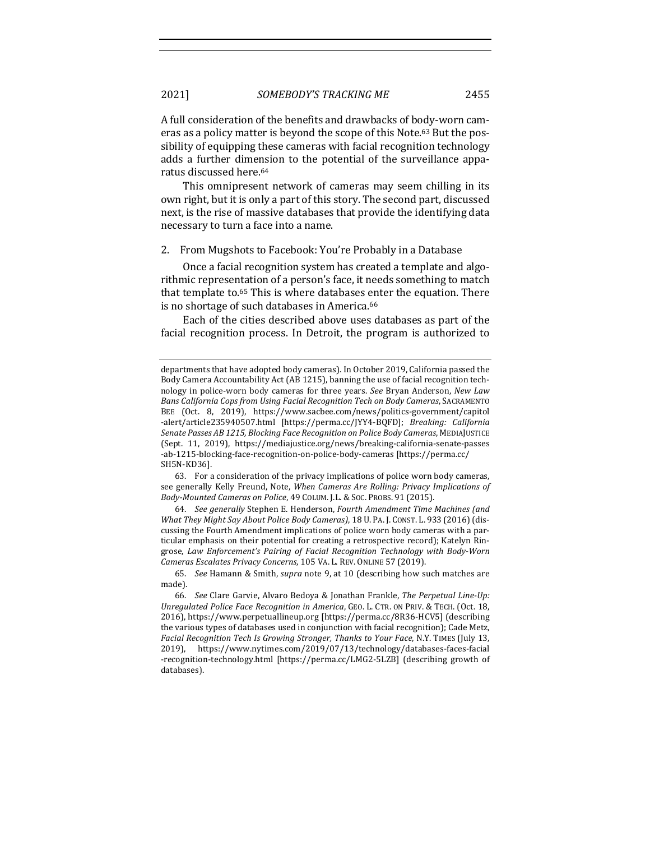A full consideration of the benefits and drawbacks of body-worn cameras as a policy matter is beyond the scope of this Note.<sup>63</sup> But the possibility of equipping these cameras with facial recognition technology adds a further dimension to the potential of the surveillance apparatus discussed here.<sup>64</sup>

This omnipresent network of cameras may seem chilling in its own right, but it is only a part of this story. The second part, discussed next, is the rise of massive databases that provide the identifying data necessary to turn a face into a name.

2. From Mugshots to Facebook: You're Probably in a Database

Once a facial recognition system has created a template and algorithmic representation of a person's face, it needs something to match that template to. $65$  This is where databases enter the equation. There is no shortage of such databases in America.<sup>66</sup>

Each of the cities described above uses databases as part of the facial recognition process. In Detroit, the program is authorized to

63. For a consideration of the privacy implications of police worn body cameras, see generally Kelly Freund, Note, *When Cameras Are Rolling: Privacy Implications of Body-Mounted Cameras on Police*, 49 COLUM. J.L. & SOC. PROBS. 91 (2015).

64. *See generally* Stephen E. Henderson, *Fourth Amendment Time Machines (and What They Might Say About Police Body Cameras)*, 18 U. PA. J. CONST. L. 933 (2016) (discussing the Fourth Amendment implications of police worn body cameras with a particular emphasis on their potential for creating a retrospective record); Katelyn Ringrose, Law Enforcement's Pairing of Facial Recognition Technology with Body-Worn Cameras Escalates Privacy Concerns, 105 VA. L. REV. ONLINE 57 (2019).

65. *See* Hamann & Smith, *supra* note 9, at 10 (describing how such matches are made).

66. *See* Clare Garvie, Alvaro Bedoya & Jonathan Frankle, The Perpetual Line-Up: *Unregulated Police Face Recognition in America, GEO. L. CTR. ON PRIV. & TECH. (Oct. 18,* 2016), https://www.perpetuallineup.org [https://perma.cc/8R36-HCV5] (describing the various types of databases used in conjunction with facial recognition); Cade Metz, *Facial Recognition Tech Is Growing Stronger, Thanks to Your Face, N.Y. TIMES* (July 13, 2019), https://www.nytimes.com/2019/07/13/technology/databases-faces-facial -recognition-technology.html [https://perma.cc/LMG2-5LZB] (describing growth of databases). 

departments that have adopted body cameras). In October 2019, California passed the Body Camera Accountability Act (AB 1215), banning the use of facial recognition technology in police-worn body cameras for three years. See Bryan Anderson, New Law *Bans California Cops from Using Facial Recognition Tech on Body Cameras*, SACRAMENTO BEE (Oct. 8, 2019), https://www.sacbee.com/news/politics-government/capitol -alert/article235940507.html [https://perma.cc/JYY4-BQFD]; *Breaking: California* Senate Passes AB 1215, Blocking Face Recognition on Police Body Cameras, MEDIAJUSTICE (Sept. 11, 2019), https://mediajustice.org/news/breaking-california-senate-passes -ab-1215-blocking-face-recognition-on-police-body-cameras [https://perma.cc/ SH5N-KD36].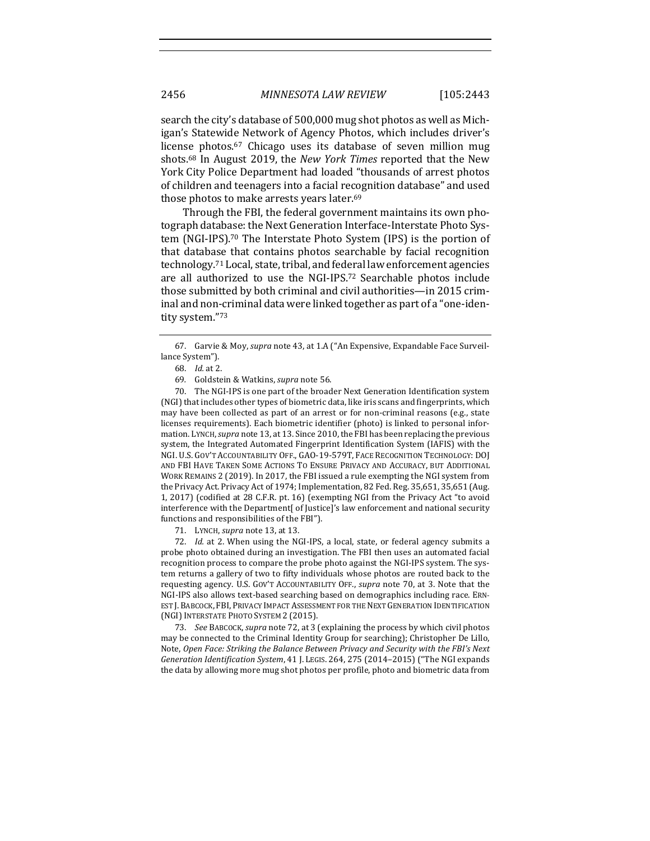search the city's database of 500,000 mug shot photos as well as Michigan's Statewide Network of Agency Photos, which includes driver's license photos.<sup>67</sup> Chicago uses its database of seven million mug shots.<sup>68</sup> In August 2019, the *New York Times* reported that the New York City Police Department had loaded "thousands of arrest photos of children and teenagers into a facial recognition database" and used those photos to make arrests years later.<sup>69</sup>

Through the FBI, the federal government maintains its own photograph database: the Next Generation Interface-Interstate Photo System (NGI-IPS).<sup>70</sup> The Interstate Photo System (IPS) is the portion of that database that contains photos searchable by facial recognition technology.<sup>71</sup> Local, state, tribal, and federal law enforcement agencies are all authorized to use the NGI-IPS.<sup>72</sup> Searchable photos include those submitted by both criminal and civil authorities—in 2015 criminal and non-criminal data were linked together as part of a "one-identity system."73

70. The NGI-IPS is one part of the broader Next Generation Identification system (NGI) that includes other types of biometric data, like iris scans and fingerprints, which may have been collected as part of an arrest or for non-criminal reasons  $(e.g., state)$ licenses requirements). Each biometric identifier (photo) is linked to personal information. LYNCH, *supra* note 13, at 13. Since 2010, the FBI has been replacing the previous system, the Integrated Automated Fingerprint Identification System (IAFIS) with the NGI. U.S. GOV'T ACCOUNTABILITY OFF., GAO-19-579T, FACE RECOGNITION TECHNOLOGY: DOJ AND FBI HAVE TAKEN SOME ACTIONS TO ENSURE PRIVACY AND ACCURACY, BUT ADDITIONAL WORK REMAINS 2 (2019). In 2017, the FBI issued a rule exempting the NGI system from the Privacy Act. Privacy Act of 1974; Implementation, 82 Fed. Reg. 35,651, 35,651 (Aug. 1, 2017) (codified at 28 C.F.R. pt. 16) (exempting NGI from the Privacy Act "to avoid interference with the Department[ of Justice]'s law enforcement and national security functions and responsibilities of the FBI").

71. LYNCH, *supra* note 13, at 13.

72. *Id.* at 2. When using the NGI-IPS, a local, state, or federal agency submits a probe photo obtained during an investigation. The FBI then uses an automated facial recognition process to compare the probe photo against the NGI-IPS system. The system returns a gallery of two to fifty individuals whose photos are routed back to the requesting agency. U.S. GOV'T ACCOUNTABILITY OFF., *supra* note 70, at 3. Note that the NGI-IPS also allows text-based searching based on demographics including race. ERN-EST J. BABCOCK, FBI, PRIVACY IMPACT ASSESSMENT FOR THE NEXT GENERATION IDENTIFICATION (NGI) INTERSTATE PHOTO SYSTEM 2 (2015).

73. *See* BABCOCK, *supra* note 72, at 3 (explaining the process by which civil photos may be connected to the Criminal Identity Group for searching); Christopher De Lillo, Note, Open Face: Striking the Balance Between Privacy and Security with the FBI's Next *Generation Identification System,* 41 J. LEGIS. 264, 275 (2014–2015) ("The NGI expands the data by allowing more mug shot photos per profile, photo and biometric data from

<sup>67.</sup> Garvie & Moy, *supra* note 43, at 1.A ("An Expensive, Expandable Face Surveillance System").

<sup>68.</sup> *Id.* at 2. 

<sup>69.</sup> Goldstein & Watkins, *supra* note 56.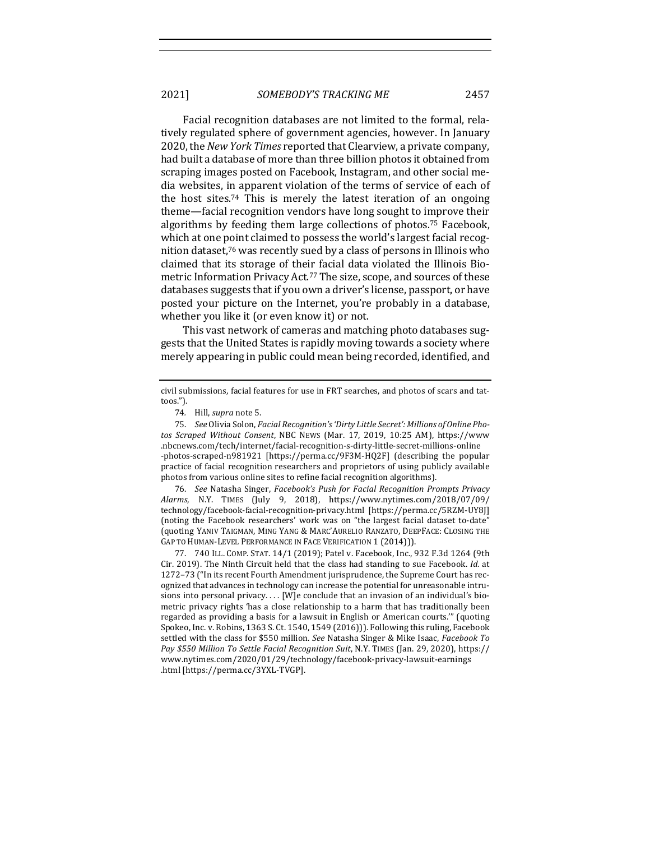Facial recognition databases are not limited to the formal, relatively regulated sphere of government agencies, however. In January 2020, the *New York Times* reported that Clearview, a private company, had built a database of more than three billion photos it obtained from scraping images posted on Facebook, Instagram, and other social media websites, in apparent violation of the terms of service of each of the host sites.<sup>74</sup> This is merely the latest iteration of an ongoing theme—facial recognition vendors have long sought to improve their algorithms by feeding them large collections of photos.<sup>75</sup> Facebook, which at one point claimed to possess the world's largest facial recognition dataset,<sup>76</sup> was recently sued by a class of persons in Illinois who claimed that its storage of their facial data violated the Illinois Biometric Information Privacy Act.<sup>77</sup> The size, scope, and sources of these databases suggests that if you own a driver's license, passport, or have posted your picture on the Internet, you're probably in a database, whether you like it (or even know it) or not.

This vast network of cameras and matching photo databases suggests that the United States is rapidly moving towards a society where merely appearing in public could mean being recorded, identified, and

75. See Olivia Solon, *Facial Recognition's 'Dirty Little Secret': Millions of Online Photos Scraped Without Consent*, NBC NEWS (Mar. 17, 2019, 10:25 AM), https://www .nbcnews.com/tech/internet/facial-recognition-s-dirty-little-secret-millions-online -photos-scraped-n981921 [https://perma.cc/9F3M-HQ2F] (describing the popular practice of facial recognition researchers and proprietors of using publicly available photos from various online sites to refine facial recognition algorithms).

76. See Natasha Singer, *Facebook's Push for Facial Recognition Prompts Privacy Alarms*, N.Y. TIMES (July 9, 2018), https://www.nytimes.com/2018/07/09/ technology/facebook-facial-recognition-privacy.html [https://perma.cc/5RZM-UY8J] (noting the Facebook researchers' work was on "the largest facial dataset to-date" (quoting YANIV TAIGMAN, MING YANG & MARC'AURELIO RANZATO, DEEPFACE: CLOSING THE GAP TO HUMAN-LEVEL PERFORMANCE IN FACE VERIFICATION 1 (2014))).

77. 740 ILL. COMP. STAT. 14/1 (2019); Patel v. Facebook, Inc., 932 F.3d 1264 (9th Cir. 2019). The Ninth Circuit held that the class had standing to sue Facebook. *Id.* at 1272–73 ("In its recent Fourth Amendment jurisprudence, the Supreme Court has recognized that advances in technology can increase the potential for unreasonable intrusions into personal privacy.... [W]e conclude that an invasion of an individual's biometric privacy rights 'has a close relationship to a harm that has traditionally been regarded as providing a basis for a lawsuit in English or American courts." (quoting Spokeo, Inc. v. Robins,  $1363$  S. Ct.  $1540$ ,  $1549$   $(2016)$ )). Following this ruling, Facebook settled with the class for \$550 million. *See* Natasha Singer & Mike Isaac, *Facebook To Pay \$550 Million To Settle Facial Recognition Suit*, N.Y. TIMES (Jan. 29, 2020), https:// www.nytimes.com/2020/01/29/technology/facebook-privacy-lawsuit-earnings .html [https://perma.cc/3YXL-TVGP].

civil submissions, facial features for use in FRT searches, and photos of scars and tattoos.").

<sup>74.</sup> Hill, *supra* note 5.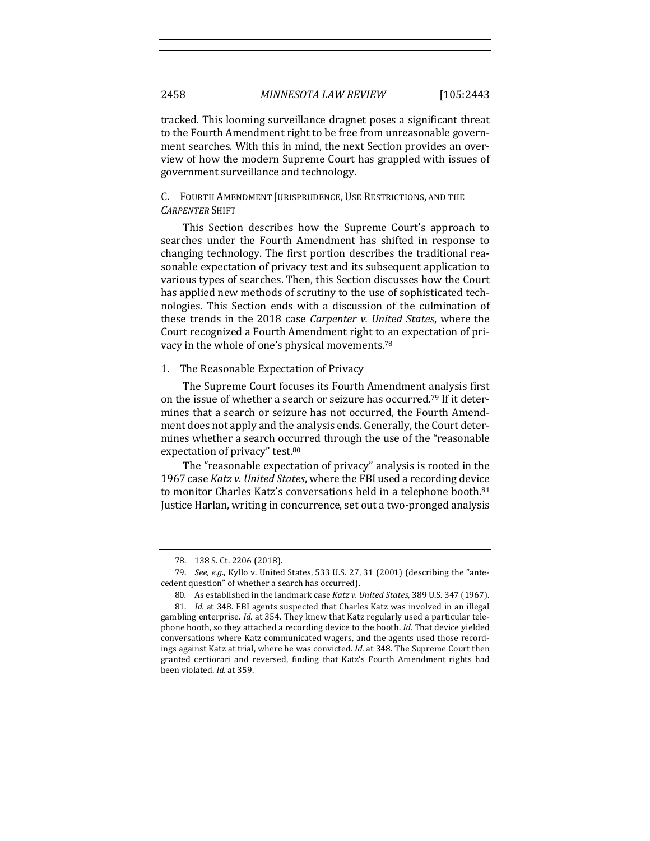tracked. This looming surveillance dragnet poses a significant threat to the Fourth Amendment right to be free from unreasonable government searches. With this in mind, the next Section provides an overview of how the modern Supreme Court has grappled with issues of government surveillance and technology.

# C. FOURTH AMENDMENT JURISPRUDENCE, USE RESTRICTIONS, AND THE *CARPENTER* SHIFT

This Section describes how the Supreme Court's approach to searches under the Fourth Amendment has shifted in response to changing technology. The first portion describes the traditional reasonable expectation of privacy test and its subsequent application to various types of searches. Then, this Section discusses how the Court has applied new methods of scrutiny to the use of sophisticated technologies. This Section ends with a discussion of the culmination of these trends in the 2018 case *Carpenter v. United States*, where the Court recognized a Fourth Amendment right to an expectation of privacy in the whole of one's physical movements.<sup>78</sup>

## 1. The Reasonable Expectation of Privacy

The Supreme Court focuses its Fourth Amendment analysis first on the issue of whether a search or seizure has occurred.<sup>79</sup> If it determines that a search or seizure has not occurred, the Fourth Amendment does not apply and the analysis ends. Generally, the Court determines whether a search occurred through the use of the "reasonable expectation of privacy" test.<sup>80</sup>

The "reasonable expectation of privacy" analysis is rooted in the 1967 case *Katz v. United States*, where the FBI used a recording device to monitor Charles Katz's conversations held in a telephone booth.<sup>81</sup> Justice Harlan, writing in concurrence, set out a two-pronged analysis

<sup>78. 138</sup> S. Ct. 2206 (2018).

<sup>79.</sup> *See, e.g.*, Kyllo v. United States, 533 U.S. 27, 31 (2001) (describing the "antecedent question" of whether a search has occurred).

<sup>80.</sup> As established in the landmark case *Katz v. United States*, 389 U.S. 347 (1967).

<sup>81.</sup> *Id.* at 348. FBI agents suspected that Charles Katz was involved in an illegal gambling enterprise. *Id.* at 354. They knew that Katz regularly used a particular telephone booth, so they attached a recording device to the booth. *Id.* That device yielded conversations where Katz communicated wagers, and the agents used those recordings against Katz at trial, where he was convicted. *Id.* at 348. The Supreme Court then granted certiorari and reversed, finding that Katz's Fourth Amendment rights had been violated. *Id.* at 359.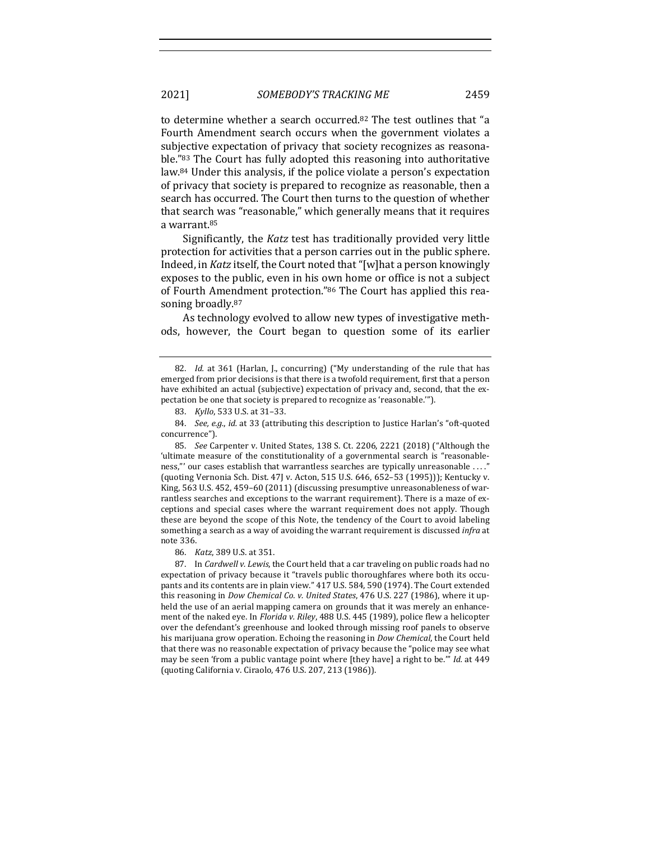to determine whether a search occurred.<sup>82</sup> The test outlines that "a Fourth Amendment search occurs when the government violates a subjective expectation of privacy that society recognizes as reasonable."<sup>83</sup> The Court has fully adopted this reasoning into authoritative law. $84$  Under this analysis, if the police violate a person's expectation of privacy that society is prepared to recognize as reasonable, then a search has occurred. The Court then turns to the question of whether that search was "reasonable," which generally means that it requires a warrant.<sup>85</sup>

Significantly, the *Katz* test has traditionally provided very little protection for activities that a person carries out in the public sphere. Indeed, in *Katz* itself, the Court noted that "[w]hat a person knowingly exposes to the public, even in his own home or office is not a subject of Fourth Amendment protection."86 The Court has applied this reasoning broadly.<sup>87</sup>

As technology evolved to allow new types of investigative methods, however, the Court began to question some of its earlier

83. *Kyllo*, 533 U.S. at 31-33.

85. *See* Carpenter v. United States, 138 S. Ct. 2206, 2221 (2018) ("Although the 'ultimate measure of the constitutionality of a governmental search is "reasonableness,"' our cases establish that warrantless searches are typically unreasonable ...." (quoting Vernonia Sch. Dist. 47J v. Acton, 515 U.S. 646, 652-53 (1995))); Kentucky v. King,  $563$  U.S.  $452$ ,  $459-60$  (2011) (discussing presumptive unreasonableness of warrantless searches and exceptions to the warrant requirement). There is a maze of exceptions and special cases where the warrant requirement does not apply. Though these are beyond the scope of this Note, the tendency of the Court to avoid labeling something a search as a way of avoiding the warrant requirement is discussed *infra* at note 336.

86. *Katz*, 389 U.S. at 351.

87. In *Cardwell v. Lewis*, the Court held that a car traveling on public roads had no expectation of privacy because it "travels public thoroughfares where both its occupants and its contents are in plain view." 417 U.S. 584, 590 (1974). The Court extended this reasoning in *Dow Chemical Co. v. United States*, 476 U.S. 227 (1986), where it upheld the use of an aerial mapping camera on grounds that it was merely an enhancement of the naked eye. In *Florida v. Riley*, 488 U.S. 445 (1989), police flew a helicopter over the defendant's greenhouse and looked through missing roof panels to observe his marijuana grow operation. Echoing the reasoning in *Dow Chemical*, the Court held that there was no reasonable expectation of privacy because the "police may see what may be seen 'from a public vantage point where [they have] a right to be."" *Id.* at 449 (quoting California v. Ciraolo, 476 U.S. 207, 213 (1986)).

<sup>82.</sup> *Id.* at 361 (Harlan, J., concurring) ("My understanding of the rule that has emerged from prior decisions is that there is a twofold requirement, first that a person have exhibited an actual (subjective) expectation of privacy and, second, that the expectation be one that society is prepared to recognize as 'reasonable."").

<sup>84.</sup> *See, e.g., id.* at 33 (attributing this description to Justice Harlan's "oft-quoted concurrence").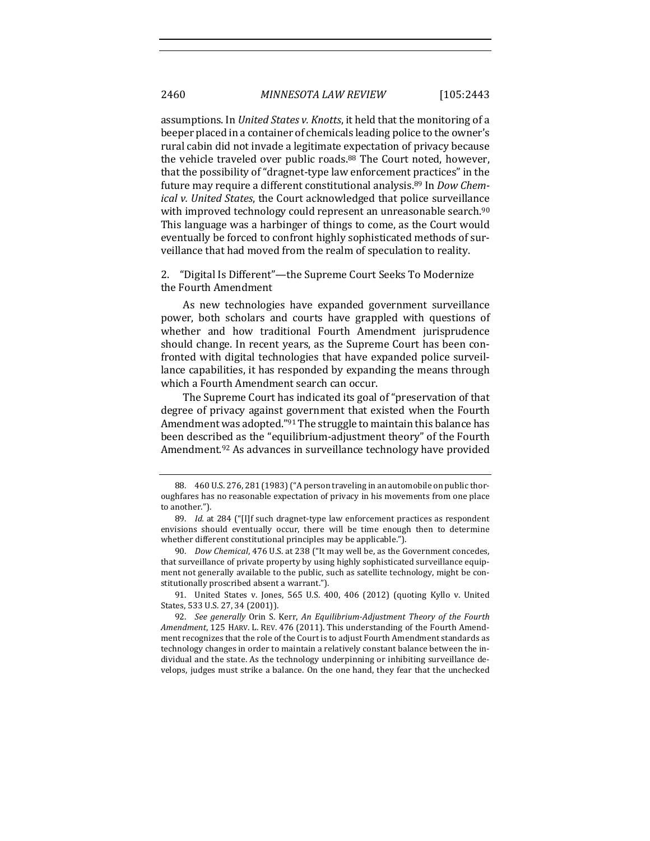assumptions. In *United States v. Knotts*, it held that the monitoring of a beeper placed in a container of chemicals leading police to the owner's rural cabin did not invade a legitimate expectation of privacy because the vehicle traveled over public roads.<sup>88</sup> The Court noted, however, that the possibility of "dragnet-type law enforcement practices" in the future may require a different constitutional analysis.<sup>89</sup> In *Dow Chemical v.* United States, the Court acknowledged that police surveillance with improved technology could represent an unreasonable search.<sup>90</sup> This language was a harbinger of things to come, as the Court would eventually be forced to confront highly sophisticated methods of surveillance that had moved from the realm of speculation to reality.

2. "Digital Is Different"—the Supreme Court Seeks To Modernize the Fourth Amendment

As new technologies have expanded government surveillance power, both scholars and courts have grappled with questions of whether and how traditional Fourth Amendment jurisprudence should change. In recent years, as the Supreme Court has been confronted with digital technologies that have expanded police surveillance capabilities, it has responded by expanding the means through which a Fourth Amendment search can occur.

The Supreme Court has indicated its goal of "preservation of that degree of privacy against government that existed when the Fourth Amendment was adopted."<sup>91</sup> The struggle to maintain this balance has been described as the "equilibrium-adjustment theory" of the Fourth Amendment.<sup>92</sup> As advances in surveillance technology have provided

90. *Dow Chemical*, 476 U.S. at 238 ("It may well be, as the Government concedes, that surveillance of private property by using highly sophisticated surveillance equipment not generally available to the public, such as satellite technology, might be constitutionally proscribed absent a warrant.").

91. United States v. Jones, 565 U.S. 400, 406 (2012) (quoting Kyllo v. United States, 533 U.S. 27, 34 (2001)).

<sup>88. 460</sup> U.S. 276, 281 (1983) ("A person traveling in an automobile on public thoroughfares has no reasonable expectation of privacy in his movements from one place to another.").

<sup>89.</sup> *Id.* at 284 ("[I]f such dragnet-type law enforcement practices as respondent envisions should eventually occur, there will be time enough then to determine whether different constitutional principles may be applicable.").

<sup>92.</sup> *See generally* Orin S. Kerr, *An Equilibrium-Adjustment Theory of the Fourth Amendment*, 125 HARV. L. REV. 476 (2011). This understanding of the Fourth Amendment recognizes that the role of the Court is to adjust Fourth Amendment standards as technology changes in order to maintain a relatively constant balance between the individual and the state. As the technology underpinning or inhibiting surveillance develops, judges must strike a balance. On the one hand, they fear that the unchecked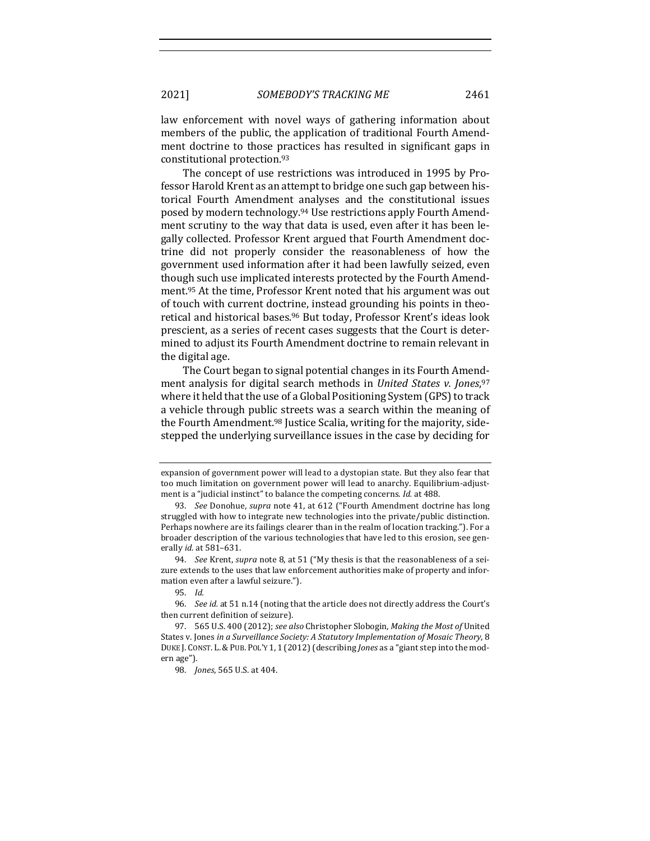law enforcement with novel ways of gathering information about members of the public, the application of traditional Fourth Amendment doctrine to those practices has resulted in significant gaps in constitutional protection.<sup>93</sup>

The concept of use restrictions was introduced in 1995 by Professor Harold Krent as an attempt to bridge one such gap between historical Fourth Amendment analyses and the constitutional issues posed by modern technology.<sup>94</sup> Use restrictions apply Fourth Amendment scrutiny to the way that data is used, even after it has been legally collected. Professor Krent argued that Fourth Amendment doctrine did not properly consider the reasonableness of how the government used information after it had been lawfully seized, even though such use implicated interests protected by the Fourth Amendment.<sup>95</sup> At the time, Professor Krent noted that his argument was out of touch with current doctrine, instead grounding his points in theoretical and historical bases.<sup>96</sup> But today, Professor Krent's ideas look prescient, as a series of recent cases suggests that the Court is determined to adjust its Fourth Amendment doctrine to remain relevant in the digital age.

The Court began to signal potential changes in its Fourth Amendment analysis for digital search methods in *United States v. Jones*,<sup>97</sup> where it held that the use of a Global Positioning System (GPS) to track a vehicle through public streets was a search within the meaning of the Fourth Amendment.<sup>98</sup> Justice Scalia, writing for the majority, sidestepped the underlying surveillance issues in the case by deciding for

expansion of government power will lead to a dystopian state. But they also fear that too much limitation on government power will lead to anarchy. Equilibrium-adjustment is a "judicial instinct" to balance the competing concerns. *Id.* at 488.

<sup>93.</sup> *See* Donohue, *supra* note 41, at 612 ("Fourth Amendment doctrine has long struggled with how to integrate new technologies into the private/public distinction. Perhaps nowhere are its failings clearer than in the realm of location tracking."). For a broader description of the various technologies that have led to this erosion, see generally *id.* at 581-631.

<sup>94.</sup> *See* Krent, *supra* note 8, at 51 ("My thesis is that the reasonableness of a seizure extends to the uses that law enforcement authorities make of property and information even after a lawful seizure.").

<sup>95.</sup> *Id.*

<sup>96.</sup> *See id.* at 51 n.14 (noting that the article does not directly address the Court's then current definition of seizure).

<sup>97. 565</sup> U.S. 400 (2012); see also Christopher Slobogin, *Making the Most of* United States v. Jones in a Surveillance Society: A Statutory Implementation of Mosaic Theory, 8 DUKE J. CONST. L. & PUB. POL'Y 1, 1 (2012) (describing *Jones* as a "giant step into the modern age").

<sup>98.</sup> *Jones*, 565 U.S. at 404.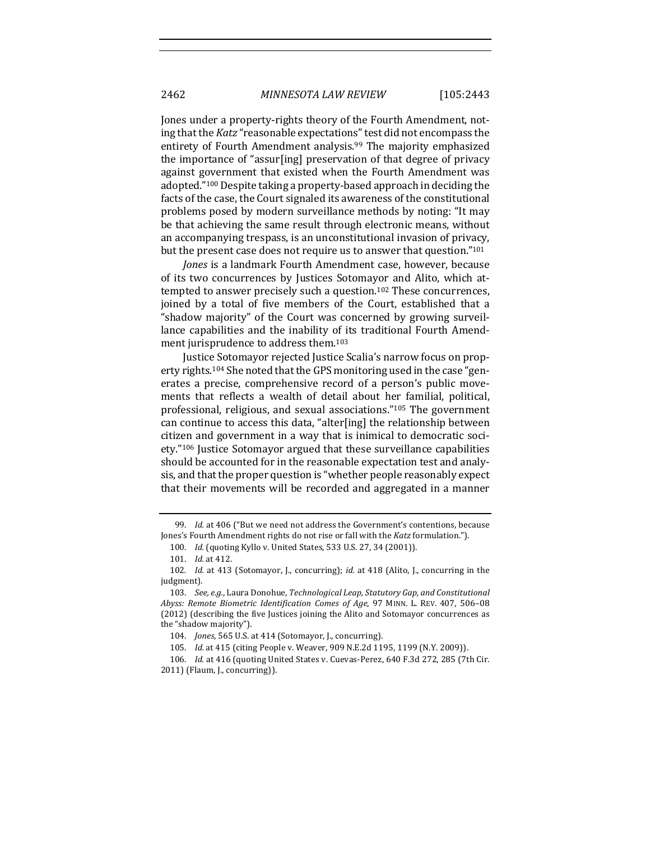Jones under a property-rights theory of the Fourth Amendment, noting that the *Katz* "reasonable expectations" test did not encompass the entirety of Fourth Amendment analysis.<sup>99</sup> The majority emphasized the importance of "assur[ing] preservation of that degree of privacy against government that existed when the Fourth Amendment was adopted."<sup>100</sup> Despite taking a property-based approach in deciding the facts of the case, the Court signaled its awareness of the constitutional problems posed by modern surveillance methods by noting: "It may be that achieving the same result through electronic means, without an accompanying trespass, is an unconstitutional invasion of privacy, but the present case does not require us to answer that question."<sup>101</sup>

*Jones* is a landmark Fourth Amendment case, however, because of its two concurrences by Justices Sotomayor and Alito, which attempted to answer precisely such a question.<sup>102</sup> These concurrences, joined by a total of five members of the Court, established that a "shadow majority" of the Court was concerned by growing surveillance capabilities and the inability of its traditional Fourth Amendment jurisprudence to address them.<sup>103</sup>

Justice Sotomayor rejected Justice Scalia's narrow focus on property rights.<sup>104</sup> She noted that the GPS monitoring used in the case "generates a precise, comprehensive record of a person's public movements that reflects a wealth of detail about her familial, political, professional, religious, and sexual associations."<sup>105</sup> The government can continue to access this data, "alter[ing] the relationship between citizen and government in a way that is inimical to democratic society."<sup>106</sup> Justice Sotomayor argued that these surveillance capabilities should be accounted for in the reasonable expectation test and analysis, and that the proper question is "whether people reasonably expect that their movements will be recorded and aggregated in a manner

<sup>99.</sup> *Id.* at 406 ("But we need not address the Government's contentions, because Jones's Fourth Amendment rights do not rise or fall with the *Katz* formulation.").

<sup>100.</sup> *Id.* (quoting Kyllo v. United States, 533 U.S. 27, 34 (2001)).

<sup>101.</sup> *Id.* at 412.

<sup>102.</sup> *Id.* at 413 (Sotomayor, J., concurring); *id.* at 418 (Alito, J., concurring in the judgment).

<sup>103.</sup> *See, e.g.*, Laura Donohue, *Technological Leap, Statutory Gap, and Constitutional* Abyss: Remote Biometric Identification Comes of Age, 97 MINN. L. REV. 407, 506-08 (2012) (describing the five Justices joining the Alito and Sotomayor concurrences as the "shadow majority").

<sup>104.</sup> *Jones*, 565 U.S. at 414 (Sotomayor, J., concurring).

<sup>105.</sup> *Id.* at 415 (citing People v. Weaver, 909 N.E.2d 1195, 1199 (N.Y. 2009)).

<sup>106.</sup> *Id.* at 416 (quoting United States v. Cuevas-Perez, 640 F.3d 272, 285 (7th Cir.  $2011$ ) (Flaum, J., concurring)).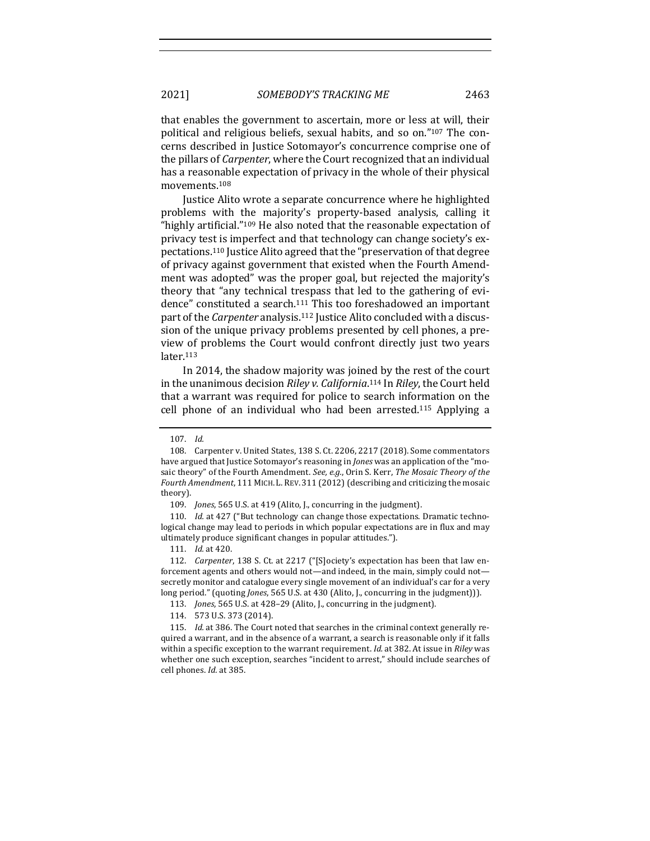that enables the government to ascertain, more or less at will, their political and religious beliefs, sexual habits, and so on."<sup>107</sup> The concerns described in Justice Sotomayor's concurrence comprise one of the pillars of *Carpenter*, where the Court recognized that an individual has a reasonable expectation of privacy in the whole of their physical movements.108

Justice Alito wrote a separate concurrence where he highlighted problems with the majority's property-based analysis, calling it "highly artificial." $109$  He also noted that the reasonable expectation of privacy test is imperfect and that technology can change society's expectations.<sup>110</sup> Justice Alito agreed that the "preservation of that degree of privacy against government that existed when the Fourth Amendment was adopted" was the proper goal, but rejected the majority's theory that "any technical trespass that led to the gathering of evidence" constituted a search.<sup>111</sup> This too foreshadowed an important part of the *Carpenter* analysis.<sup>112</sup> Justice Alito concluded with a discussion of the unique privacy problems presented by cell phones, a preview of problems the Court would confront directly just two years later.113

In 2014, the shadow majority was joined by the rest of the court in the unanimous decision *Riley v. California*.<sup>114</sup> In *Riley*, the Court held that a warrant was required for police to search information on the cell phone of an individual who had been arrested.<sup>115</sup> Applying a

<sup>107.</sup> *Id.* 

<sup>108.</sup> Carpenter v. United States, 138 S. Ct. 2206, 2217 (2018). Some commentators have argued that Justice Sotomayor's reasoning in *Jones* was an application of the "mosaic theory" of the Fourth Amendment. See, e.g., Orin S. Kerr, The Mosaic Theory of the Fourth Amendment, 111 MICH. L. REV. 311 (2012) (describing and criticizing the mosaic theory).

<sup>109.</sup> *Jones*, 565 U.S. at 419 (Alito, J., concurring in the judgment).

<sup>110.</sup> *Id.* at 427 ("But technology can change those expectations. Dramatic technological change may lead to periods in which popular expectations are in flux and may ultimately produce significant changes in popular attitudes.").

<sup>111.</sup> *Id.* at 420.

<sup>112.</sup> *Carpenter*, 138 S. Ct. at 2217 ("[S]ociety's expectation has been that law enforcement agents and others would not—and indeed, in the main, simply could not secretly monitor and catalogue every single movement of an individual's car for a very long period." (quoting *Jones*, 565 U.S. at 430 (Alito, J., concurring in the judgment))).

<sup>113.</sup> *Jones*, 565 U.S. at 428-29 (Alito, J., concurring in the judgment).

<sup>114. 573</sup> U.S. 373 (2014).

<sup>115.</sup> *Id.* at 386. The Court noted that searches in the criminal context generally required a warrant, and in the absence of a warrant, a search is reasonable only if it falls within a specific exception to the warrant requirement. *Id.* at 382. At issue in *Riley* was whether one such exception, searches "incident to arrest," should include searches of cell phones. *Id.* at 385.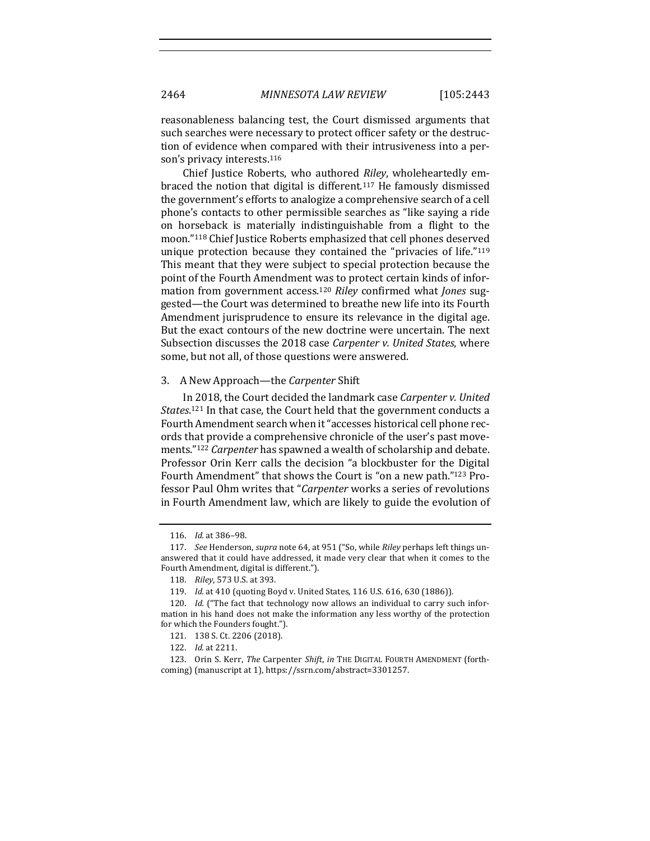reasonableness balancing test, the Court dismissed arguments that such searches were necessary to protect officer safety or the destruction of evidence when compared with their intrusiveness into a person's privacy interests.<sup>116</sup>

Chief Justice Roberts, who authored *Riley*, wholeheartedly embraced the notion that digital is different.<sup>117</sup> He famously dismissed the government's efforts to analogize a comprehensive search of a cell phone's contacts to other permissible searches as "like saying a ride on horseback is materially indistinguishable from a flight to the moon."<sup>118</sup> Chief Justice Roberts emphasized that cell phones deserved unique protection because they contained the "privacies of life." $119$ This meant that they were subject to special protection because the point of the Fourth Amendment was to protect certain kinds of information from government access.<sup>120</sup> Riley confirmed what *Jones* suggested—the Court was determined to breathe new life into its Fourth Amendment jurisprudence to ensure its relevance in the digital age. But the exact contours of the new doctrine were uncertain. The next Subsection discusses the 2018 case *Carpenter v. United States*, where some, but not all, of those questions were answered.

#### 3. A New Approach—the *Carpenter* Shift

In 2018, the Court decided the landmark case *Carpenter v. United* States.<sup>121</sup> In that case, the Court held that the government conducts a Fourth Amendment search when it "accesses historical cell phone records that provide a comprehensive chronicle of the user's past movements."<sup>122</sup> *Carpenter* has spawned a wealth of scholarship and debate. Professor Orin Kerr calls the decision "a blockbuster for the Digital Fourth Amendment" that shows the Court is "on a new path."<sup>123</sup> Professor Paul Ohm writes that "*Carpenter* works a series of revolutions in Fourth Amendment law, which are likely to guide the evolution of

<sup>116.</sup> *Id.* at 386–98.

<sup>117.</sup> *See* Henderson, *supra* note 64, at 951 ("So, while *Riley* perhaps left things unanswered that it could have addressed, it made very clear that when it comes to the Fourth Amendment, digital is different.").

<sup>118.</sup> *Riley*, 573 U.S. at 393.

<sup>119.</sup> *Id.* at 410 (quoting Boyd v. United States, 116 U.S. 616, 630 (1886)).

<sup>120.</sup> *Id.* ("The fact that technology now allows an individual to carry such information in his hand does not make the information any less worthy of the protection for which the Founders fought.").

<sup>121. 138</sup> S. Ct. 2206 (2018).

<sup>122.</sup> *Id.* at 2211.

<sup>123.</sup> Orin S. Kerr, *The Carpenter Shift*, *in* THE DIGITAL FOURTH AMENDMENT (forthcoming) (manuscript at 1), https://ssrn.com/abstract=3301257.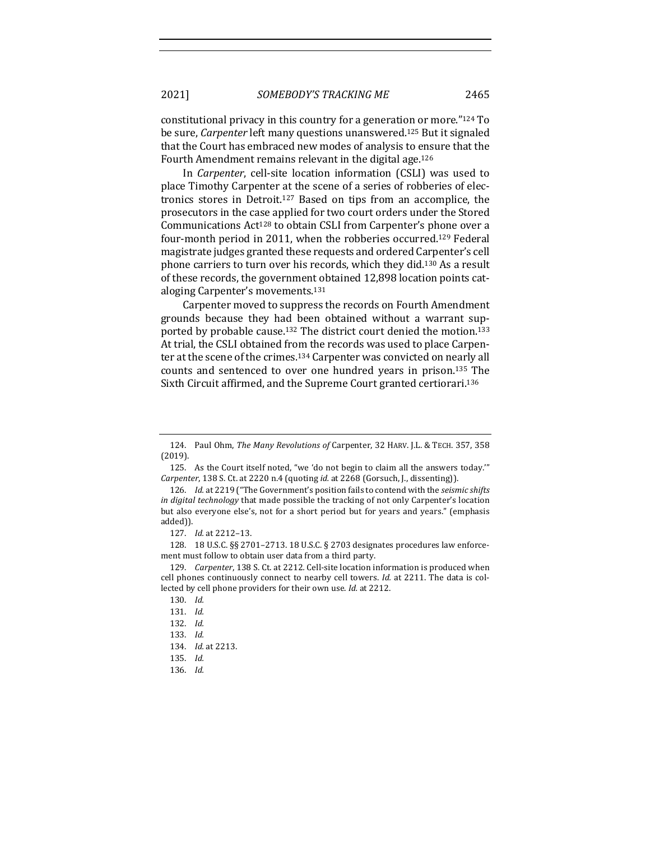constitutional privacy in this country for a generation or more." $124$  To be sure, *Carpenter* left many questions unanswered.<sup>125</sup> But it signaled that the Court has embraced new modes of analysis to ensure that the Fourth Amendment remains relevant in the digital age.<sup>126</sup>

In *Carpenter*, cell-site location information (CSLI) was used to place Timothy Carpenter at the scene of a series of robberies of electronics stores in Detroit.<sup>127</sup> Based on tips from an accomplice, the prosecutors in the case applied for two court orders under the Stored Communications  $Act^{128}$  to obtain CSLI from Carpenter's phone over a four-month period in 2011, when the robberies occurred.<sup>129</sup> Federal magistrate judges granted these requests and ordered Carpenter's cell phone carriers to turn over his records, which they did.<sup>130</sup> As a result of these records, the government obtained 12,898 location points cataloging Carpenter's movements.<sup>131</sup>

Carpenter moved to suppress the records on Fourth Amendment grounds because they had been obtained without a warrant supported by probable cause.<sup>132</sup> The district court denied the motion.<sup>133</sup> At trial, the CSLI obtained from the records was used to place Carpenter at the scene of the crimes.<sup>134</sup> Carpenter was convicted on nearly all counts and sentenced to over one hundred years in prison.<sup>135</sup> The Sixth Circuit affirmed, and the Supreme Court granted certiorari.<sup>136</sup>

128. 18 U.S.C. §§ 2701–2713. 18 U.S.C. § 2703 designates procedures law enforcement must follow to obtain user data from a third party.

<sup>124.</sup> Paul Ohm, *The Many Revolutions of Carpenter,* 32 HARV. J.L. & TECH. 357, 358 (2019).

<sup>125.</sup> As the Court itself noted, "we 'do not begin to claim all the answers today." *Carpenter*, 138 S. Ct. at 2220 n.4 (quoting *id.* at 2268 (Gorsuch, J., dissenting)).

<sup>126.</sup> *Id.* at 2219 ("The Government's position fails to contend with the *seismic shifts in digital technology* that made possible the tracking of not only Carpenter's location but also everyone else's, not for a short period but for years and years." (emphasis added)).

<sup>127.</sup> *Id.* at 2212-13.

<sup>129.</sup> *Carpenter*, 138 S. Ct. at 2212. Cell-site location information is produced when cell phones continuously connect to nearby cell towers. *Id.* at 2211. The data is collected by cell phone providers for their own use. *Id.* at 2212.

<sup>130.</sup> *Id.*

<sup>131.</sup> *Id.*

<sup>132.</sup> *Id.*

<sup>133.</sup> *Id.*

<sup>134.</sup> *Id.* at 2213.

<sup>135.</sup> *Id.*

<sup>136.</sup> *Id.*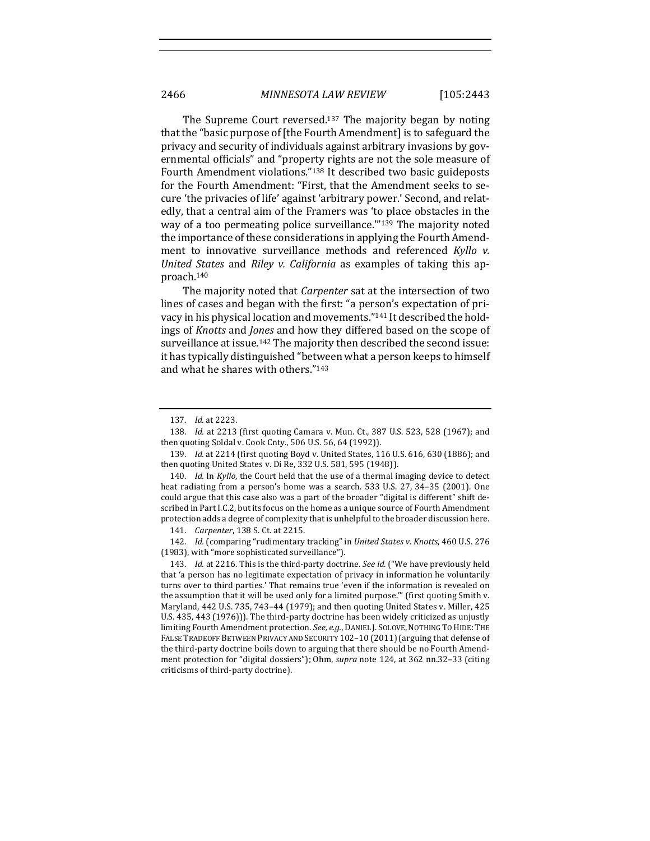The Supreme Court reversed.<sup>137</sup> The majority began by noting that the "basic purpose of [the Fourth Amendment] is to safeguard the privacy and security of individuals against arbitrary invasions by governmental officials" and "property rights are not the sole measure of Fourth Amendment violations."<sup>138</sup> It described two basic guideposts for the Fourth Amendment: "First, that the Amendment seeks to secure 'the privacies of life' against 'arbitrary power.' Second, and relatedly, that a central aim of the Framers was 'to place obstacles in the way of a too permeating police surveillance."<sup>139</sup> The majority noted the importance of these considerations in applying the Fourth Amendment to innovative surveillance methods and referenced *Kyllo v. United States* and *Riley v. California* as examples of taking this approach.140

The majority noted that *Carpenter* sat at the intersection of two lines of cases and began with the first: "a person's expectation of privacy in his physical location and movements."<sup>141</sup> It described the holdings of *Knotts* and *Jones* and how they differed based on the scope of surveillance at issue.<sup>142</sup> The majority then described the second issue: it has typically distinguished "between what a person keeps to himself and what he shares with others."<sup>143</sup>

140. *Id.* In *Kyllo*, the Court held that the use of a thermal imaging device to detect heat radiating from a person's home was a search.  $533$  U.S.  $27$ ,  $34-35$  (2001). One could argue that this case also was a part of the broader "digital is different" shift described in Part I.C.2, but its focus on the home as a unique source of Fourth Amendment protection adds a degree of complexity that is unhelpful to the broader discussion here.

142. *Id.* (comparing "rudimentary tracking" in *United States v. Knotts*, 460 U.S. 276 (1983), with "more sophisticated surveillance").

143. *Id.* at 2216. This is the third-party doctrine. *See id.* ("We have previously held that 'a person has no legitimate expectation of privacy in information he voluntarily turns over to third parties.' That remains true 'even if the information is revealed on the assumption that it will be used only for a limited purpose." (first quoting Smith v. Maryland, 442 U.S. 735, 743-44 (1979); and then quoting United States v. Miller, 425 U.S. 435, 443 (1976))). The third-party doctrine has been widely criticized as unjustly limiting Fourth Amendment protection. See, e.g., DANIEL J. SOLOVE, NOTHING TO HIDE: THE FALSE TRADEOFF BETWEEN PRIVACY AND SECURITY 102-10 (2011) (arguing that defense of the third-party doctrine boils down to arguing that there should be no Fourth Amendment protection for "digital dossiers"); Ohm, *supra* note 124, at 362 nn.32-33 (citing criticisms of third-party doctrine).

<sup>137.</sup> *Id.* at 2223.

<sup>138.</sup> *Id.* at 2213 (first quoting Camara v. Mun. Ct., 387 U.S. 523, 528 (1967); and then quoting Soldal v. Cook Cnty., 506 U.S. 56, 64 (1992)).

<sup>139.</sup> *Id.* at 2214 (first quoting Boyd v. United States, 116 U.S. 616, 630 (1886); and then quoting United States v. Di Re, 332 U.S. 581, 595 (1948)).

<sup>141.</sup> *Carpenter*, 138 S. Ct. at 2215.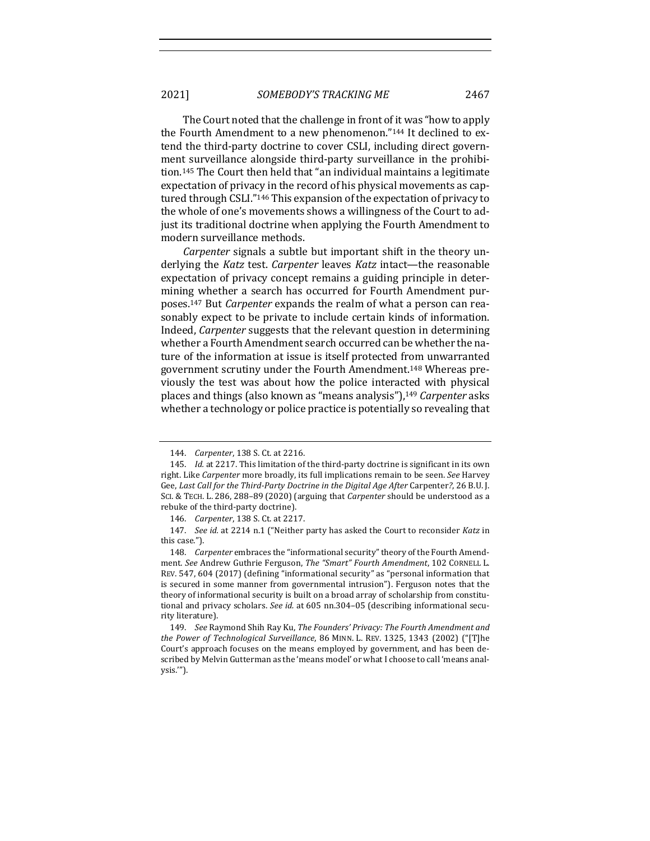2021] *SOMEBODY'S TRACKING ME* 2467

The Court noted that the challenge in front of it was "how to apply the Fourth Amendment to a new phenomenon."<sup>144</sup> It declined to extend the third-party doctrine to cover CSLI, including direct government surveillance alongside third-party surveillance in the prohibition.<sup>145</sup> The Court then held that "an individual maintains a legitimate expectation of privacy in the record of his physical movements as captured through CSLI."<sup>146</sup> This expansion of the expectation of privacy to the whole of one's movements shows a willingness of the Court to adjust its traditional doctrine when applying the Fourth Amendment to modern surveillance methods.

*Carpenter* signals a subtle but important shift in the theory underlying the *Katz* test. *Carpenter* leaves *Katz* intact—the reasonable expectation of privacy concept remains a guiding principle in determining whether a search has occurred for Fourth Amendment purposes.<sup>147</sup> But *Carpenter* expands the realm of what a person can reasonably expect to be private to include certain kinds of information. Indeed, *Carpenter* suggests that the relevant question in determining whether a Fourth Amendment search occurred can be whether the nature of the information at issue is itself protected from unwarranted government scrutiny under the Fourth Amendment.<sup>148</sup> Whereas previously the test was about how the police interacted with physical places and things (also known as "means analysis"),<sup>149</sup> *Carpenter* asks whether a technology or police practice is potentially so revealing that

<sup>144.</sup> *Carpenter*, 138 S. Ct. at 2216.

<sup>145.</sup> *Id.* at 2217. This limitation of the third-party doctrine is significant in its own right. Like *Carpenter* more broadly, its full implications remain to be seen. *See* Harvey Gee, Last Call for the Third-Party Doctrine in the Digital Age After Carpenter?, 26 B.U. J. SCI. & TECH. L. 286, 288-89 (2020) (arguing that *Carpenter* should be understood as a rebuke of the third-party doctrine).

<sup>146.</sup> *Carpenter*, 138 S. Ct. at 2217.

<sup>147.</sup> *See id.* at 2214 n.1 ("Neither party has asked the Court to reconsider Katz in this case.").

<sup>148.</sup> Carpenter embraces the "informational security" theory of the Fourth Amendment. See Andrew Guthrie Ferguson, The "Smart" Fourth Amendment, 102 CORNELL L. REV. 547, 604 (2017) (defining "informational security" as "personal information that is secured in some manner from governmental intrusion"). Ferguson notes that the theory of informational security is built on a broad array of scholarship from constitutional and privacy scholars. See id. at 605 nn.304-05 (describing informational security literature).

<sup>149.</sup> *See Raymond Shih Ray Ku, The Founders' Privacy: The Fourth Amendment and the Power of Technological Surveillance*, 86 MINN. L. REV. 1325, 1343 (2002) ("[T]he Court's approach focuses on the means employed by government, and has been described by Melvin Gutterman as the 'means model' or what I choose to call 'means analysis.'").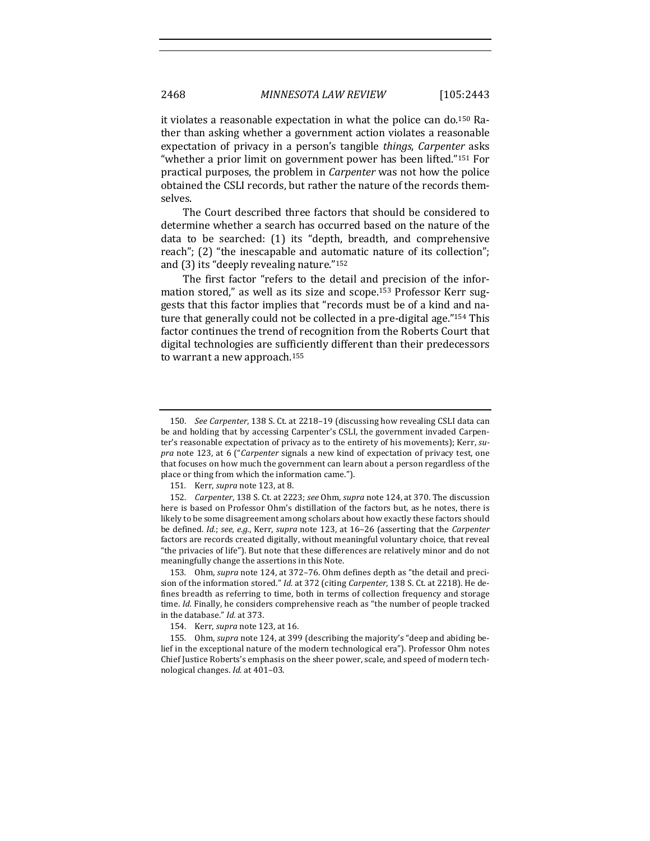it violates a reasonable expectation in what the police can do.<sup>150</sup> Rather than asking whether a government action violates a reasonable expectation of privacy in a person's tangible *things*, *Carpenter* asks "whether a prior limit on government power has been lifted."<sup>151</sup> For practical purposes, the problem in *Carpenter* was not how the police obtained the CSLI records, but rather the nature of the records themselves.

The Court described three factors that should be considered to determine whether a search has occurred based on the nature of the data to be searched: (1) its "depth, breadth, and comprehensive reach"; (2) "the inescapable and automatic nature of its collection"; and  $(3)$  its "deeply revealing nature."<sup>152</sup>

The first factor "refers to the detail and precision of the information stored," as well as its size and scope.<sup>153</sup> Professor Kerr suggests that this factor implies that "records must be of a kind and nature that generally could not be collected in a pre-digital age." $154$  This factor continues the trend of recognition from the Roberts Court that digital technologies are sufficiently different than their predecessors to warrant a new approach.<sup>155</sup>

153. Ohm, *supra* note 124, at 372-76. Ohm defines depth as "the detail and precision of the information stored." *Id.* at 372 (citing *Carpenter*, 138 S. Ct. at 2218). He defines breadth as referring to time, both in terms of collection frequency and storage time. *Id.* Finally, he considers comprehensive reach as "the number of people tracked in the database." *Id.* at 373.

<sup>150.</sup> *See Carpenter*, 138 S. Ct. at 2218-19 (discussing how revealing CSLI data can be and holding that by accessing Carpenter's CSLI, the government invaded Carpenter's reasonable expectation of privacy as to the entirety of his movements); Kerr, supra note 123, at 6 ("Carpenter signals a new kind of expectation of privacy test, one that focuses on how much the government can learn about a person regardless of the place or thing from which the information came.").

<sup>151.</sup> Kerr, *supra* note 123, at 8.

<sup>152.</sup> *Carpenter*, 138 S. Ct. at 2223; see Ohm, supra note 124, at 370. The discussion here is based on Professor Ohm's distillation of the factors but, as he notes, there is likely to be some disagreement among scholars about how exactly these factors should be defined. *Id.*; see, e.g., Kerr, supra note 123, at 16-26 (asserting that the *Carpenter* factors are records created digitally, without meaningful voluntary choice, that reveal "the privacies of life"). But note that these differences are relatively minor and do not meaningfully change the assertions in this Note.

<sup>154.</sup> Kerr, *supra* note 123, at 16.

<sup>155.</sup> Ohm, *supra* note 124, at 399 (describing the majority's "deep and abiding belief in the exceptional nature of the modern technological era"). Professor Ohm notes Chief Justice Roberts's emphasis on the sheer power, scale, and speed of modern technological changes. *Id.* at 401-03.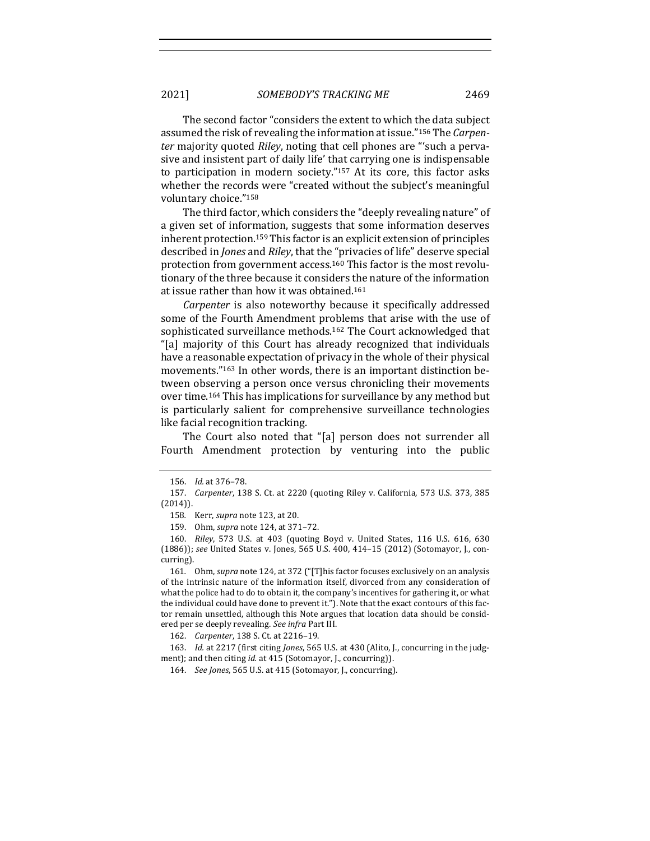The second factor "considers the extent to which the data subject assumed the risk of revealing the information at issue."<sup>156</sup> The *Carpenter* majority quoted *Riley*, noting that cell phones are "'such a pervasive and insistent part of daily life' that carrying one is indispensable to participation in modern society." $157$  At its core, this factor asks whether the records were "created without the subject's meaningful voluntary choice."158

The third factor, which considers the "deeply revealing nature" of a given set of information, suggests that some information deserves inherent protection.<sup>159</sup> This factor is an explicit extension of principles described in *Jones* and *Riley*, that the "privacies of life" deserve special protection from government access.<sup>160</sup> This factor is the most revolutionary of the three because it considers the nature of the information at issue rather than how it was obtained.<sup>161</sup>

*Carpenter* is also noteworthy because it specifically addressed some of the Fourth Amendment problems that arise with the use of sophisticated surveillance methods.<sup>162</sup> The Court acknowledged that "[a] majority of this Court has already recognized that individuals have a reasonable expectation of privacy in the whole of their physical movements."<sup>163</sup> In other words, there is an important distinction between observing a person once versus chronicling their movements over time.<sup>164</sup> This has implications for surveillance by any method but is particularly salient for comprehensive surveillance technologies like facial recognition tracking.

The Court also noted that "[a] person does not surrender all Fourth Amendment protection by venturing into the public

<sup>156.</sup> *Id.* at 376–78.

<sup>157.</sup> *Carpenter*, 138 S. Ct. at 2220 (quoting Riley v. California, 573 U.S. 373, 385 (2014)).

<sup>158.</sup> Kerr, *supra* note 123, at 20.

<sup>159.</sup> Ohm, *supra* note 124, at 371-72.

<sup>160.</sup> *Riley*, 573 U.S. at 403 (quoting Boyd v. United States, 116 U.S. 616, 630 (1886)); see United States v. Jones, 565 U.S. 400, 414-15 (2012) (Sotomayor, J., concurring).

<sup>161.</sup> Ohm, *supra* note 124, at 372 ("[T]his factor focuses exclusively on an analysis of the intrinsic nature of the information itself, divorced from any consideration of what the police had to do to obtain it, the company's incentives for gathering it, or what the individual could have done to prevent it."). Note that the exact contours of this factor remain unsettled, although this Note argues that location data should be considered per se deeply revealing. See infra Part III.

<sup>162.</sup> *Carpenter*, 138 S. Ct. at 2216-19.

<sup>163.</sup> *Id.* at 2217 (first citing *Jones*, 565 U.S. at 430 (Alito, J., concurring in the judgment); and then citing *id.* at 415 (Sotomayor, J., concurring)).

<sup>164.</sup> *See Jones*, 565 U.S. at 415 (Sotomayor, J., concurring).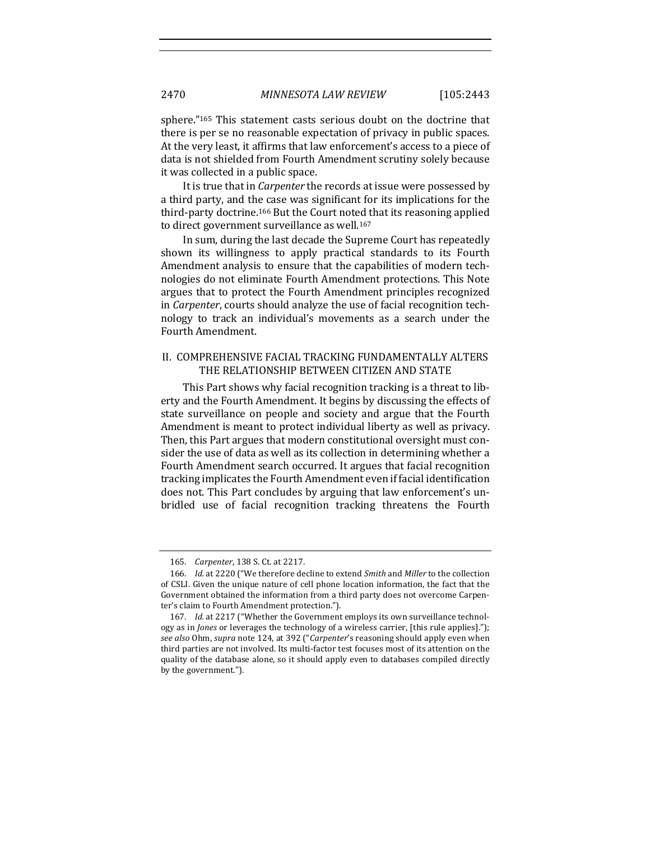sphere." $165$  This statement casts serious doubt on the doctrine that there is per se no reasonable expectation of privacy in public spaces. At the very least, it affirms that law enforcement's access to a piece of data is not shielded from Fourth Amendment scrutiny solely because it was collected in a public space.

It is true that in *Carpenter* the records at issue were possessed by a third party, and the case was significant for its implications for the third-party doctrine.<sup>166</sup> But the Court noted that its reasoning applied to direct government surveillance as well.<sup>167</sup>

In sum, during the last decade the Supreme Court has repeatedly shown its willingness to apply practical standards to its Fourth Amendment analysis to ensure that the capabilities of modern technologies do not eliminate Fourth Amendment protections. This Note argues that to protect the Fourth Amendment principles recognized in *Carpenter*, courts should analyze the use of facial recognition technology to track an individual's movements as a search under the Fourth Amendment.

# II. COMPREHENSIVE FACIAL TRACKING FUNDAMENTALLY ALTERS THE RELATIONSHIP BETWEEN CITIZEN AND STATE

This Part shows why facial recognition tracking is a threat to liberty and the Fourth Amendment. It begins by discussing the effects of state surveillance on people and society and argue that the Fourth Amendment is meant to protect individual liberty as well as privacy. Then, this Part argues that modern constitutional oversight must consider the use of data as well as its collection in determining whether a Fourth Amendment search occurred. It argues that facial recognition tracking implicates the Fourth Amendment even if facial identification does not. This Part concludes by arguing that law enforcement's unbridled use of facial recognition tracking threatens the Fourth

<sup>165.</sup> *Carpenter*, 138 S. Ct. at 2217.

<sup>166.</sup> *Id.* at 2220 ("We therefore decline to extend *Smith* and *Miller* to the collection of CSLI. Given the unique nature of cell phone location information, the fact that the Government obtained the information from a third party does not overcome Carpenter's claim to Fourth Amendment protection.").

<sup>167.</sup> *Id.* at 2217 ("Whether the Government employs its own surveillance technology as in *Jones* or leverages the technology of a wireless carrier, [this rule applies]."); *see also* Ohm, *supra* note 124, at 392 ("*Carpenter's* reasoning should apply even when third parties are not involved. Its multi-factor test focuses most of its attention on the quality of the database alone, so it should apply even to databases compiled directly by the government.").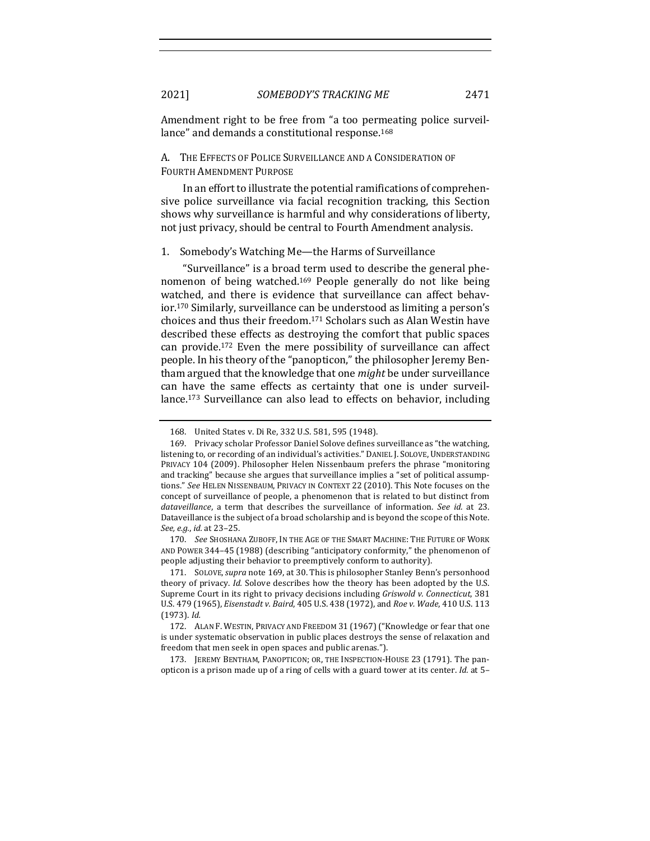Amendment right to be free from "a too permeating police surveillance" and demands a constitutional response.<sup>168</sup>

## A. THE EFFECTS OF POLICE SURVEILLANCE AND A CONSIDERATION OF FOURTH AMENDMENT PURPOSE

In an effort to illustrate the potential ramifications of comprehensive police surveillance via facial recognition tracking, this Section shows why surveillance is harmful and why considerations of liberty, not just privacy, should be central to Fourth Amendment analysis.

## 1. Somebody's Watching Me-the Harms of Surveillance

"Surveillance" is a broad term used to describe the general phenomenon of being watched.<sup>169</sup> People generally do not like being watched, and there is evidence that surveillance can affect behavior.<sup>170</sup> Similarly, surveillance can be understood as limiting a person's choices and thus their freedom.<sup>171</sup> Scholars such as Alan Westin have described these effects as destroying the comfort that public spaces can provide.<sup>172</sup> Even the mere possibility of surveillance can affect people. In his theory of the "panopticon," the philosopher Jeremy Bentham argued that the knowledge that one *might* be under surveillance can have the same effects as certainty that one is under surveillance.<sup>173</sup> Surveillance can also lead to effects on behavior, including

170. *See* SHOSHANA ZUBOFF, IN THE AGE OF THE SMART MACHINE: THE FUTURE OF WORK AND POWER  $344-45$  (1988) (describing "anticipatory conformity," the phenomenon of people adjusting their behavior to preemptively conform to authority).

173. JEREMY BENTHAM, PANOPTICON; OR, THE INSPECTION-HOUSE 23 (1791). The panopticon is a prison made up of a ring of cells with a guard tower at its center. *Id.* at 5–

<sup>168.</sup> United States v. Di Re, 332 U.S. 581, 595 (1948).

<sup>169.</sup> Privacy scholar Professor Daniel Solove defines surveillance as "the watching, listening to, or recording of an individual's activities." DANIEL J. SOLOVE, UNDERSTANDING PRIVACY 104 (2009). Philosopher Helen Nissenbaum prefers the phrase "monitoring and tracking" because she argues that surveillance implies a "set of political assumptions." See HELEN NISSENBAUM, PRIVACY IN CONTEXT 22 (2010). This Note focuses on the concept of surveillance of people, a phenomenon that is related to but distinct from *dataveillance*, a term that describes the surveillance of information. See id. at 23. Dataveillance is the subject of a broad scholarship and is beyond the scope of this Note. *See, e.g.*, *id.* at 23–25.

<sup>171.</sup> SOLOVE, *supra* note 169, at 30. This is philosopher Stanley Benn's personhood theory of privacy. *Id.* Solove describes how the theory has been adopted by the U.S. Supreme Court in its right to privacy decisions including *Griswold v. Connecticut*, 381 U.S. 479 (1965), *Eisenstadt v. Baird*, 405 U.S. 438 (1972), and *Roe v. Wade*, 410 U.S. 113 (1973). *Id.*

<sup>172.</sup> ALAN F. WESTIN, PRIVACY AND FREEDOM 31 (1967) ("Knowledge or fear that one is under systematic observation in public places destroys the sense of relaxation and freedom that men seek in open spaces and public arenas.").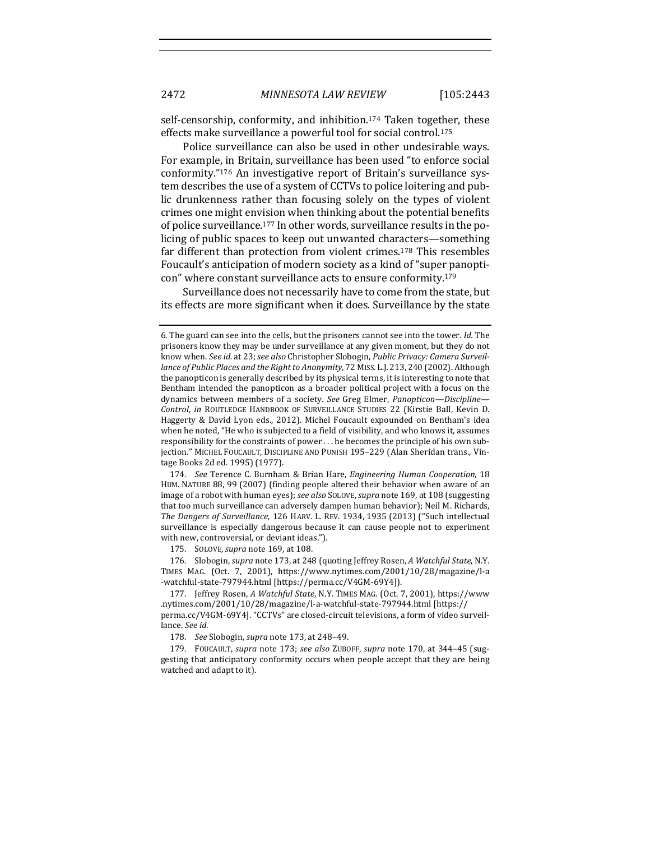self-censorship, conformity, and inhibition.<sup>174</sup> Taken together, these effects make surveillance a powerful tool for social control.<sup>175</sup>

Police surveillance can also be used in other undesirable ways. For example, in Britain, surveillance has been used "to enforce social conformity."176 An investigative report of Britain's surveillance system describes the use of a system of CCTVs to police loitering and public drunkenness rather than focusing solely on the types of violent crimes one might envision when thinking about the potential benefits of police surveillance.<sup>177</sup> In other words, surveillance results in the policing of public spaces to keep out unwanted characters—something far different than protection from violent crimes.<sup>178</sup> This resembles Foucault's anticipation of modern society as a kind of "super panopticon" where constant surveillance acts to ensure conformity.<sup>179</sup>

Surveillance does not necessarily have to come from the state, but its effects are more significant when it does. Surveillance by the state

174. *See* Terence C. Burnham & Brian Hare, *Engineering Human Cooperation*, 18 HUM. NATURE 88, 99 (2007) (finding people altered their behavior when aware of an image of a robot with human eyes); see also SOLOVE, supra note 169, at 108 (suggesting that too much surveillance can adversely dampen human behavior); Neil M. Richards, The Dangers of Surveillance, 126 HARV. L. REV. 1934, 1935 (2013) ("Such intellectual surveillance is especially dangerous because it can cause people not to experiment with new, controversial, or deviant ideas.").

175. SOLOVE, *supra* note 169, at 108.

176. Slobogin, *supra* note 173, at 248 (quoting Jeffrey Rosen, *A Watchful State*, N.Y. TIMES MAG. (Oct. 7, 2001), https://www.nytimes.com/2001/10/28/magazine/l-a -watchful-state-797944.html [https://perma.cc/V4GM-69Y4]).

178. *See* Slobogin, *supra* note 173, at 248-49.

179. FOUCAULT, *supra* note 173; *see also* ZUBOFF, *supra* note 170, at 344-45 (suggesting that anticipatory conformity occurs when people accept that they are being watched and adapt to it).

<sup>6.</sup> The guard can see into the cells, but the prisoners cannot see into the tower. *Id.* The prisoners know they may be under surveillance at any given moment, but they do not know when. See id. at 23; see also Christopher Slobogin, Public Privacy: Camera Surveil*lance of Public Places and the Right to Anonymity*, 72 MISS. L.J. 213, 240 (2002). Although the panopticon is generally described by its physical terms, it is interesting to note that Bentham intended the panopticon as a broader political project with a focus on the dynamics between members of a society. See Greg Elmer, *Panopticon—Discipline—* **Control, in ROUTLEDGE HANDBOOK OF SURVEILLANCE STUDIES 22 (Kirstie Ball, Kevin D.** Haggerty & David Lyon eds., 2012). Michel Foucault expounded on Bentham's idea when he noted, "He who is subjected to a field of visibility, and who knows it, assumes responsibility for the constraints of power ... he becomes the principle of his own subjection." MICHEL FOUCAULT, DISCIPLINE AND PUNISH 195-229 (Alan Sheridan trans., Vintage Books 2d ed. 1995) (1977).

<sup>177.</sup> Jeffrey Rosen, *A Watchful State*, N.Y. TIMES MAG. (Oct. 7, 2001), https://www .nytimes.com/2001/10/28/magazine/l-a-watchful-state-797944.html [https://

perma.cc/V4GM-69Y4]. "CCTVs" are closed-circuit televisions, a form of video surveillance. *See id.*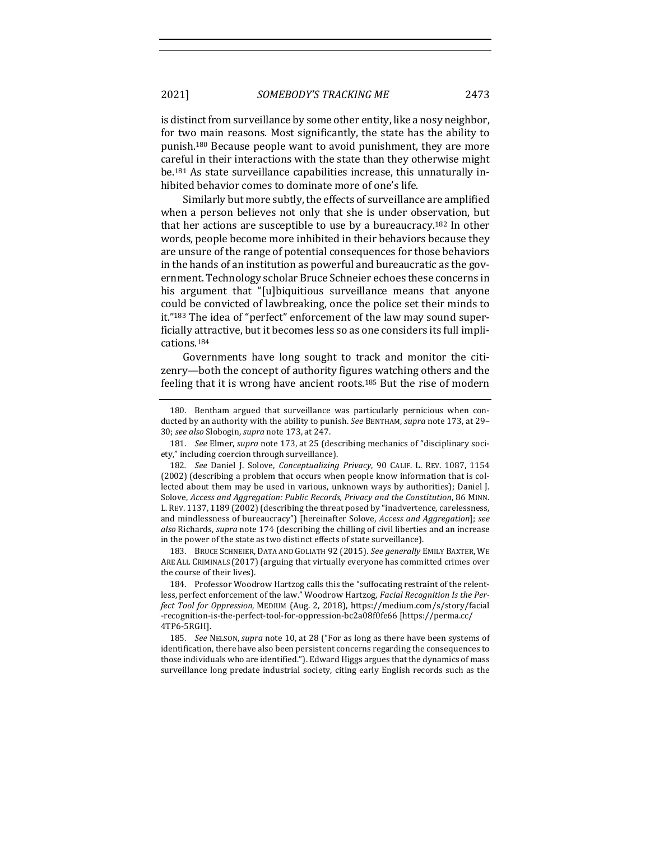2021] *SOMEBODY'S TRACKING ME* 2473

is distinct from surveillance by some other entity, like a nosy neighbor, for two main reasons. Most significantly, the state has the ability to punish.<sup>180</sup> Because people want to avoid punishment, they are more careful in their interactions with the state than they otherwise might be.<sup>181</sup> As state surveillance capabilities increase, this unnaturally inhibited behavior comes to dominate more of one's life.

Similarly but more subtly, the effects of surveillance are amplified when a person believes not only that she is under observation, but that her actions are susceptible to use by a bureaucracy.<sup>182</sup> In other words, people become more inhibited in their behaviors because they are unsure of the range of potential consequences for those behaviors in the hands of an institution as powerful and bureaucratic as the government. Technology scholar Bruce Schneier echoes these concerns in his argument that "[u]biquitious surveillance means that anyone could be convicted of lawbreaking, once the police set their minds to it."<sup>183</sup> The idea of "perfect" enforcement of the law may sound superficially attractive, but it becomes less so as one considers its full implications.184

Governments have long sought to track and monitor the citizenry—both the concept of authority figures watching others and the feeling that it is wrong have ancient roots.<sup>185</sup> But the rise of modern

181. *See* Elmer, *supra* note 173, at 25 (describing mechanics of "disciplinary society," including coercion through surveillance).

182. *See* Daniel J. Solove, *Conceptualizing Privacy*, 90 CALIF. L. REV. 1087, 1154 (2002) (describing a problem that occurs when people know information that is collected about them may be used in various, unknown ways by authorities); Daniel J. Solove, *Access and Aggregation: Public Records, Privacy and the Constitution*, 86 MINN. L. REV. 1137, 1189 (2002) (describing the threat posed by "inadvertence, carelessness, and mindlessness of bureaucracy") [hereinafter Solove, *Access and Aggregation*]; *see also* Richards, *supra* note 174 (describing the chilling of civil liberties and an increase in the power of the state as two distinct effects of state surveillance).

183. BRUCE SCHNEIER, DATA AND GOLIATH 92 (2015). See generally EMILY BAXTER, WE ARE ALL CRIMINALS (2017) (arguing that virtually everyone has committed crimes over the course of their lives).

184. Professor Woodrow Hartzog calls this the "suffocating restraint of the relentless, perfect enforcement of the law." Woodrow Hartzog, *Facial Recognition Is the Perfect Tool for Oppression*, MEDIUM (Aug. 2, 2018), https://medium.com/s/story/facial -recognition-is-the-perfect-tool-for-oppression-bc2a08f0fe66 [https://perma.cc/ 4TP6-5RGH].

185. *See* NELSON, *supra* note 10, at 28 ("For as long as there have been systems of identification, there have also been persistent concerns regarding the consequences to those individuals who are identified."). Edward Higgs argues that the dynamics of mass surveillance long predate industrial society, citing early English records such as the

<sup>180.</sup> Bentham argued that surveillance was particularly pernicious when conducted by an authority with the ability to punish. See BENTHAM, supra note 173, at 29-30; see also Slobogin, supra note 173, at 247.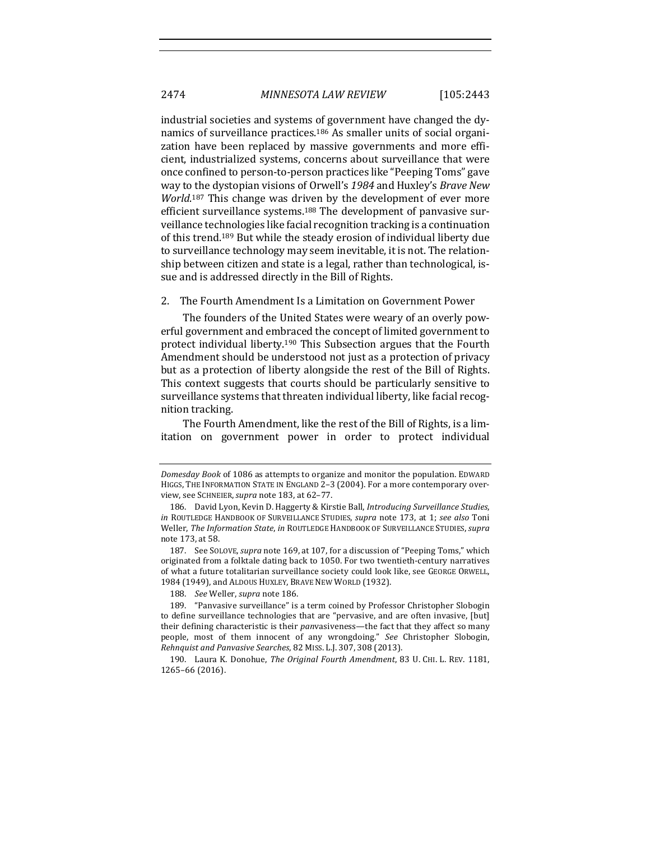industrial societies and systems of government have changed the dynamics of surveillance practices.<sup>186</sup> As smaller units of social organization have been replaced by massive governments and more efficient, industrialized systems, concerns about surveillance that were once confined to person-to-person practices like "Peeping Toms" gave way to the dystopian visions of Orwell's 1984 and Huxley's *Brave New* World.<sup>187</sup> This change was driven by the development of ever more efficient surveillance systems.<sup>188</sup> The development of panvasive surveillance technologies like facial recognition tracking is a continuation of this trend.<sup>189</sup> But while the steady erosion of individual liberty due to surveillance technology may seem inevitable, it is not. The relationship between citizen and state is a legal, rather than technological, issue and is addressed directly in the Bill of Rights.

2. The Fourth Amendment Is a Limitation on Government Power

The founders of the United States were weary of an overly powerful government and embraced the concept of limited government to protect individual liberty.<sup>190</sup> This Subsection argues that the Fourth Amendment should be understood not just as a protection of privacy but as a protection of liberty alongside the rest of the Bill of Rights. This context suggests that courts should be particularly sensitive to surveillance systems that threaten individual liberty, like facial recognition tracking.

The Fourth Amendment, like the rest of the Bill of Rights, is a limitation on government power in order to protect individual

*Domesday Book* of 1086 as attempts to organize and monitor the population. EDWARD HIGGS, THE INFORMATION STATE IN ENGLAND 2-3 (2004). For a more contemporary overview, see SCHNEIER, *supra* note 183, at 62-77.

<sup>186.</sup> David Lyon, Kevin D. Haggerty & Kirstie Ball, *Introducing Surveillance Studies*, *in* ROUTLEDGE HANDBOOK OF SURVEILLANCE STUDIES, *supra* note 173, at 1; *see also* Toni Weller, *The Information State, in* ROUTLEDGE HANDBOOK OF SURVEILLANCE STUDIES, *supra* note 173, at 58.

<sup>187.</sup> See SOLOVE, *supra* note 169, at 107, for a discussion of "Peeping Toms," which originated from a folktale dating back to 1050. For two twentieth-century narratives of what a future totalitarian surveillance society could look like, see GEORGE ORWELL, 1984 (1949), and ALDOUS HUXLEY, BRAVE NEW WORLD (1932).

<sup>188.</sup> See Weller, *supra* note 186.

<sup>189. &</sup>quot;Panvasive surveillance" is a term coined by Professor Christopher Slobogin to define surveillance technologies that are "pervasive, and are often invasive, [but] their defining characteristic is their *panvasiveness*—the fact that they affect so many people, most of them innocent of any wrongdoing." See Christopher Slobogin, *Rehnquist and Panvasive Searches*, 82 MISS. L.J. 307, 308 (2013).

<sup>190.</sup> Laura K. Donohue, *The Original Fourth Amendment*, 83 U. CHI. L. REV. 1181, 1265–66 (2016).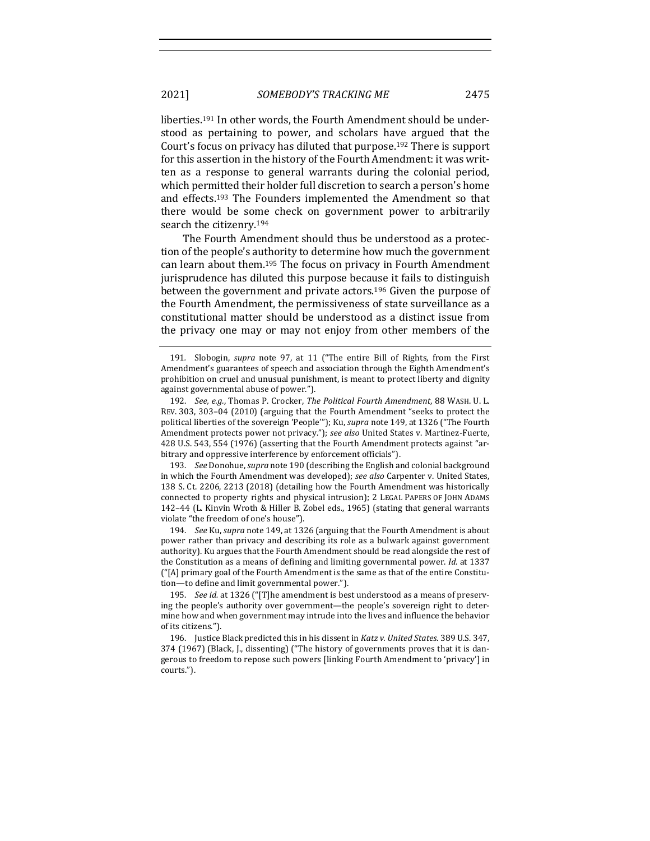liberties.<sup>191</sup> In other words, the Fourth Amendment should be understood as pertaining to power, and scholars have argued that the Court's focus on privacy has diluted that purpose.<sup>192</sup> There is support for this assertion in the history of the Fourth Amendment: it was written as a response to general warrants during the colonial period, which permitted their holder full discretion to search a person's home and effects.<sup>193</sup> The Founders implemented the Amendment so that there would be some check on government power to arbitrarily search the citizenry.<sup>194</sup>

The Fourth Amendment should thus be understood as a protection of the people's authority to determine how much the government can learn about them.<sup>195</sup> The focus on privacy in Fourth Amendment jurisprudence has diluted this purpose because it fails to distinguish between the government and private actors.<sup>196</sup> Given the purpose of the Fourth Amendment, the permissiveness of state surveillance as a constitutional matter should be understood as a distinct issue from the privacy one may or may not enjoy from other members of the

193. *See* Donohue, *supra* note 190 (describing the English and colonial background in which the Fourth Amendment was developed); *see also* Carpenter v. United States, 138 S. Ct. 2206, 2213 (2018) (detailing how the Fourth Amendment was historically connected to property rights and physical intrusion); 2 LEGAL PAPERS OF JOHN ADAMS 142-44 (L. Kinvin Wroth & Hiller B. Zobel eds., 1965) (stating that general warrants violate "the freedom of one's house").

194. *See Ku, supra* note 149, at 1326 (arguing that the Fourth Amendment is about power rather than privacy and describing its role as a bulwark against government authority). Ku argues that the Fourth Amendment should be read alongside the rest of the Constitution as a means of defining and limiting governmental power. *Id.* at 1337 ("[A] primary goal of the Fourth Amendment is the same as that of the entire Constitution—to define and limit governmental power.").

195. *See id.* at 1326 ("[T]he amendment is best understood as a means of preserving the people's authority over government—the people's sovereign right to determine how and when government may intrude into the lives and influence the behavior of its citizens.").

196. Justice Black predicted this in his dissent in *Katz v. United States*. 389 U.S. 347, 374 (1967) (Black, J., dissenting) ("The history of governments proves that it is dangerous to freedom to repose such powers [linking Fourth Amendment to 'privacy'] in courts."). 

<sup>191.</sup> Slobogin, *supra* note 97, at 11 ("The entire Bill of Rights, from the First Amendment's guarantees of speech and association through the Eighth Amendment's prohibition on cruel and unusual punishment, is meant to protect liberty and dignity against governmental abuse of power.").

<sup>192.</sup> *See, e.g.*, Thomas P. Crocker, *The Political Fourth Amendment*, 88 WASH. U. L. REV. 303, 303-04 (2010) (arguing that the Fourth Amendment "seeks to protect the political liberties of the sovereign 'People'"); Ku, *supra* note 149, at 1326 ("The Fourth Amendment protects power not privacy."); see also United States v. Martinez-Fuerte, 428 U.S. 543, 554 (1976) (asserting that the Fourth Amendment protects against "arbitrary and oppressive interference by enforcement officials").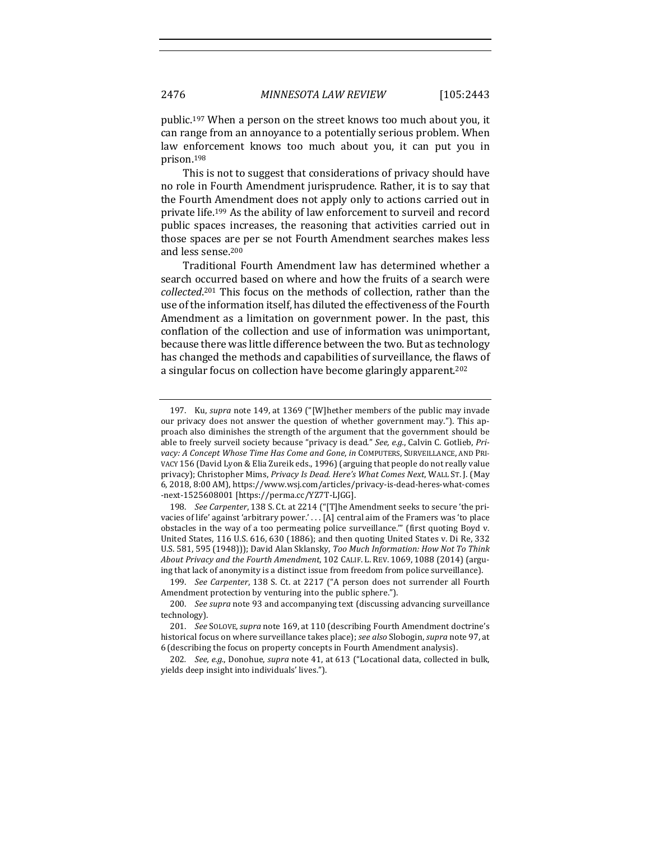public.<sup>197</sup> When a person on the street knows too much about you, it can range from an annoyance to a potentially serious problem. When law enforcement knows too much about you, it can put you in prison.198

This is not to suggest that considerations of privacy should have no role in Fourth Amendment jurisprudence. Rather, it is to say that the Fourth Amendment does not apply only to actions carried out in private life.<sup>199</sup> As the ability of law enforcement to surveil and record public spaces increases, the reasoning that activities carried out in those spaces are per se not Fourth Amendment searches makes less and less sense.<sup>200</sup>

Traditional Fourth Amendment law has determined whether a search occurred based on where and how the fruits of a search were collected.<sup>201</sup> This focus on the methods of collection, rather than the use of the information itself, has diluted the effectiveness of the Fourth Amendment as a limitation on government power. In the past, this conflation of the collection and use of information was unimportant, because there was little difference between the two. But as technology has changed the methods and capabilities of surveillance, the flaws of a singular focus on collection have become glaringly apparent.<sup>202</sup>

198. *See Carpenter*, 138 S. Ct. at 2214 ("[T]he Amendment seeks to secure 'the privacies of life' against 'arbitrary power.' . . . [A] central aim of the Framers was 'to place obstacles in the way of a too permeating police surveillance."" (first quoting Boyd v. United States, 116 U.S. 616, 630 (1886); and then quoting United States v. Di Re, 332 U.S. 581, 595 (1948))); David Alan Sklansky, Too Much Information: How Not To Think About Privacy and the Fourth Amendment, 102 CALIF. L. REV. 1069, 1088 (2014) (arguing that lack of anonymity is a distinct issue from freedom from police surveillance).

202. *See, e.g.*, Donohue, *supra* note 41, at 613 ("Locational data, collected in bulk, yields deep insight into individuals' lives.").

<sup>197.</sup> Ku, *supra* note 149, at 1369 ("[W]hether members of the public may invade our privacy does not answer the question of whether government may."). This approach also diminishes the strength of the argument that the government should be able to freely surveil society because "privacy is dead." See, e.g., Calvin C. Gotlieb, Pri*vacy: A Concept Whose Time Has Come and Gone, in COMPUTERS, SURVEILLANCE, AND PRI-*VACY 156 (David Lyon & Elia Zureik eds., 1996) (arguing that people do not really value privacy); Christopher Mims, Privacy Is Dead. Here's What Comes Next, WALL ST. J. (May 6, 2018, 8:00 AM), https://www.wsj.com/articles/privacy-is-dead-heres-what-comes -next-1525608001 [https://perma.cc/YZ7T-LJGG].

<sup>199.</sup> *See Carpenter*, 138 S. Ct. at 2217 ("A person does not surrender all Fourth Amendment protection by venturing into the public sphere.").

<sup>200.</sup> *See supra* note 93 and accompanying text (discussing advancing surveillance technology).

<sup>201.</sup> *See* SOLOVE, *supra* note 169, at 110 (describing Fourth Amendment doctrine's historical focus on where surveillance takes place); see also Slobogin, supra note 97, at 6 (describing the focus on property concepts in Fourth Amendment analysis).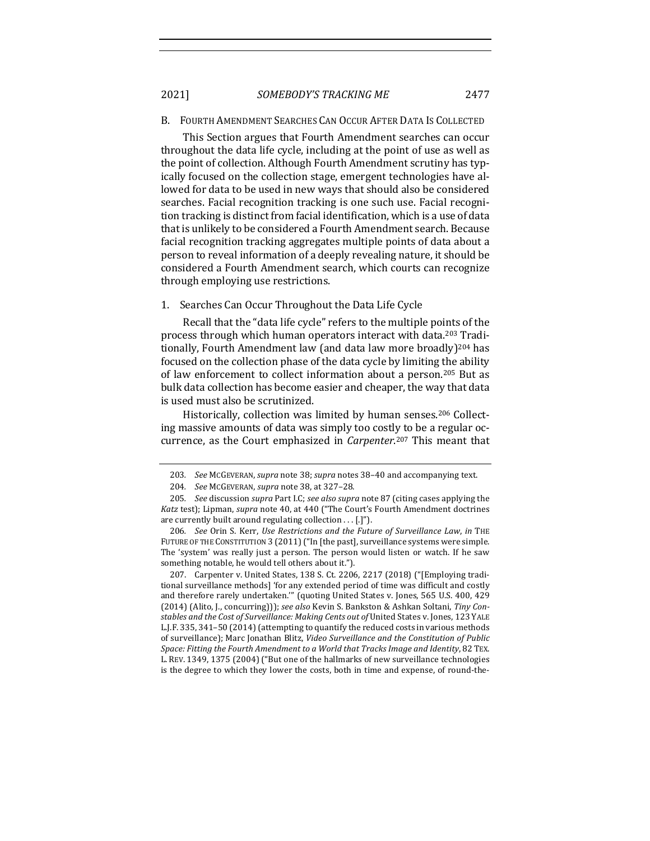2021] *SOMEBODY'S TRACKING ME* 2477

#### B. FOURTH AMENDMENT SEARCHES CAN OCCUR AFTER DATA IS COLLECTED

This Section argues that Fourth Amendment searches can occur throughout the data life cycle, including at the point of use as well as the point of collection. Although Fourth Amendment scrutiny has typically focused on the collection stage, emergent technologies have allowed for data to be used in new ways that should also be considered searches. Facial recognition tracking is one such use. Facial recognition tracking is distinct from facial identification, which is a use of data that is unlikely to be considered a Fourth Amendment search. Because facial recognition tracking aggregates multiple points of data about a person to reveal information of a deeply revealing nature, it should be considered a Fourth Amendment search, which courts can recognize through employing use restrictions.

## 1. Searches Can Occur Throughout the Data Life Cycle

Recall that the "data life cycle" refers to the multiple points of the process through which human operators interact with data.<sup>203</sup> Traditionally, Fourth Amendment law (and data law more broadly)<sup>204</sup> has focused on the collection phase of the data cycle by limiting the ability of law enforcement to collect information about a person.<sup>205</sup> But as bulk data collection has become easier and cheaper, the way that data is used must also be scrutinized.

Historically, collection was limited by human senses.<sup>206</sup> Collecting massive amounts of data was simply too costly to be a regular occurrence, as the Court emphasized in *Carpenter*.<sup>207</sup> This meant that

207. Carpenter v. United States, 138 S. Ct. 2206, 2217 (2018) ("[Employing traditional surveillance methods] 'for any extended period of time was difficult and costly and therefore rarely undertaken."" (quoting United States v. Jones, 565 U.S. 400, 429 (2014) (Alito, J., concurring))); *see also* Kevin S. Bankston & Ashkan Soltani, Tiny Constables and the Cost of Surveillance: Making Cents out of United States v. Jones, 123 YALE L.J.F. 335, 341–50 (2014) (attempting to quantify the reduced costs in various methods of surveillance); Marc Jonathan Blitz, *Video Surveillance and the Constitution of Public* Space: Fitting the Fourth Amendment to a World that Tracks Image and Identity, 82 TEX. L. REV. 1349, 1375 (2004) ("But one of the hallmarks of new surveillance technologies is the degree to which they lower the costs, both in time and expense, of round-the-

<sup>203.</sup> *See* McGEVERAN, *supra* note 38; *supra* notes 38-40 and accompanying text.

<sup>204</sup>*. See* MCGEVERAN, *supra* note 38, at 327–28.

<sup>205.</sup> *See* discussion *supra* Part I.C; *see also supra* note 87 (citing cases applying the Katz test); Lipman, *supra* note 40, at 440 ("The Court's Fourth Amendment doctrines are currently built around regulating collection  $\dots$  [.]").

<sup>206</sup>*. See* Orin S. Kerr, *Use Restrictions and the Future of Surveillance Law*, *in* THE FUTURE OF THE CONSTITUTION 3 (2011) ("In [the past], surveillance systems were simple. The 'system' was really just a person. The person would listen or watch. If he saw something notable, he would tell others about it.").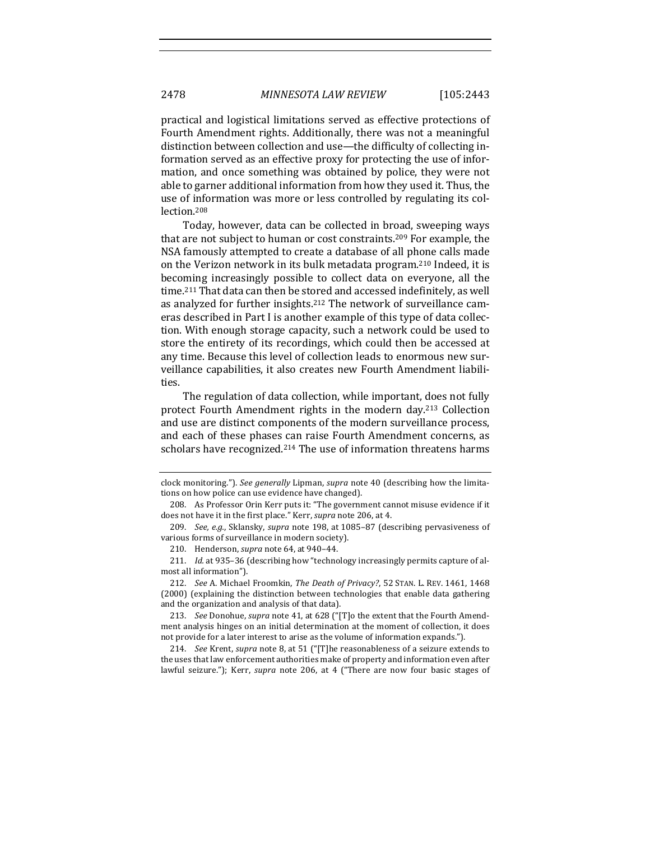practical and logistical limitations served as effective protections of Fourth Amendment rights. Additionally, there was not a meaningful distinction between collection and use—the difficulty of collecting information served as an effective proxy for protecting the use of information, and once something was obtained by police, they were not able to garner additional information from how they used it. Thus, the use of information was more or less controlled by regulating its collection.208

Today, however, data can be collected in broad, sweeping ways that are not subject to human or cost constraints.<sup>209</sup> For example, the NSA famously attempted to create a database of all phone calls made on the Verizon network in its bulk metadata program.<sup>210</sup> Indeed, it is becoming increasingly possible to collect data on everyone, all the time.<sup>211</sup> That data can then be stored and accessed indefinitely, as well as analyzed for further insights.<sup>212</sup> The network of surveillance cameras described in Part I is another example of this type of data collection. With enough storage capacity, such a network could be used to store the entirety of its recordings, which could then be accessed at any time. Because this level of collection leads to enormous new surveillance capabilities, it also creates new Fourth Amendment liabilities.

The regulation of data collection, while important, does not fully protect Fourth Amendment rights in the modern day.<sup>213</sup> Collection and use are distinct components of the modern surveillance process, and each of these phases can raise Fourth Amendment concerns, as scholars have recognized.<sup>214</sup> The use of information threatens harms

clock monitoring."). *See generally* Lipman, *supra* note 40 (describing how the limitations on how police can use evidence have changed).

<sup>208.</sup> As Professor Orin Kerr puts it: "The government cannot misuse evidence if it does not have it in the first place." Kerr, *supra* note 206, at 4.

<sup>209.</sup> *See, e.g.*, Sklansky, *supra* note 198, at 1085-87 (describing pervasiveness of various forms of surveillance in modern society).

<sup>210.</sup> Henderson, *supra* note 64, at 940-44.

<sup>211.</sup> *Id.* at 935-36 (describing how "technology increasingly permits capture of almost all information").

<sup>212.</sup> *See* A. Michael Froomkin, *The Death of Privacy?*, 52 STAN. L. REV. 1461, 1468 (2000) (explaining the distinction between technologies that enable data gathering and the organization and analysis of that data).

<sup>213.</sup> *See* Donohue, *supra* note 41, at 628 ("[T]o the extent that the Fourth Amendment analysis hinges on an initial determination at the moment of collection, it does not provide for a later interest to arise as the volume of information expands.").

<sup>214.</sup> *See* Krent, *supra* note 8, at 51 ("[T]he reasonableness of a seizure extends to the uses that law enforcement authorities make of property and information even after lawful seizure."); Kerr, *supra* note 206, at 4 ("There are now four basic stages of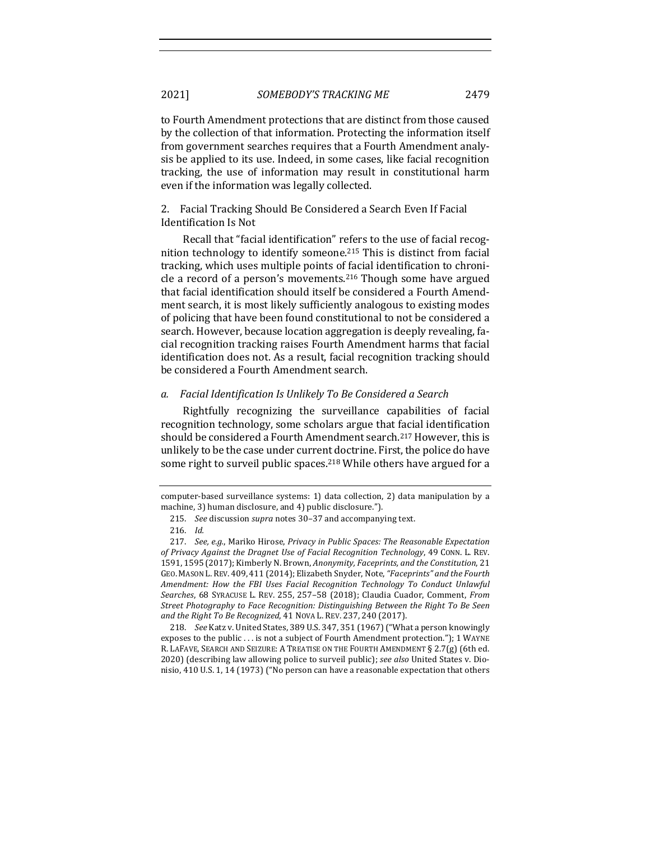to Fourth Amendment protections that are distinct from those caused by the collection of that information. Protecting the information itself from government searches requires that a Fourth Amendment analysis be applied to its use. Indeed, in some cases, like facial recognition tracking, the use of information may result in constitutional harm even if the information was legally collected.

# 2. Facial Tracking Should Be Considered a Search Even If Facial Identification Is Not

Recall that "facial identification" refers to the use of facial recognition technology to identify someone.<sup>215</sup> This is distinct from facial tracking, which uses multiple points of facial identification to chronicle a record of a person's movements.<sup>216</sup> Though some have argued that facial identification should itself be considered a Fourth Amendment search, it is most likely sufficiently analogous to existing modes of policing that have been found constitutional to not be considered a search. However, because location aggregation is deeply revealing, facial recognition tracking raises Fourth Amendment harms that facial identification does not. As a result, facial recognition tracking should be considered a Fourth Amendment search.

#### *a. Facial Identification Is Unlikely To Be Considered a Search*

Rightfully recognizing the surveillance capabilities of facial recognition technology, some scholars argue that facial identification should be considered a Fourth Amendment search.<sup>217</sup> However, this is unlikely to be the case under current doctrine. First, the police do have some right to surveil public spaces.<sup>218</sup> While others have argued for a

218. *See* Katz v. United States, 389 U.S. 347, 351 (1967) ("What a person knowingly exposes to the public  $\dots$  is not a subject of Fourth Amendment protection."); 1 WAYNE R. LAFAVE, SEARCH AND SEIZURE: A TREATISE ON THE FOURTH AMENDMENT § 2.7(g) (6th ed. 2020) (describing law allowing police to surveil public); see also United States v. Dionisio, 410 U.S. 1, 14 (1973) ("No person can have a reasonable expectation that others

computer-based surveillance systems: 1) data collection, 2) data manipulation by a machine, 3) human disclosure, and 4) public disclosure.").

<sup>215.</sup> *See* discussion *supra* notes 30-37 and accompanying text.

<sup>216.</sup> *Id.*

<sup>217.</sup> *See, e.g.*, Mariko Hirose, *Privacy in Public Spaces: The Reasonable Expectation of Privacy Against the Dragnet Use of Facial Recognition Technology*, 49 CONN. L. REV. 1591, 1595 (2017); Kimberly N. Brown, *Anonymity, Faceprints, and the Constitution*, 21 GEO. MASON L. REV. 409, 411 (2014); Elizabeth Snyder, Note, "Faceprints" and the Fourth Amendment: How the FBI Uses Facial Recognition Technology To Conduct Unlawful Searches, 68 SYRACUSE L. REV. 255, 257-58 (2018); Claudia Cuador, Comment, *From Street Photography to Face Recognition: Distinguishing Between the Right To Be Seen* and the Right To Be Recognized, 41 NOVA L. REV. 237, 240 (2017).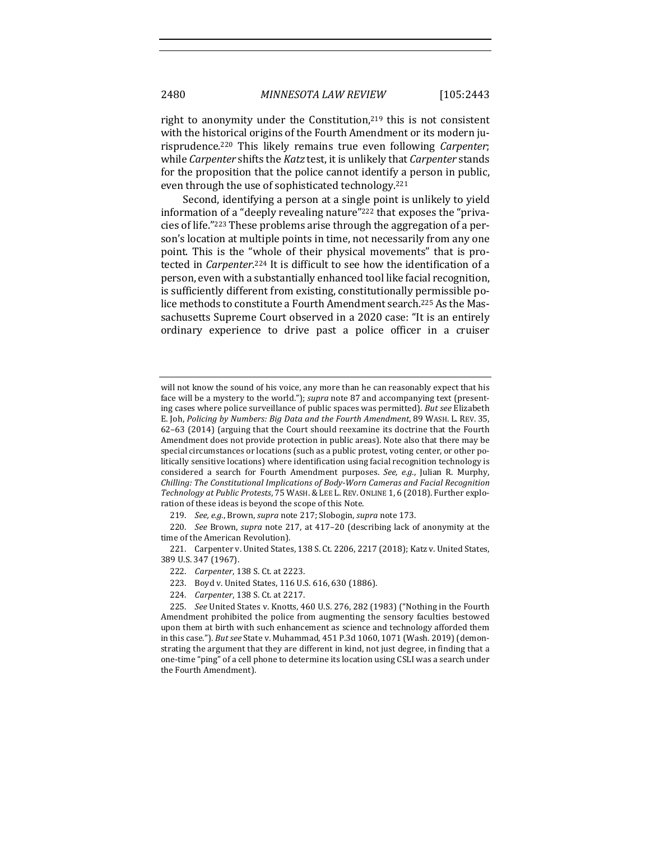right to anonymity under the Constitution, $219$  this is not consistent with the historical origins of the Fourth Amendment or its modern jurisprudence.<sup>220</sup> This likely remains true even following *Carpenter*; while *Carpenter* shifts the *Katz* test, it is unlikely that *Carpenter* stands for the proposition that the police cannot identify a person in public, even through the use of sophisticated technology.<sup>221</sup>

Second, identifying a person at a single point is unlikely to yield information of a "deeply revealing nature"<sup>222</sup> that exposes the "privacies of life."<sup>223</sup> These problems arise through the aggregation of a person's location at multiple points in time, not necessarily from any one point. This is the "whole of their physical movements" that is protected in *Carpenter.*<sup>224</sup> It is difficult to see how the identification of a person, even with a substantially enhanced tool like facial recognition, is sufficiently different from existing, constitutionally permissible police methods to constitute a Fourth Amendment search.<sup>225</sup> As the Massachusetts Supreme Court observed in a 2020 case: "It is an entirely ordinary experience to drive past a police officer in a cruiser

219. *See, e.g.*, Brown, *supra* note 217; Slobogin, *supra* note 173.

220. *See* Brown, *supra* note 217, at 417-20 (describing lack of anonymity at the time of the American Revolution).

221. Carpenter v. United States, 138 S. Ct. 2206, 2217 (2018); Katz v. United States, 389 U.S. 347 (1967).

- 223. Boyd v. United States, 116 U.S. 616, 630 (1886).
- 224. *Carpenter*, 138 S. Ct. at 2217.

will not know the sound of his voice, any more than he can reasonably expect that his face will be a mystery to the world."); *supra* note 87 and accompanying text (presenting cases where police surveillance of public spaces was permitted). But see Elizabeth E. Joh, Policing by Numbers: Big Data and the Fourth Amendment, 89 WASH. L. REV. 35, 62-63 (2014) (arguing that the Court should reexamine its doctrine that the Fourth Amendment does not provide protection in public areas). Note also that there may be special circumstances or locations (such as a public protest, voting center, or other politically sensitive locations) where identification using facial recognition technology is considered a search for Fourth Amendment purposes. See, e.g., Julian R. Murphy, *Chilling: The Constitutional Implications of Body-Worn Cameras and Facial Recognition Technology at Public Protests*, 75 WASH. & LEE L. REV. ONLINE 1, 6 (2018). Further exploration of these ideas is beyond the scope of this Note.

<sup>222.</sup> *Carpenter*, 138 S. Ct. at 2223.

<sup>225.</sup> *See* United States v. Knotts, 460 U.S. 276, 282 (1983) ("Nothing in the Fourth Amendment prohibited the police from augmenting the sensory faculties bestowed upon them at birth with such enhancement as science and technology afforded them in this case."). *But see* State v. Muhammad, 451 P.3d 1060, 1071 (Wash. 2019) (demonstrating the argument that they are different in kind, not just degree, in finding that a one-time "ping" of a cell phone to determine its location using CSLI was a search under the Fourth Amendment).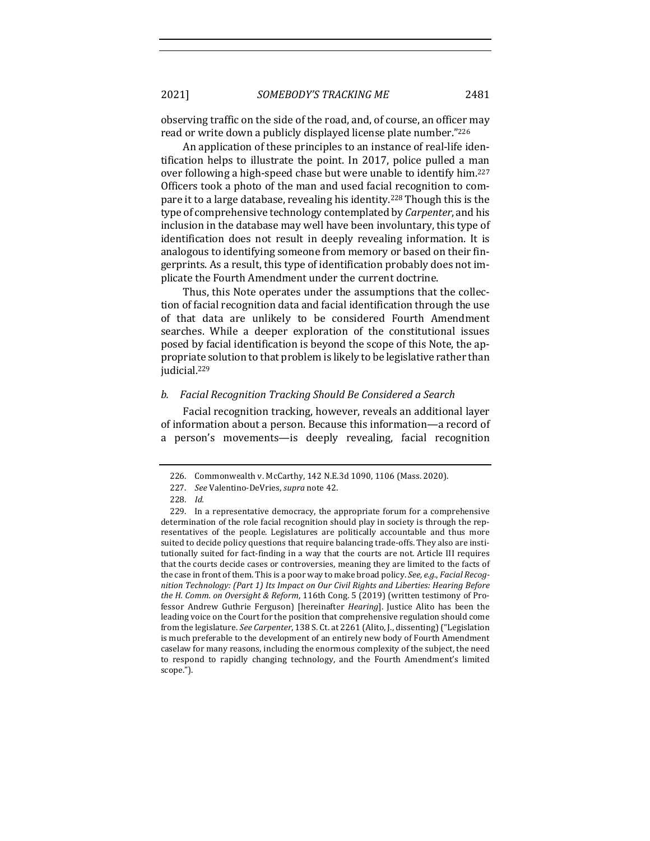observing traffic on the side of the road, and, of course, an officer may read or write down a publicly displayed license plate number."226

An application of these principles to an instance of real-life identification helps to illustrate the point. In 2017, police pulled a man over following a high-speed chase but were unable to identify him.<sup>227</sup> Officers took a photo of the man and used facial recognition to compare it to a large database, revealing his identity.<sup>228</sup> Though this is the type of comprehensive technology contemplated by *Carpenter*, and his inclusion in the database may well have been involuntary, this type of identification does not result in deeply revealing information. It is analogous to identifying someone from memory or based on their fingerprints. As a result, this type of identification probably does not implicate the Fourth Amendment under the current doctrine.

Thus, this Note operates under the assumptions that the collection of facial recognition data and facial identification through the use of that data are unlikely to be considered Fourth Amendment searches. While a deeper exploration of the constitutional issues posed by facial identification is beyond the scope of this Note, the appropriate solution to that problem is likely to be legislative rather than judicial.229

#### *b. Facial Recognition Tracking Should Be Considered a Search*

Facial recognition tracking, however, reveals an additional layer of information about a person. Because this information—a record of a person's movements—is deeply revealing, facial recognition

<sup>226.</sup> Commonwealth v. McCarthy, 142 N.E.3d 1090, 1106 (Mass. 2020).

<sup>227.</sup> *See* Valentino-DeVries, *supra* note 42.

<sup>228.</sup> *Id.*

<sup>229.</sup> In a representative democracy, the appropriate forum for a comprehensive determination of the role facial recognition should play in society is through the representatives of the people. Legislatures are politically accountable and thus more suited to decide policy questions that require balancing trade-offs. They also are institutionally suited for fact-finding in a way that the courts are not. Article III requires that the courts decide cases or controversies, meaning they are limited to the facts of the case in front of them. This is a poor way to make broad policy. *See, e.g., Facial Recog*nition Technology: (Part 1) Its Impact on Our Civil Rights and Liberties: Hearing Before *the H. Comm. on Oversight & Reform,* 116th Cong. 5 (2019) (written testimony of Professor Andrew Guthrie Ferguson) [hereinafter *Hearing*]. Justice Alito has been the leading voice on the Court for the position that comprehensive regulation should come from the legislature. *See Carpenter*, 138 S. Ct. at 2261 (Alito, J., dissenting) ("Legislation is much preferable to the development of an entirely new body of Fourth Amendment caselaw for many reasons, including the enormous complexity of the subject, the need to respond to rapidly changing technology, and the Fourth Amendment's limited scope.").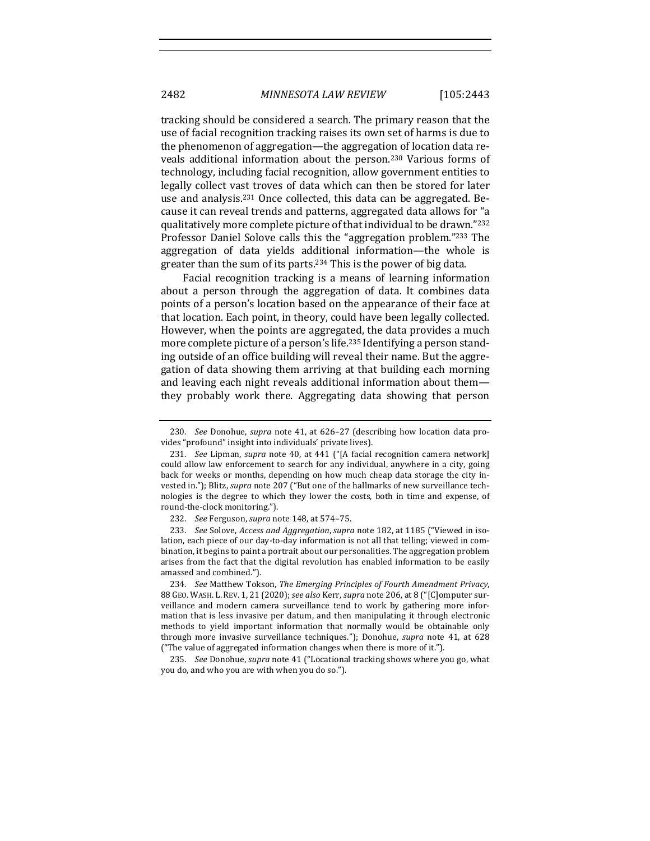tracking should be considered a search. The primary reason that the use of facial recognition tracking raises its own set of harms is due to the phenomenon of aggregation—the aggregation of location data reveals additional information about the person.<sup>230</sup> Various forms of technology, including facial recognition, allow government entities to legally collect vast troves of data which can then be stored for later use and analysis.<sup>231</sup> Once collected, this data can be aggregated. Because it can reveal trends and patterns, aggregated data allows for "a qualitatively more complete picture of that individual to be drawn."232 Professor Daniel Solove calls this the "aggregation problem."<sup>233</sup> The aggregation of data yields additional information—the whole is greater than the sum of its parts.<sup>234</sup> This is the power of big data.

Facial recognition tracking is a means of learning information about a person through the aggregation of data. It combines data points of a person's location based on the appearance of their face at that location. Each point, in theory, could have been legally collected. However, when the points are aggregated, the data provides a much more complete picture of a person's life.<sup>235</sup> Identifying a person standing outside of an office building will reveal their name. But the aggregation of data showing them arriving at that building each morning and leaving each night reveals additional information about them they probably work there. Aggregating data showing that person

235. *See* Donohue, *supra* note 41 ("Locational tracking shows where you go, what you do, and who you are with when you do so.").

<sup>230.</sup> *See* Donohue, *supra* note 41, at 626–27 (describing how location data provides "profound" insight into individuals' private lives).

<sup>231.</sup> *See* Lipman, *supra* note 40, at 441 ("[A facial recognition camera network] could allow law enforcement to search for any individual, anywhere in a city, going back for weeks or months, depending on how much cheap data storage the city invested in."); Blitz, *supra* note 207 ("But one of the hallmarks of new surveillance technologies is the degree to which they lower the costs, both in time and expense, of round-the-clock monitoring.").

<sup>232.</sup> *See* Ferguson, *supra* note 148, at 574-75.

<sup>233.</sup> *See Solove, Access and Aggregation, supra* note 182, at 1185 ("Viewed in isolation, each piece of our day-to-day information is not all that telling; viewed in combination, it begins to paint a portrait about our personalities. The aggregation problem arises from the fact that the digital revolution has enabled information to be easily amassed and combined.").

<sup>234.</sup> *See* Matthew Tokson, The Emerging Principles of Fourth Amendment Privacy, 88 GEO. WASH. L. REV. 1, 21 (2020); see also Kerr, supra note 206, at 8 ("[C]omputer surveillance and modern camera surveillance tend to work by gathering more information that is less invasive per datum, and then manipulating it through electronic methods to yield important information that normally would be obtainable only through more invasive surveillance techniques."); Donohue, *supra* note 41, at 628 ("The value of aggregated information changes when there is more of it.").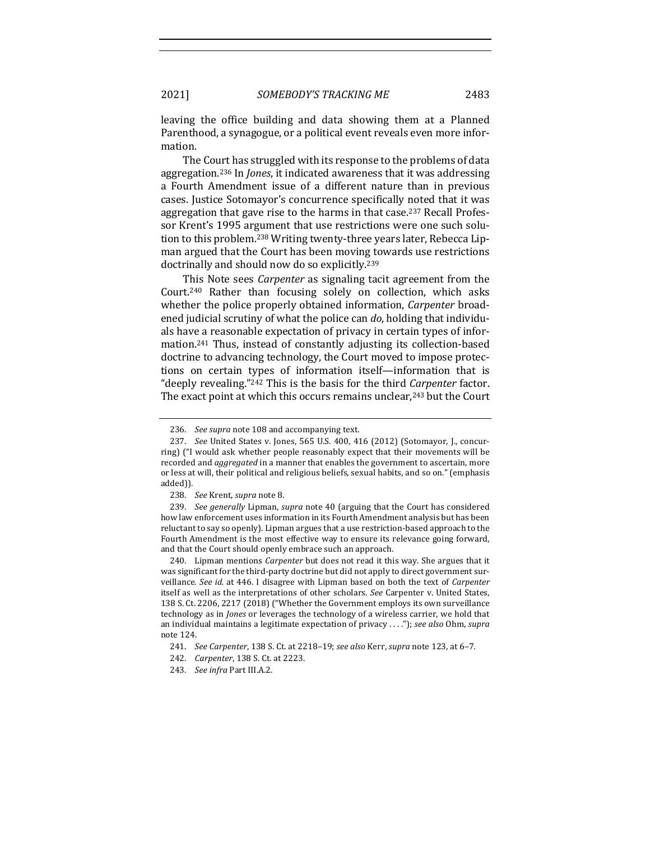leaving the office building and data showing them at a Planned Parenthood, a synagogue, or a political event reveals even more information.

The Court has struggled with its response to the problems of data aggregation.<sup>236</sup> In *Jones*, it indicated awareness that it was addressing a Fourth Amendment issue of a different nature than in previous cases. Justice Sotomayor's concurrence specifically noted that it was aggregation that gave rise to the harms in that case.<sup>237</sup> Recall Professor Krent's 1995 argument that use restrictions were one such solution to this problem.<sup>238</sup> Writing twenty-three years later, Rebecca Lipman argued that the Court has been moving towards use restrictions doctrinally and should now do so explicitly.<sup>239</sup>

This Note sees *Carpenter* as signaling tacit agreement from the Court.<sup>240</sup> Rather than focusing solely on collection, which asks whether the police properly obtained information, *Carpenter* broadened judicial scrutiny of what the police can *do*, holding that individuals have a reasonable expectation of privacy in certain types of information.<sup>241</sup> Thus, instead of constantly adjusting its collection-based doctrine to advancing technology, the Court moved to impose protections on certain types of information itself—information that is "deeply revealing."<sup>242</sup> This is the basis for the third *Carpenter* factor. The exact point at which this occurs remains unclear,<sup>243</sup> but the Court

239. *See generally* Lipman, *supra* note 40 (arguing that the Court has considered how law enforcement uses information in its Fourth Amendment analysis but has been reluctant to say so openly). Lipman argues that a use restriction-based approach to the Fourth Amendment is the most effective way to ensure its relevance going forward, and that the Court should openly embrace such an approach.

240. Lipman mentions *Carpenter* but does not read it this way. She argues that it was significant for the third-party doctrine but did not apply to direct government surveillance. See id. at 446. I disagree with Lipman based on both the text of *Carpenter* itself as well as the interpretations of other scholars. See Carpenter v. United States, 138 S. Ct. 2206, 2217 (2018) ("Whether the Government employs its own surveillance technology as in *Jones* or leverages the technology of a wireless carrier, we hold that an individual maintains a legitimate expectation of privacy ...."); see also Ohm, supra note 124.

<sup>236.</sup> *See supra* note 108 and accompanying text.

<sup>237.</sup> *See* United States v. Jones, 565 U.S. 400, 416 (2012) (Sotomayor, J., concurring) ("I would ask whether people reasonably expect that their movements will be recorded and *aggregated* in a manner that enables the government to ascertain, more or less at will, their political and religious beliefs, sexual habits, and so on." (emphasis added)).

<sup>238.</sup> See Krent, *supra* note 8.

<sup>241.</sup> *See Carpenter*, 138 S. Ct. at 2218-19; *see also* Kerr, *supra* note 123, at 6-7.

<sup>242.</sup> *Carpenter*, 138 S. Ct. at 2223.

<sup>243.</sup> *See infra Part III.A.2.*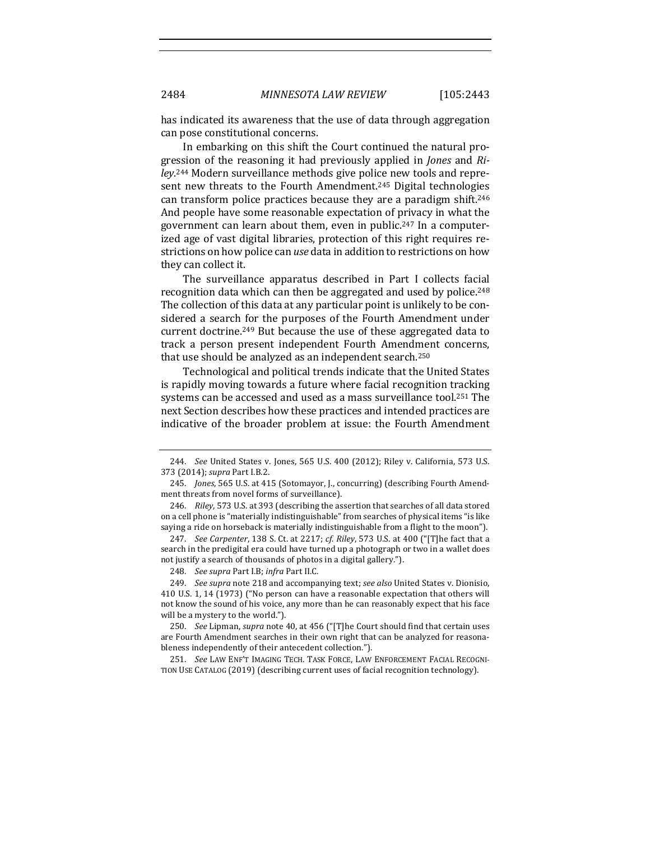has indicated its awareness that the use of data through aggregation can pose constitutional concerns.

In embarking on this shift the Court continued the natural progression of the reasoning it had previously applied in *Jones* and *Ri*ley.<sup>244</sup> Modern surveillance methods give police new tools and represent new threats to the Fourth Amendment.<sup>245</sup> Digital technologies can transform police practices because they are a paradigm shift.<sup>246</sup> And people have some reasonable expectation of privacy in what the government can learn about them, even in public.<sup>247</sup> In a computerized age of vast digital libraries, protection of this right requires restrictions on how police can *use* data in addition to restrictions on how they can collect it.

The surveillance apparatus described in Part I collects facial recognition data which can then be aggregated and used by police.<sup>248</sup> The collection of this data at any particular point is unlikely to be considered a search for the purposes of the Fourth Amendment under current doctrine.<sup>249</sup> But because the use of these aggregated data to track a person present independent Fourth Amendment concerns, that use should be analyzed as an independent search.<sup>250</sup>

Technological and political trends indicate that the United States is rapidly moving towards a future where facial recognition tracking systems can be accessed and used as a mass surveillance tool.<sup>251</sup> The next Section describes how these practices and intended practices are indicative of the broader problem at issue: the Fourth Amendment

247. *See Carpenter*, 138 S. Ct. at 2217; *cf. Riley*, 573 U.S. at 400 ("[T]he fact that a search in the predigital era could have turned up a photograph or two in a wallet does not justify a search of thousands of photos in a digital gallery.").

249. *See supra* note 218 and accompanying text; *see also* United States v. Dionisio, 410 U.S. 1, 14 (1973) ("No person can have a reasonable expectation that others will not know the sound of his voice, any more than he can reasonably expect that his face will be a mystery to the world.").

250. *See* Lipman, *supra* note 40, at 456 ("[T]he Court should find that certain uses are Fourth Amendment searches in their own right that can be analyzed for reasonableness independently of their antecedent collection.").

251. See LAW ENF'T IMAGING TECH. TASK FORCE, LAW ENFORCEMENT FACIAL RECOGNI-TION USE CATALOG (2019) (describing current uses of facial recognition technology).

<sup>244.</sup> *See* United States v. Jones, 565 U.S. 400 (2012); Riley v. California, 573 U.S. 373 (2014); *supra* Part I.B.2.

<sup>245.</sup> *Jones*, 565 U.S. at 415 (Sotomayor, J., concurring) (describing Fourth Amendment threats from novel forms of surveillance).

<sup>246.</sup> *Riley*, 573 U.S. at 393 (describing the assertion that searches of all data stored on a cell phone is "materially indistinguishable" from searches of physical items "is like saying a ride on horseback is materially indistinguishable from a flight to the moon").

<sup>248.</sup> *See supra Part I.B; infra Part II.C.*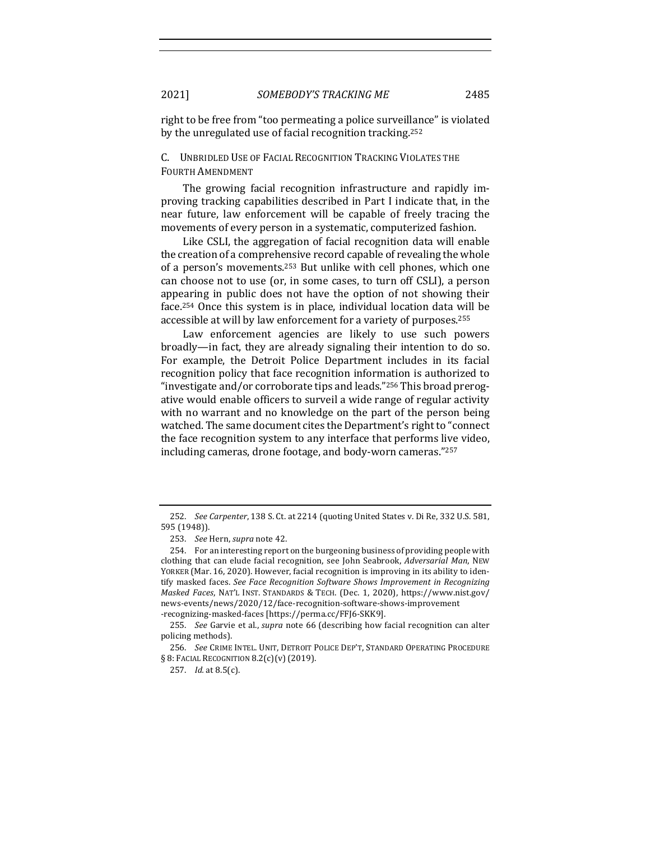right to be free from "too permeating a police surveillance" is violated by the unregulated use of facial recognition tracking.<sup>252</sup>

# C. UNBRIDLED USE OF FACIAL RECOGNITION TRACKING VIOLATES THE FOURTH AMENDMENT

The growing facial recognition infrastructure and rapidly improving tracking capabilities described in Part I indicate that, in the near future, law enforcement will be capable of freely tracing the movements of every person in a systematic, computerized fashion.

Like CSLI, the aggregation of facial recognition data will enable the creation of a comprehensive record capable of revealing the whole of a person's movements.<sup>253</sup> But unlike with cell phones, which one can choose not to use (or, in some cases, to turn off CSLI), a person appearing in public does not have the option of not showing their face.<sup>254</sup> Once this system is in place, individual location data will be accessible at will by law enforcement for a variety of purposes.<sup>255</sup>

Law enforcement agencies are likely to use such powers broadly—in fact, they are already signaling their intention to do so. For example, the Detroit Police Department includes in its facial recognition policy that face recognition information is authorized to "investigate and/or corroborate tips and leads."<sup>256</sup> This broad prerogative would enable officers to surveil a wide range of regular activity with no warrant and no knowledge on the part of the person being watched. The same document cites the Department's right to "connect" the face recognition system to any interface that performs live video, including cameras, drone footage, and body-worn cameras."257

<sup>252.</sup> *See Carpenter*, 138 S. Ct. at 2214 (quoting United States v. Di Re, 332 U.S. 581, 595 (1948)).

<sup>253.</sup> *See* Hern, *supra* note 42.

<sup>254.</sup> For an interesting report on the burgeoning business of providing people with clothing that can elude facial recognition, see John Seabrook, *Adversarial Man*, NEW YORKER (Mar. 16, 2020). However, facial recognition is improving in its ability to identify masked faces. See Face Recognition Software Shows Improvement in Recognizing *Masked Faces*, NAT'L INST. STANDARDS & TECH. (Dec. 1, 2020), https://www.nist.gov/ news-events/news/2020/12/face-recognition-software-shows-improvement -recognizing-masked-faces [https://perma.cc/FFJ6-SKK9].

<sup>255.</sup> *See* Garvie et al., *supra* note 66 (describing how facial recognition can alter policing methods).

<sup>256.</sup> *See* CRIME INTEL. UNIT, DETROIT POLICE DEP'T, STANDARD OPERATING PROCEDURE  $§ 8:$  Facial Recognition  $8.2(c)(v)(2019)$ .

<sup>257.</sup> *Id.* at 8.5(c).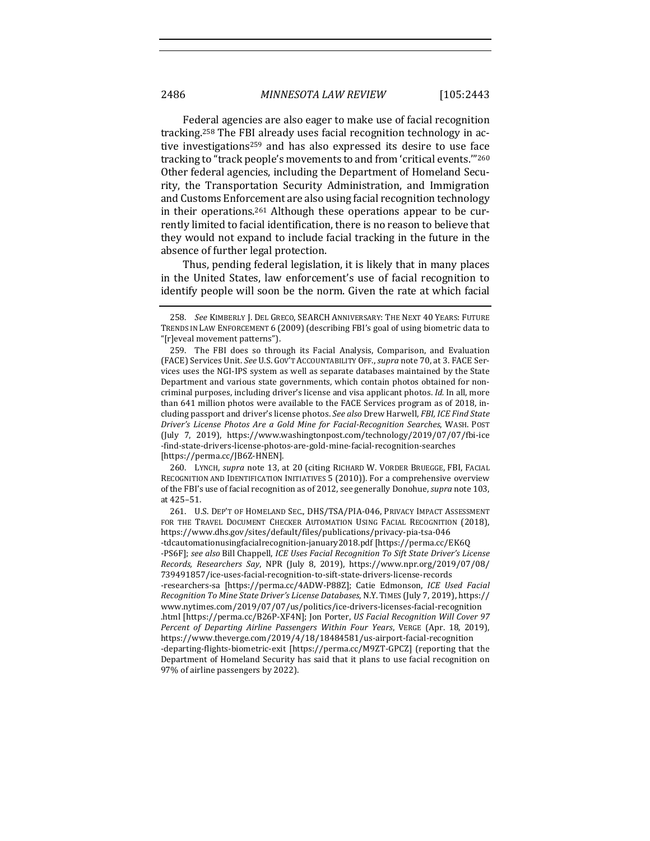Federal agencies are also eager to make use of facial recognition tracking.<sup>258</sup> The FBI already uses facial recognition technology in active investigations<sup>259</sup> and has also expressed its desire to use face tracking to "track people's movements to and from 'critical events."<sup>260</sup> Other federal agencies, including the Department of Homeland Security, the Transportation Security Administration, and Immigration and Customs Enforcement are also using facial recognition technology in their operations.<sup>261</sup> Although these operations appear to be currently limited to facial identification, there is no reason to believe that they would not expand to include facial tracking in the future in the absence of further legal protection.

Thus, pending federal legislation, it is likely that in many places in the United States, law enforcement's use of facial recognition to identify people will soon be the norm. Given the rate at which facial

260. LYNCH, *supra* note 13, at 20 (citing RICHARD W. VORDER BRUEGGE, FBI, FACIAL RECOGNITION AND IDENTIFICATION INITIATIVES 5 (2010)). For a comprehensive overview of the FBI's use of facial recognition as of 2012, see generally Donohue, *supra* note 103, at 425–51.

<sup>258.</sup> *See* KIMBERLY J. DEL GRECO, SEARCH ANNIVERSARY: THE NEXT 40 YEARS: FUTURE TRENDS IN LAW ENFORCEMENT 6 (2009) (describing FBI's goal of using biometric data to "[r]eveal movement patterns").

<sup>259.</sup> The FBI does so through its Facial Analysis, Comparison, and Evaluation (FACE) Services Unit. *See* U.S. GOV'T ACCOUNTABILITY OFF., *supra* note 70, at 3. FACE Services uses the NGI-IPS system as well as separate databases maintained by the State Department and various state governments, which contain photos obtained for noncriminal purposes, including driver's license and visa applicant photos. *Id.* In all, more than 641 million photos were available to the FACE Services program as of 2018, including passport and driver's license photos. See also Drew Harwell, *FBI, ICE Find State* Driver's License Photos Are a Gold Mine for Facial-Recognition Searches, WASH. POST (July 7, 2019), https://www.washingtonpost.com/technology/2019/07/07/fbi-ice -find-state-drivers-license-photos-are-gold-mine-facial-recognition-searches [https://perma.cc/JB6Z-HNEN].

<sup>261.</sup> U.S. DEP'T OF HOMELAND SEC., DHS/TSA/PIA-046, PRIVACY IMPACT ASSESSMENT FOR THE TRAVEL DOCUMENT CHECKER AUTOMATION USING FACIAL RECOGNITION (2018), https://www.dhs.gov/sites/default/files/publications/privacy-pia-tsa-046 -tdcautomationusingfacialrecognition-january2018.pdf [https://perma.cc/EK6Q -PS6F]; see also Bill Chappell, *ICE Uses Facial Recognition To Sift State Driver's License Records, Researchers Say*, NPR (July 8, 2019), https://www.npr.org/2019/07/08/ 739491857/ice-uses-facial-recognition-to-sift-state-drivers-license-records -researchers-sa [https://perma.cc/4ADW-P88Z]; Catie Edmonson, *ICE Used Facial Recognition To Mine State Driver's License Databases*, N.Y. TIMES (July 7, 2019), https:// www.nytimes.com/2019/07/07/us/politics/ice-drivers-licenses-facial-recognition .html [https://perma.cc/B26P-XF4N]; Jon Porter, *US Facial Recognition Will Cover 97 Percent of Departing Airline Passengers Within Four Years*, VERGE (Apr. 18, 2019), https://www.theverge.com/2019/4/18/18484581/us-airport-facial-recognition -departing-flights-biometric-exit [https://perma.cc/M9ZT-GPCZ] (reporting that the Department of Homeland Security has said that it plans to use facial recognition on 97% of airline passengers by 2022).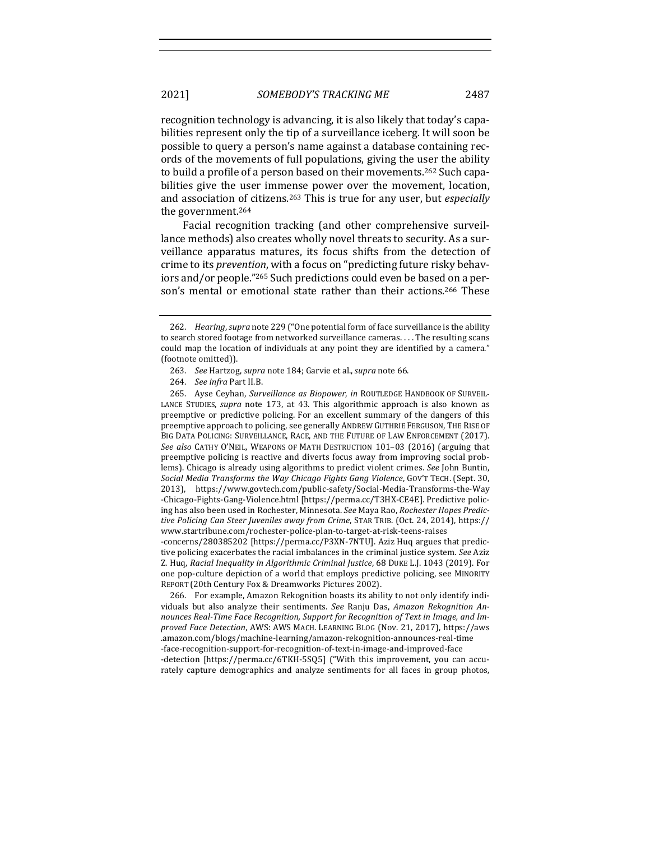recognition technology is advancing, it is also likely that today's capabilities represent only the tip of a surveillance iceberg. It will soon be possible to query a person's name against a database containing records of the movements of full populations, giving the user the ability to build a profile of a person based on their movements.<sup>262</sup> Such capabilities give the user immense power over the movement, location, and association of citizens.<sup>263</sup> This is true for any user, but *especially* the government.<sup>264</sup>

Facial recognition tracking (and other comprehensive surveillance methods) also creates wholly novel threats to security. As a surveillance apparatus matures, its focus shifts from the detection of crime to its *prevention*, with a focus on "predicting future risky behaviors and/or people."<sup>265</sup> Such predictions could even be based on a person's mental or emotional state rather than their actions.<sup>266</sup> These

264. *See infra Part II.B.* 

265. Ayse Ceyhan, *Surveillance as Biopower*, in ROUTLEDGE HANDBOOK OF SURVEIL-LANCE STUDIES, *supra* note 173, at 43. This algorithmic approach is also known as preemptive or predictive policing. For an excellent summary of the dangers of this preemptive approach to policing, see generally ANDREW GUTHRIE FERGUSON, THE RISE OF BIG DATA POLICING: SURVEILLANCE, RACE, AND THE FUTURE OF LAW ENFORCEMENT (2017). See also CATHY O'NEIL, WEAPONS OF MATH DESTRUCTION 101-03 (2016) (arguing that preemptive policing is reactive and diverts focus away from improving social problems). Chicago is already using algorithms to predict violent crimes. See John Buntin, *Social Media Transforms the Way Chicago Fights Gang Violence*, GOV'T TECH. (Sept. 30, 2013), https://www.govtech.com/public-safety/Social-Media-Transforms-the-Way -Chicago-Fights-Gang-Violence.html [https://perma.cc/T3HX-CE4E]. Predictive policing has also been used in Rochester, Minnesota. See Maya Rao, *Rochester Hopes Predictive Policing Can Steer Juveniles away from Crime, STAR TRIB. (Oct.* 24, 2014), https:// www.startribune.com/rochester-police-plan-to-target-at-risk-teens-raises -concerns/280385202 [https://perma.cc/P3XN-7NTU]. Aziz Huq argues that predic-

tive policing exacerbates the racial imbalances in the criminal justice system. *See* Aziz Z. Huq, *Racial Inequality in Algorithmic Criminal Justice*, 68 DUKE L.J. 1043 (2019). For one pop-culture depiction of a world that employs predictive policing, see MINORITY REPORT (20th Century Fox & Dreamworks Pictures 2002).

266. For example, Amazon Rekognition boasts its ability to not only identify individuals but also analyze their sentiments. See Ranju Das, Amazon Rekognition Announces Real-Time Face Recognition, Support for Recognition of Text in Image, and Im*proved Face Detection*, AWS: AWS MACH. LEARNING BLOG (Nov. 21, 2017), https://aws .amazon.com/blogs/machine-learning/amazon-rekognition-announces-real-time -face-recognition-support-for-recognition-of-text-in-image-and-improved-face -detection [https://perma.cc/6TKH-5SQ5] ("With this improvement, you can accurately capture demographics and analyze sentiments for all faces in group photos,

<sup>262.</sup> *Hearing, supra* note 229 ("One potential form of face surveillance is the ability to search stored footage from networked surveillance cameras. . . . The resulting scans could map the location of individuals at any point they are identified by a camera." (footnote omitted)).

<sup>263.</sup> *See* Hartzog, *supra* note 184; Garvie et al., *supra* note 66.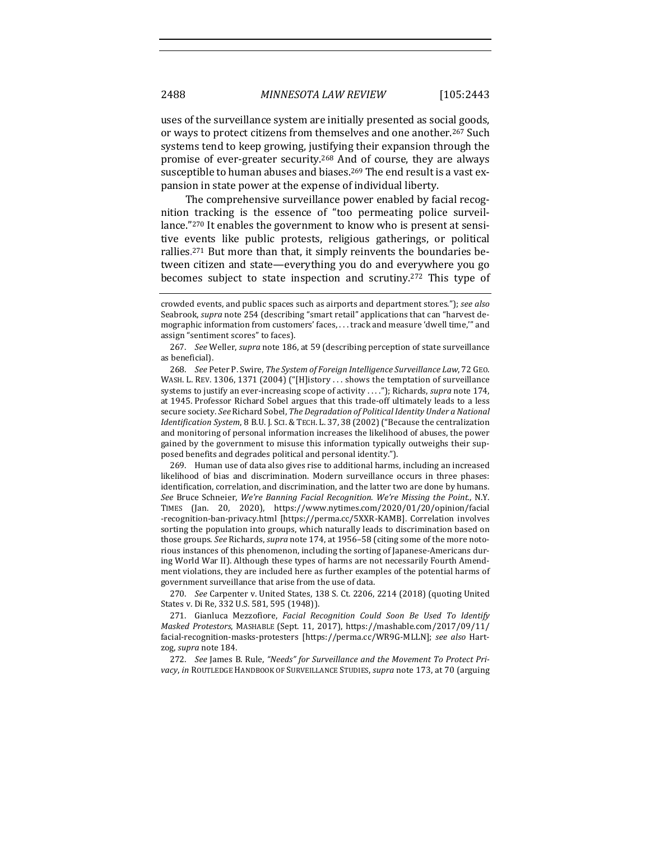uses of the surveillance system are initially presented as social goods, or ways to protect citizens from themselves and one another.<sup>267</sup> Such systems tend to keep growing, justifying their expansion through the promise of ever-greater security.<sup>268</sup> And of course, they are always susceptible to human abuses and biases.<sup>269</sup> The end result is a vast expansion in state power at the expense of individual liberty.

The comprehensive surveillance power enabled by facial recognition tracking is the essence of "too permeating police surveillance."<sup>270</sup> It enables the government to know who is present at sensitive events like public protests, religious gatherings, or political rallies.<sup>271</sup> But more than that, it simply reinvents the boundaries between citizen and state—everything you do and everywhere you go becomes subject to state inspection and scrutiny.<sup>272</sup> This type of

267. *See* Weller, *supra* note 186, at 59 (describing perception of state surveillance as beneficial).

268. *See* Peter P. Swire, *The System of Foreign Intelligence Surveillance Law*, 72 GEO. WASH. L. REV. 1306, 1371 (2004) ("[H]istory ... shows the temptation of surveillance systems to justify an ever-increasing scope of activity ...."); Richards, *supra* note 174, at 1945. Professor Richard Sobel argues that this trade-off ultimately leads to a less secure society. See Richard Sobel, *The Degradation of Political Identity Under a National Identification System, 8 B.U. J. SCI. & TECH. L. 37, 38 (2002)* ("Because the centralization and monitoring of personal information increases the likelihood of abuses, the power gained by the government to misuse this information typically outweighs their supposed benefits and degrades political and personal identity.").

269. Human use of data also gives rise to additional harms, including an increased likelihood of bias and discrimination. Modern surveillance occurs in three phases: identification, correlation, and discrimination, and the latter two are done by humans. *See* Bruce Schneier, *We're Banning Facial Recognition. We're Missing the Point.*, N.Y. TIMES (Jan. 20, 2020), https://www.nytimes.com/2020/01/20/opinion/facial -recognition-ban-privacy.html [https://perma.cc/5XXR-KAMB]. Correlation involves sorting the population into groups, which naturally leads to discrimination based on those groups. See Richards, *supra* note 174, at 1956–58 (citing some of the more notorious instances of this phenomenon, including the sorting of Japanese-Americans during World War II). Although these types of harms are not necessarily Fourth Amendment violations, they are included here as further examples of the potential harms of government surveillance that arise from the use of data.

270. *See* Carpenter v. United States, 138 S. Ct. 2206, 2214 (2018) (quoting United States v. Di Re, 332 U.S. 581, 595 (1948)).

271. Gianluca Mezzofiore, *Facial Recognition Could Soon Be Used To Identify Masked Protestors*, MASHABLE (Sept. 11, 2017), https://mashable.com/2017/09/11/ facial-recognition-masks-protesters [https://perma.cc/WR9G-MLLN]; see also Hartzog, *supra* note 184.

272. See James B. Rule, "Needs" for Surveillance and the Movement To Protect Pri*vacy*, *in* ROUTLEDGE HANDBOOK OF SURVEILLANCE STUDIES, *supra* note 173, at 70 (arguing

crowded events, and public spaces such as airports and department stores."); *see also* Seabrook, *supra* note 254 (describing "smart retail" applications that can "harvest demographic information from customers' faces, ... track and measure 'dwell time,'" and assign "sentiment scores" to faces).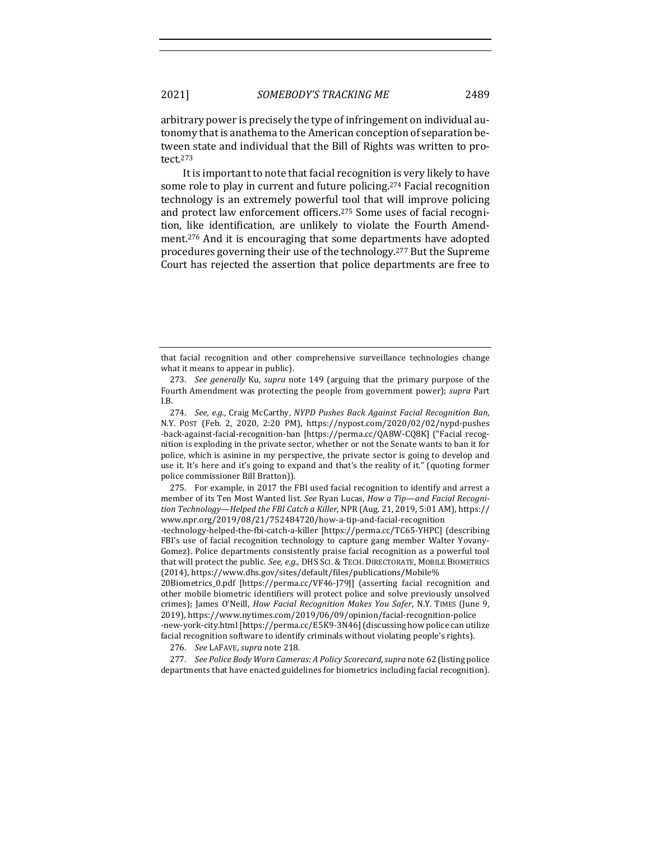arbitrary power is precisely the type of infringement on individual autonomy that is anathema to the American conception of separation between state and individual that the Bill of Rights was written to protect.273

It is important to note that facial recognition is very likely to have some role to play in current and future policing.<sup>274</sup> Facial recognition technology is an extremely powerful tool that will improve policing and protect law enforcement officers.<sup>275</sup> Some uses of facial recognition, like identification, are unlikely to violate the Fourth Amendment.<sup>276</sup> And it is encouraging that some departments have adopted procedures governing their use of the technology.<sup>277</sup> But the Supreme Court has rejected the assertion that police departments are free to

274. *See, e.g.*, Craig McCarthy, NYPD Pushes Back Against Facial Recognition Ban, N.Y. POST (Feb. 2, 2020, 2:20 PM), https://nypost.com/2020/02/02/nypd-pushes -back-against-facial-recognition-ban [https://perma.cc/QA8W-CQ8K] ("Facial recognition is exploding in the private sector, whether or not the Senate wants to ban it for police, which is asinine in my perspective, the private sector is going to develop and use it. It's here and it's going to expand and that's the reality of it." (quoting former police commissioner Bill Bratton)).

275. For example, in 2017 the FBI used facial recognition to identify and arrest a member of its Ten Most Wanted list. See Ryan Lucas, *How a Tip—and Facial Recognition Technology—Helped the FBI Catch a Killer*, NPR (Aug. 21, 2019, 5:01 AM), https:// www.npr.org/2019/08/21/752484720/how-a-tip-and-facial-recognition

-technology-helped-the-fbi-catch-a-killer [https://perma.cc/TC65-YHPC] (describing FBI's use of facial recognition technology to capture gang member Walter Yovany-Gomez). Police departments consistently praise facial recognition as a powerful tool that will protect the public. See, e.g., DHS SCI. & TECH. DIRECTORATE, MOBILE BIOMETRICS (2014), https://www.dhs.gov/sites/default/files/publications/Mobile%

20Biometrics\_0.pdf [https://perma.cc/VF46-[79]] (asserting facial recognition and other mobile biometric identifiers will protect police and solve previously unsolved crimes); James O'Neill, *How Facial Recognition Makes You Safer*, N.Y. TIMES (June 9, 2019), https://www.nytimes.com/2019/06/09/opinion/facial-recognition-police -new-york-city.html [https://perma.cc/E5K9-3N46] (discussing how police can utilize facial recognition software to identify criminals without violating people's rights).

276. *See* LAFAVE, *supra* note 218.

277. *See Police Body Worn Cameras: A Policy Scorecard, supra* note 62 (listing police departments that have enacted guidelines for biometrics including facial recognition).

that facial recognition and other comprehensive surveillance technologies change what it means to appear in public).

<sup>273.</sup> *See generally* Ku, *supra* note 149 (arguing that the primary purpose of the Fourth Amendment was protecting the people from government power); *supra* Part I.B.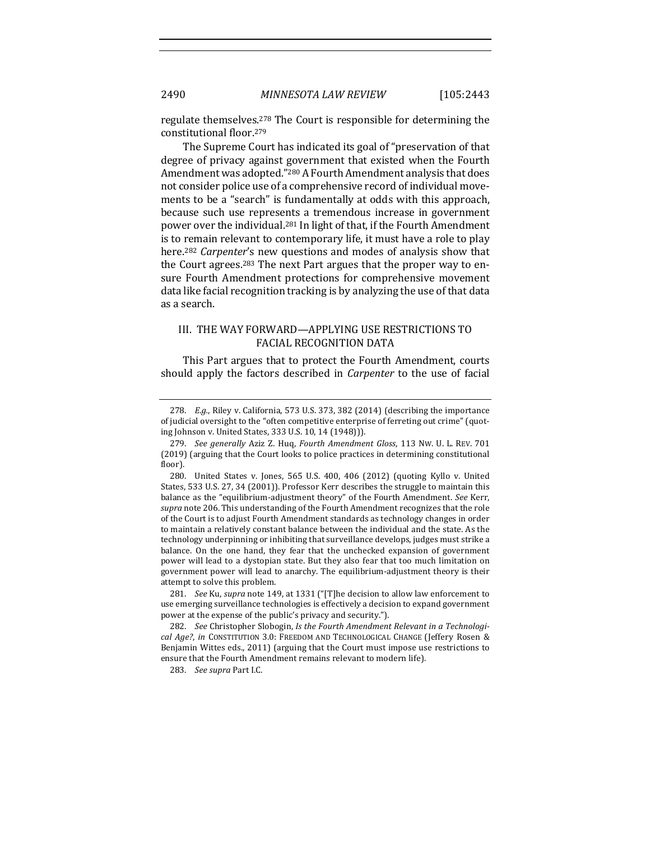regulate themselves.<sup>278</sup> The Court is responsible for determining the constitutional floor.<sup>279</sup>

The Supreme Court has indicated its goal of "preservation of that degree of privacy against government that existed when the Fourth Amendment was adopted."<sup>280</sup> A Fourth Amendment analysis that does not consider police use of a comprehensive record of individual movements to be a "search" is fundamentally at odds with this approach, because such use represents a tremendous increase in government power over the individual.<sup>281</sup> In light of that, if the Fourth Amendment is to remain relevant to contemporary life, it must have a role to play here.<sup>282</sup> *Carpenter's* new questions and modes of analysis show that the Court agrees.<sup>283</sup> The next Part argues that the proper way to ensure Fourth Amendment protections for comprehensive movement data like facial recognition tracking is by analyzing the use of that data as a search.

# III. THE WAY FORWARD—APPLYING USE RESTRICTIONS TO FACIAL RECOGNITION DATA

This Part argues that to protect the Fourth Amendment, courts should apply the factors described in *Carpenter* to the use of facial

283. *See supra Part I.C.* 

<sup>278.</sup> *E.g.*, Riley v. California, 573 U.S. 373, 382 (2014) (describing the importance of judicial oversight to the "often competitive enterprise of ferreting out crime" (quoting Johnson v. United States, 333 U.S. 10, 14 (1948))).

<sup>279.</sup> *See generally Aziz Z. Huq, Fourth Amendment Gloss, 113 Nw. U. L. REV. 701* (2019) (arguing that the Court looks to police practices in determining constitutional floor).

<sup>280.</sup> United States v. Jones, 565 U.S. 400, 406 (2012) (quoting Kyllo v. United States, 533 U.S. 27, 34 (2001)). Professor Kerr describes the struggle to maintain this balance as the "equilibrium-adjustment theory" of the Fourth Amendment. See Kerr, supra note 206. This understanding of the Fourth Amendment recognizes that the role of the Court is to adjust Fourth Amendment standards as technology changes in order to maintain a relatively constant balance between the individual and the state. As the technology underpinning or inhibiting that surveillance develops, judges must strike a balance. On the one hand, they fear that the unchecked expansion of government power will lead to a dystopian state. But they also fear that too much limitation on government power will lead to anarchy. The equilibrium-adjustment theory is their attempt to solve this problem.

<sup>281.</sup> *See* Ku, *supra* note 149, at 1331 ("[T]he decision to allow law enforcement to use emerging surveillance technologies is effectively a decision to expand government power at the expense of the public's privacy and security.").

<sup>282.</sup> See Christopher Slobogin, *Is the Fourth Amendment Relevant in a Technological Age?, in* CONSTITUTION 3.0: FREEDOM AND TECHNOLOGICAL CHANGE (Jeffery Rosen & Benjamin Wittes eds., 2011) (arguing that the Court must impose use restrictions to ensure that the Fourth Amendment remains relevant to modern life).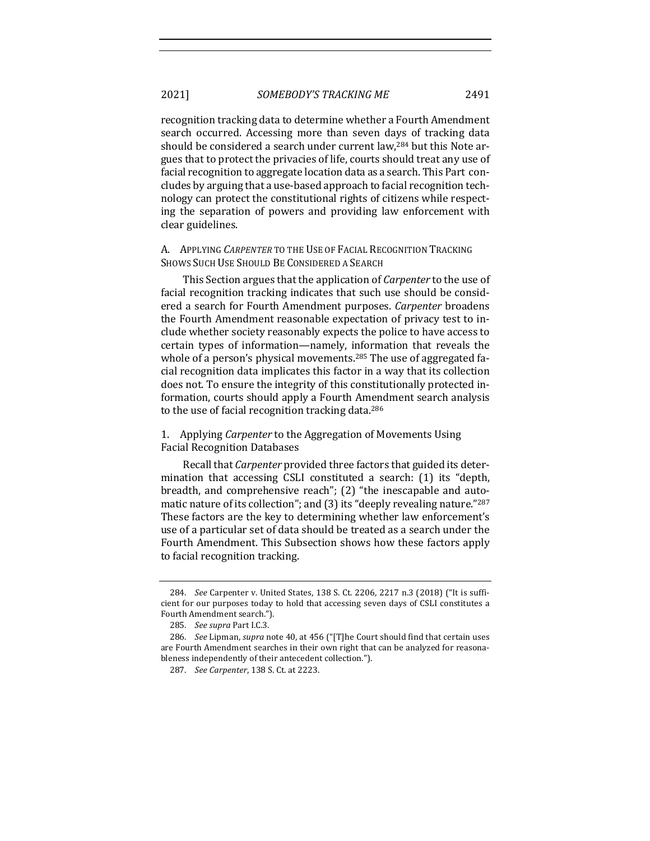2021] *SOMEBODY'S TRACKING ME* 2491

recognition tracking data to determine whether a Fourth Amendment search occurred. Accessing more than seven days of tracking data should be considered a search under current law,<sup>284</sup> but this Note argues that to protect the privacies of life, courts should treat any use of facial recognition to aggregate location data as a search. This Part concludes by arguing that a use-based approach to facial recognition technology can protect the constitutional rights of citizens while respecting the separation of powers and providing law enforcement with clear guidelines.

A. APPLYING *CARPENTER* TO THE USE OF FACIAL RECOGNITION TRACKING SHOWS SUCH USE SHOULD BE CONSIDERED A SEARCH

This Section argues that the application of *Carpenter* to the use of facial recognition tracking indicates that such use should be considered a search for Fourth Amendment purposes. *Carpenter* broadens the Fourth Amendment reasonable expectation of privacy test to include whether society reasonably expects the police to have access to certain types of information—namely, information that reveals the whole of a person's physical movements.<sup>285</sup> The use of aggregated facial recognition data implicates this factor in a way that its collection does not. To ensure the integrity of this constitutionally protected information, courts should apply a Fourth Amendment search analysis to the use of facial recognition tracking data. $286$ 

1. Applying *Carpenter* to the Aggregation of Movements Using Facial Recognition Databases

Recall that *Carpenter* provided three factors that guided its determination that accessing CSLI constituted a search: (1) its "depth, breadth, and comprehensive reach"; (2) "the inescapable and automatic nature of its collection"; and  $(3)$  its "deeply revealing nature."<sup>287</sup> These factors are the key to determining whether law enforcement's use of a particular set of data should be treated as a search under the Fourth Amendment. This Subsection shows how these factors apply to facial recognition tracking.

<sup>284.</sup> *See* Carpenter v. United States, 138 S. Ct. 2206, 2217 n.3 (2018) ("It is sufficient for our purposes today to hold that accessing seven days of CSLI constitutes a Fourth Amendment search.").

<sup>285.</sup> *See supra* Part I.C.3.

<sup>286.</sup> *See Lipman, supra* note 40, at 456 ("[T]he Court should find that certain uses are Fourth Amendment searches in their own right that can be analyzed for reasonableness independently of their antecedent collection.").

<sup>287.</sup> *See Carpenter*, 138 S. Ct. at 2223.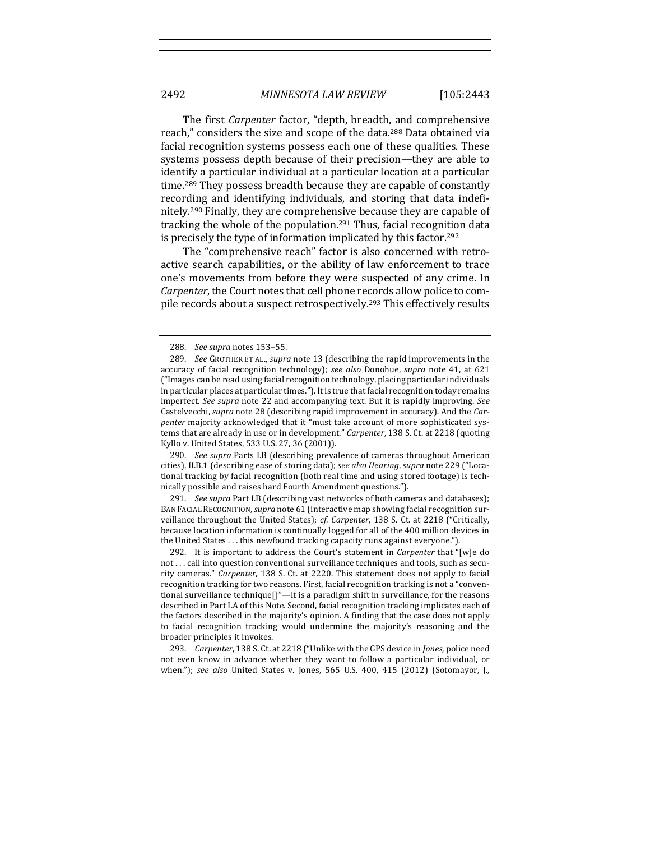The first *Carpenter* factor, "depth, breadth, and comprehensive reach," considers the size and scope of the data.<sup>288</sup> Data obtained via facial recognition systems possess each one of these qualities. These systems possess depth because of their precision—they are able to identify a particular individual at a particular location at a particular time.<sup>289</sup> They possess breadth because they are capable of constantly recording and identifying individuals, and storing that data indefinitely.<sup>290</sup> Finally, they are comprehensive because they are capable of tracking the whole of the population.<sup>291</sup> Thus, facial recognition data is precisely the type of information implicated by this factor.<sup>292</sup>

The "comprehensive reach" factor is also concerned with retroactive search capabilities, or the ability of law enforcement to trace one's movements from before they were suspected of any crime. In *Carpenter*, the Court notes that cell phone records allow police to compile records about a suspect retrospectively.<sup>293</sup> This effectively results

290. *See supra* Parts I.B (describing prevalence of cameras throughout American cities), II.B.1 (describing ease of storing data); *see also Hearing*, *supra* note 229 ("Locational tracking by facial recognition (both real time and using stored footage) is technically possible and raises hard Fourth Amendment questions.").

291. *See supra* Part I.B (describing vast networks of both cameras and databases); BAN FACIAL RECOGNITION, *supra* note 61 (interactive map showing facial recognition surveillance throughout the United States); cf. Carpenter, 138 S. Ct. at 2218 ("Critically, because location information is continually logged for all of the 400 million devices in the United States . . . this newfound tracking capacity runs against everyone.").

292. It is important to address the Court's statement in *Carpenter* that "[w]e do not ... call into question conventional surveillance techniques and tools, such as security cameras." *Carpenter*, 138 S. Ct. at 2220. This statement does not apply to facial recognition tracking for two reasons. First, facial recognition tracking is not a "conventional surveillance technique[]"-it is a paradigm shift in surveillance, for the reasons described in Part I.A of this Note. Second, facial recognition tracking implicates each of the factors described in the majority's opinion. A finding that the case does not apply to facial recognition tracking would undermine the majority's reasoning and the broader principles it invokes.

293. *Carpenter*, 138 S. Ct. at 2218 ("Unlike with the GPS device in *Jones*, police need not even know in advance whether they want to follow a particular individual, or when."); see also United States v. Jones, 565 U.S. 400, 415 (2012) (Sotomayor, J.,

<sup>288.</sup> *See supra* notes 153–55.

<sup>289.</sup> *See* GROTHER ET AL., *supra* note 13 (describing the rapid improvements in the accuracy of facial recognition technology); see also Donohue, supra note 41, at 621 ("Images can be read using facial recognition technology, placing particular individuals in particular places at particular times."). It is true that facial recognition today remains imperfect. See supra note 22 and accompanying text. But it is rapidly improving. See Castelvecchi, *supra* note 28 (describing rapid improvement in accuracy). And the *Carpenter* majority acknowledged that it "must take account of more sophisticated systems that are already in use or in development." *Carpenter*, 138 S. Ct. at 2218 (quoting Kyllo v. United States, 533 U.S. 27, 36 (2001)).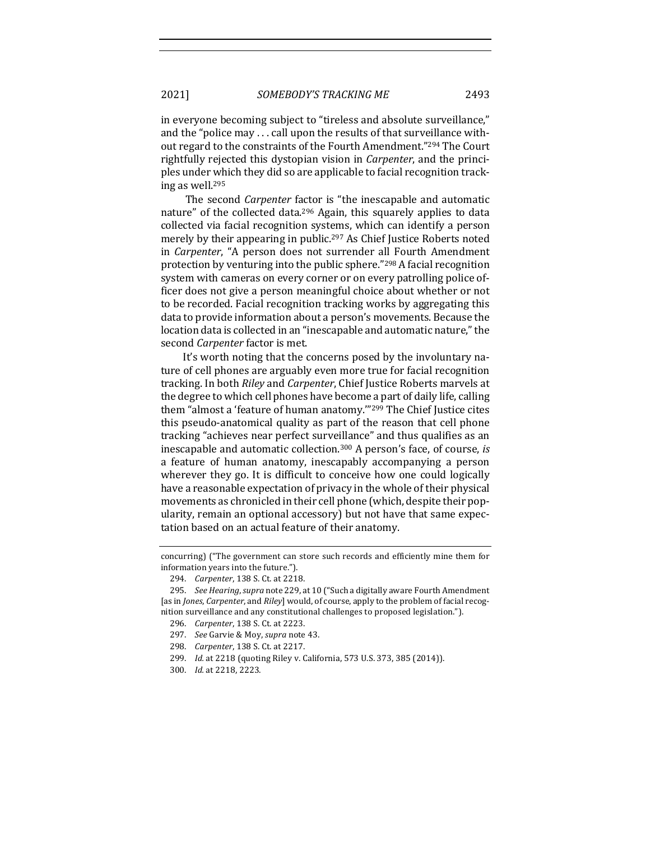in everyone becoming subject to "tireless and absolute surveillance," and the "police may  $\dots$  call upon the results of that surveillance without regard to the constraints of the Fourth Amendment."294 The Court rightfully rejected this dystopian vision in *Carpenter*, and the principles under which they did so are applicable to facial recognition track-

The second *Carpenter* factor is "the inescapable and automatic nature" of the collected data.<sup>296</sup> Again, this squarely applies to data collected via facial recognition systems, which can identify a person merely by their appearing in public.<sup>297</sup> As Chief Justice Roberts noted in *Carpenter*, "A person does not surrender all Fourth Amendment protection by venturing into the public sphere." $298$  A facial recognition system with cameras on every corner or on every patrolling police officer does not give a person meaningful choice about whether or not to be recorded. Facial recognition tracking works by aggregating this data to provide information about a person's movements. Because the location data is collected in an "inescapable and automatic nature," the second *Carpenter* factor is met.

It's worth noting that the concerns posed by the involuntary nature of cell phones are arguably even more true for facial recognition tracking. In both *Riley* and *Carpenter*, Chief Justice Roberts marvels at the degree to which cell phones have become a part of daily life, calling them "almost a 'feature of human anatomy."<sup>299</sup> The Chief Justice cites this pseudo-anatomical quality as part of the reason that cell phone tracking "achieves near perfect surveillance" and thus qualifies as an inescapable and automatic collection.<sup>300</sup> A person's face, of course, *is* a feature of human anatomy, inescapably accompanying a person wherever they go. It is difficult to conceive how one could logically have a reasonable expectation of privacy in the whole of their physical movements as chronicled in their cell phone (which, despite their popularity, remain an optional accessory) but not have that same expectation based on an actual feature of their anatomy.

- 298. *Carpenter*, 138 S. Ct. at 2217.
- 299. *Id.* at 2218 (quoting Riley v. California, 573 U.S. 373, 385 (2014)).
- 300. *Id.* at 2218, 2223.

ing as well.<sup>295</sup>

concurring) ("The government can store such records and efficiently mine them for information years into the future.").

<sup>294.</sup> *Carpenter*, 138 S. Ct. at 2218.

<sup>295.</sup> *See Hearing, supra* note 229, at 10 ("Such a digitally aware Fourth Amendment [as in *Jones, Carpenter,* and *Riley*] would, of course, apply to the problem of facial recognition surveillance and any constitutional challenges to proposed legislation.").

<sup>296.</sup> *Carpenter*, 138 S. Ct. at 2223.

<sup>297.</sup> *See Garvie & Moy, supra note 43.*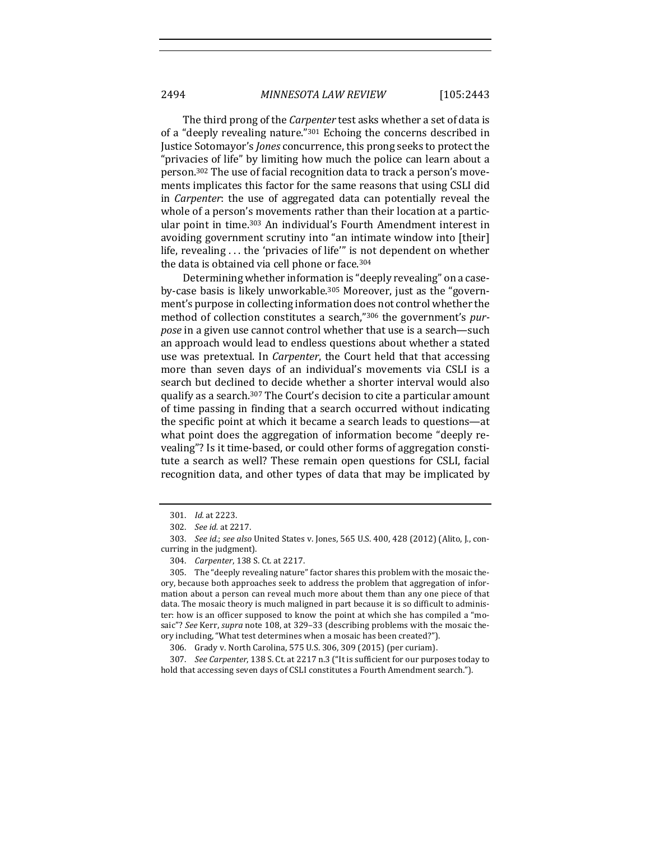The third prong of the *Carpenter* test asks whether a set of data is of a "deeply revealing nature." $301$  Echoing the concerns described in Justice Sotomayor's *Jones* concurrence, this prong seeks to protect the "privacies of life" by limiting how much the police can learn about a person.<sup>302</sup> The use of facial recognition data to track a person's movements implicates this factor for the same reasons that using CSLI did in *Carpenter*: the use of aggregated data can potentially reveal the whole of a person's movements rather than their location at a particular point in time.<sup>303</sup> An individual's Fourth Amendment interest in avoiding government scrutiny into "an intimate window into [their] life, revealing  $\dots$  the 'privacies of life'" is not dependent on whether the data is obtained via cell phone or face.<sup>304</sup>

Determining whether information is "deeply revealing" on a caseby-case basis is likely unworkable.<sup>305</sup> Moreover, just as the "government's purpose in collecting information does not control whether the method of collection constitutes a search,"306 the government's pur*pose* in a given use cannot control whether that use is a search—such an approach would lead to endless questions about whether a stated use was pretextual. In *Carpenter*, the Court held that that accessing more than seven days of an individual's movements via CSLI is a search but declined to decide whether a shorter interval would also qualify as a search.<sup>307</sup> The Court's decision to cite a particular amount of time passing in finding that a search occurred without indicating the specific point at which it became a search leads to questions—at what point does the aggregation of information become "deeply revealing"? Is it time-based, or could other forms of aggregation constitute a search as well? These remain open questions for CSLI, facial recognition data, and other types of data that may be implicated by

<sup>301.</sup> *Id.* at 2223.

<sup>302.</sup> *See id.* at 2217.

<sup>303.</sup> *See id.*; *see also* United States v. Jones, 565 U.S. 400, 428 (2012) (Alito, J., concurring in the judgment).

<sup>304.</sup> *Carpenter*, 138 S. Ct. at 2217.

<sup>305.</sup> The "deeply revealing nature" factor shares this problem with the mosaic theory, because both approaches seek to address the problem that aggregation of information about a person can reveal much more about them than any one piece of that data. The mosaic theory is much maligned in part because it is so difficult to administer: how is an officer supposed to know the point at which she has compiled a "mosaic"? See Kerr, supra note 108, at 329-33 (describing problems with the mosaic theory including, "What test determines when a mosaic has been created?").

<sup>306.</sup> Grady v. North Carolina, 575 U.S. 306, 309 (2015) (per curiam).

<sup>307.</sup> *See Carpenter*, 138 S. Ct. at 2217 n.3 ("It is sufficient for our purposes today to hold that accessing seven days of CSLI constitutes a Fourth Amendment search.").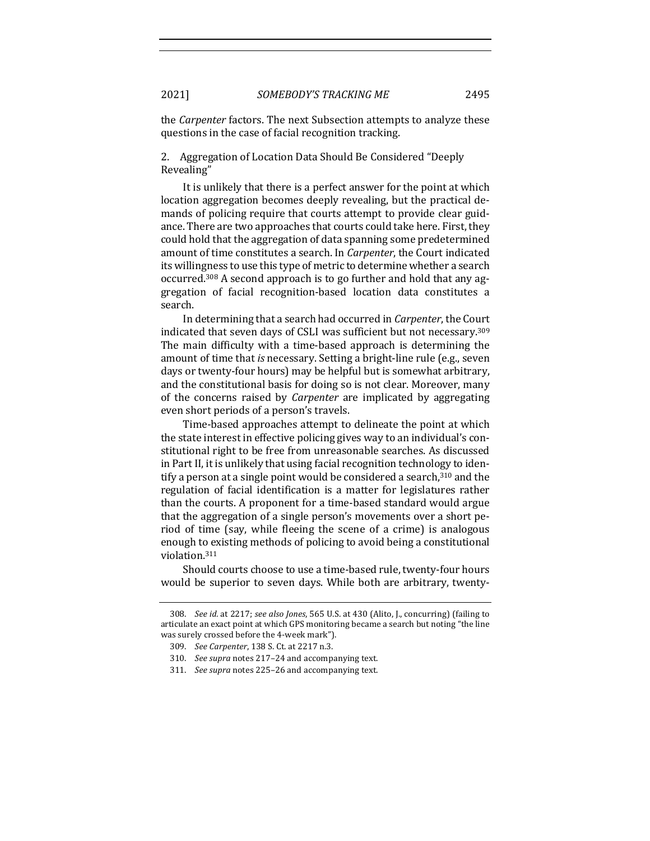the *Carpenter* factors. The next Subsection attempts to analyze these questions in the case of facial recognition tracking.

2. Aggregation of Location Data Should Be Considered "Deeply Revealing"

It is unlikely that there is a perfect answer for the point at which location aggregation becomes deeply revealing, but the practical demands of policing require that courts attempt to provide clear guidance. There are two approaches that courts could take here. First, they could hold that the aggregation of data spanning some predetermined amount of time constitutes a search. In *Carpenter*, the Court indicated its willingness to use this type of metric to determine whether a search occurred.<sup>308</sup> A second approach is to go further and hold that any aggregation of facial recognition-based location data constitutes a search. 

In determining that a search had occurred in *Carpenter*, the Court indicated that seven days of CSLI was sufficient but not necessary.<sup>309</sup> The main difficulty with a time-based approach is determining the amount of time that *is* necessary. Setting a bright-line rule (e.g., seven days or twenty-four hours) may be helpful but is somewhat arbitrary, and the constitutional basis for doing so is not clear. Moreover, many of the concerns raised by *Carpenter* are implicated by aggregating even short periods of a person's travels.

Time-based approaches attempt to delineate the point at which the state interest in effective policing gives way to an individual's constitutional right to be free from unreasonable searches. As discussed in Part II, it is unlikely that using facial recognition technology to identify a person at a single point would be considered a search,  $310$  and the regulation of facial identification is a matter for legislatures rather than the courts. A proponent for a time-based standard would argue that the aggregation of a single person's movements over a short period of time (say, while fleeing the scene of a crime) is analogous enough to existing methods of policing to avoid being a constitutional violation.311

Should courts choose to use a time-based rule, twenty-four hours would be superior to seven days. While both are arbitrary, twenty-

<sup>308.</sup> *See id.* at 2217; *see also Jones*, 565 U.S. at 430 (Alito, J., concurring) (failing to articulate an exact point at which GPS monitoring became a search but noting "the line was surely crossed before the 4-week mark").

<sup>309.</sup> *See Carpenter*, 138 S. Ct. at 2217 n.3.

<sup>310.</sup> *See supra* notes 217-24 and accompanying text.

<sup>311.</sup> *See supra* notes 225-26 and accompanying text.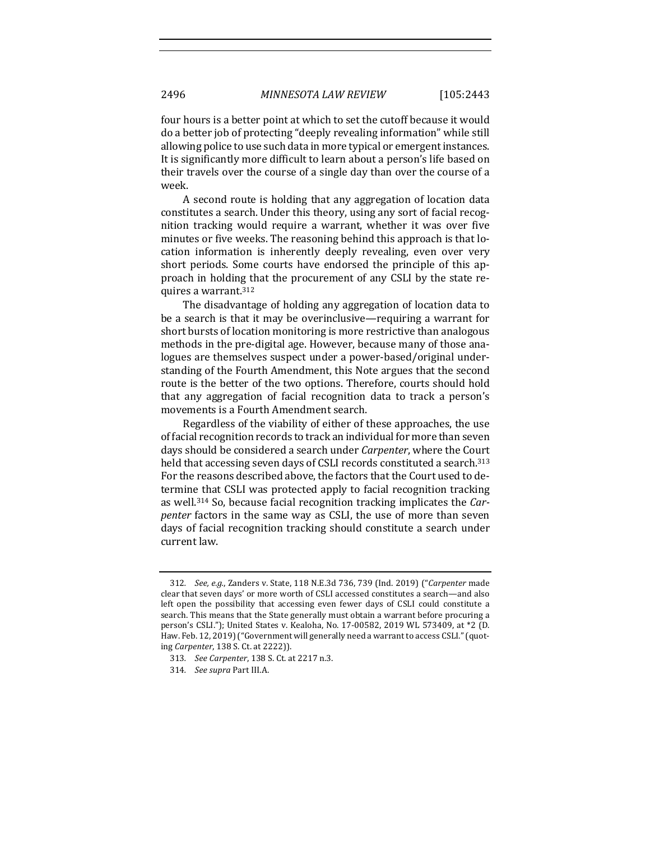four hours is a better point at which to set the cutoff because it would do a better job of protecting "deeply revealing information" while still allowing police to use such data in more typical or emergent instances. It is significantly more difficult to learn about a person's life based on their travels over the course of a single day than over the course of a week.

A second route is holding that any aggregation of location data constitutes a search. Under this theory, using any sort of facial recognition tracking would require a warrant, whether it was over five minutes or five weeks. The reasoning behind this approach is that location information is inherently deeply revealing, even over very short periods. Some courts have endorsed the principle of this approach in holding that the procurement of any CSLI by the state requires a warrant.312

The disadvantage of holding any aggregation of location data to be a search is that it may be overinclusive—requiring a warrant for short bursts of location monitoring is more restrictive than analogous methods in the pre-digital age. However, because many of those analogues are themselves suspect under a power-based/original understanding of the Fourth Amendment, this Note argues that the second route is the better of the two options. Therefore, courts should hold that any aggregation of facial recognition data to track a person's movements is a Fourth Amendment search.

Regardless of the viability of either of these approaches, the use of facial recognition records to track an individual for more than seven days should be considered a search under *Carpenter*, where the Court held that accessing seven days of CSLI records constituted a search.<sup>313</sup> For the reasons described above, the factors that the Court used to determine that CSLI was protected apply to facial recognition tracking as well.<sup>314</sup> So, because facial recognition tracking implicates the *Carpenter* factors in the same way as CSLI, the use of more than seven days of facial recognition tracking should constitute a search under current law.

<sup>312</sup>*. See, e.g.*, Zanders v. State, 118 N.E.3d 736, 739 (Ind. 2019) ("*Carpenter* made clear that seven days' or more worth of CSLI accessed constitutes a search—and also left open the possibility that accessing even fewer days of CSLI could constitute a search. This means that the State generally must obtain a warrant before procuring a person's CSLI."); United States v. Kealoha, No. 17-00582, 2019 WL 573409, at \*2 (D. Haw. Feb. 12, 2019) ("Government will generally need a warrant to access CSLI." (quoting *Carpenter*, 138 S. Ct. at 2222)).

<sup>313</sup>*. See Carpenter*, 138 S. Ct. at 2217 n.3.

<sup>314</sup>*. See supra* Part III.A.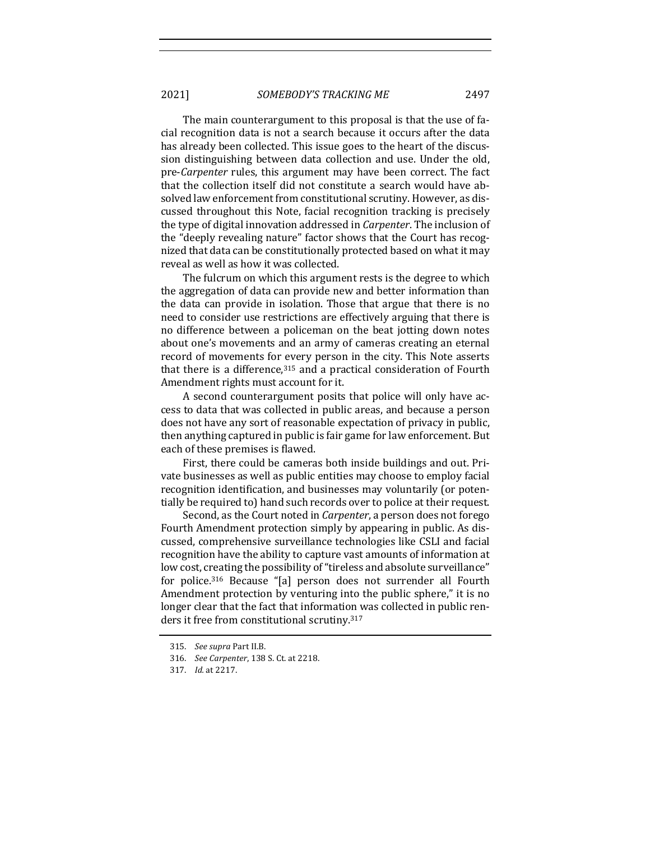The main counterargument to this proposal is that the use of facial recognition data is not a search because it occurs after the data has already been collected. This issue goes to the heart of the discussion distinguishing between data collection and use. Under the old, pre-*Carpenter* rules, this argument may have been correct. The fact that the collection itself did not constitute a search would have absolved law enforcement from constitutional scrutiny. However, as discussed throughout this Note, facial recognition tracking is precisely the type of digital innovation addressed in *Carpenter*. The inclusion of the "deeply revealing nature" factor shows that the Court has recognized that data can be constitutionally protected based on what it may reveal as well as how it was collected.

The fulcrum on which this argument rests is the degree to which the aggregation of data can provide new and better information than the data can provide in isolation. Those that argue that there is no need to consider use restrictions are effectively arguing that there is no difference between a policeman on the beat jotting down notes about one's movements and an army of cameras creating an eternal record of movements for every person in the city. This Note asserts that there is a difference, $315$  and a practical consideration of Fourth Amendment rights must account for it.

A second counterargument posits that police will only have access to data that was collected in public areas, and because a person does not have any sort of reasonable expectation of privacy in public, then anything captured in public is fair game for law enforcement. But each of these premises is flawed.

First, there could be cameras both inside buildings and out. Private businesses as well as public entities may choose to employ facial recognition identification, and businesses may voluntarily (or potentially be required to) hand such records over to police at their request.

Second, as the Court noted in *Carpenter*, a person does not forego Fourth Amendment protection simply by appearing in public. As discussed, comprehensive surveillance technologies like CSLI and facial recognition have the ability to capture vast amounts of information at low cost, creating the possibility of "tireless and absolute surveillance" for police.<sup>316</sup> Because "[a] person does not surrender all Fourth Amendment protection by venturing into the public sphere," it is no longer clear that the fact that information was collected in public renders it free from constitutional scrutiny.<sup>317</sup>

<sup>315.</sup> *See supra Part II.B.* 

<sup>316.</sup> *See Carpenter*, 138 S. Ct. at 2218.

<sup>317.</sup> *Id.* at 2217.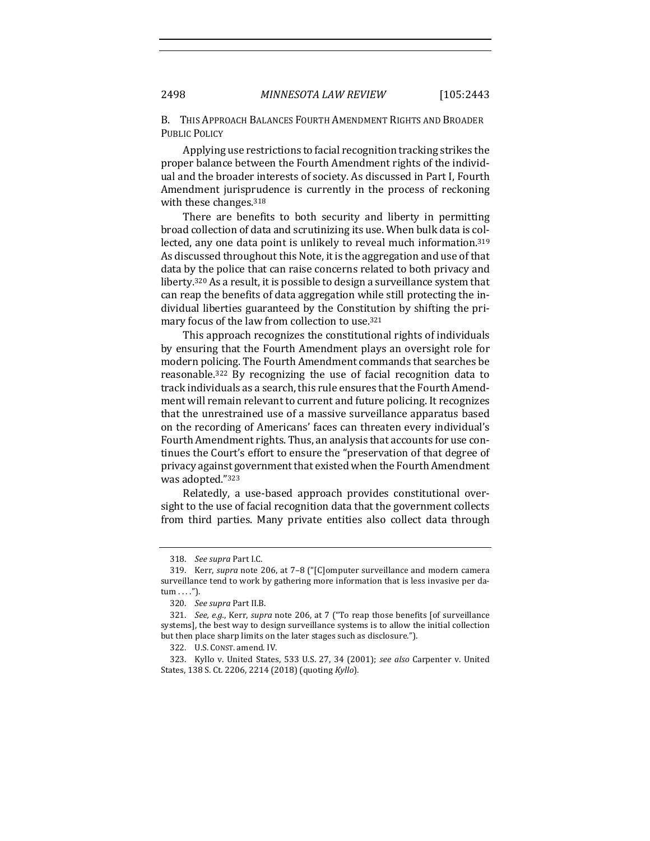B. THIS APPROACH BALANCES FOURTH AMENDMENT RIGHTS AND BROADER PUBLIC POLICY

Applying use restrictions to facial recognition tracking strikes the proper balance between the Fourth Amendment rights of the individual and the broader interests of society. As discussed in Part I, Fourth Amendment jurisprudence is currently in the process of reckoning with these changes. $318$ 

There are benefits to both security and liberty in permitting broad collection of data and scrutinizing its use. When bulk data is collected, any one data point is unlikely to reveal much information.<sup>319</sup> As discussed throughout this Note, it is the aggregation and use of that data by the police that can raise concerns related to both privacy and liberty.<sup>320</sup> As a result, it is possible to design a surveillance system that can reap the benefits of data aggregation while still protecting the individual liberties guaranteed by the Constitution by shifting the primary focus of the law from collection to use.<sup>321</sup>

This approach recognizes the constitutional rights of individuals by ensuring that the Fourth Amendment plays an oversight role for modern policing. The Fourth Amendment commands that searches be reasonable.<sup>322</sup> By recognizing the use of facial recognition data to track individuals as a search, this rule ensures that the Fourth Amendment will remain relevant to current and future policing. It recognizes that the unrestrained use of a massive surveillance apparatus based on the recording of Americans' faces can threaten every individual's Fourth Amendment rights. Thus, an analysis that accounts for use continues the Court's effort to ensure the "preservation of that degree of privacy against government that existed when the Fourth Amendment was adopted."323

Relatedly, a use-based approach provides constitutional oversight to the use of facial recognition data that the government collects from third parties. Many private entities also collect data through

<sup>318.</sup> *See supra Part I.C.* 

<sup>319.</sup> Kerr, *supra* note 206, at 7-8 ("[C]omputer surveillance and modern camera surveillance tend to work by gathering more information that is less invasive per datum . . . .").

<sup>320.</sup> *See supra Part II.B.* 

<sup>321.</sup> *See, e.g.*, Kerr, *supra* note 206, at 7 ("To reap those benefits [of surveillance systems], the best way to design surveillance systems is to allow the initial collection but then place sharp limits on the later stages such as disclosure.").

<sup>322.</sup> U.S. CONST. amend. IV.

<sup>323.</sup> Kyllo v. United States, 533 U.S. 27, 34 (2001); see also Carpenter v. United States, 138 S. Ct. 2206, 2214 (2018) (quoting *Kyllo*).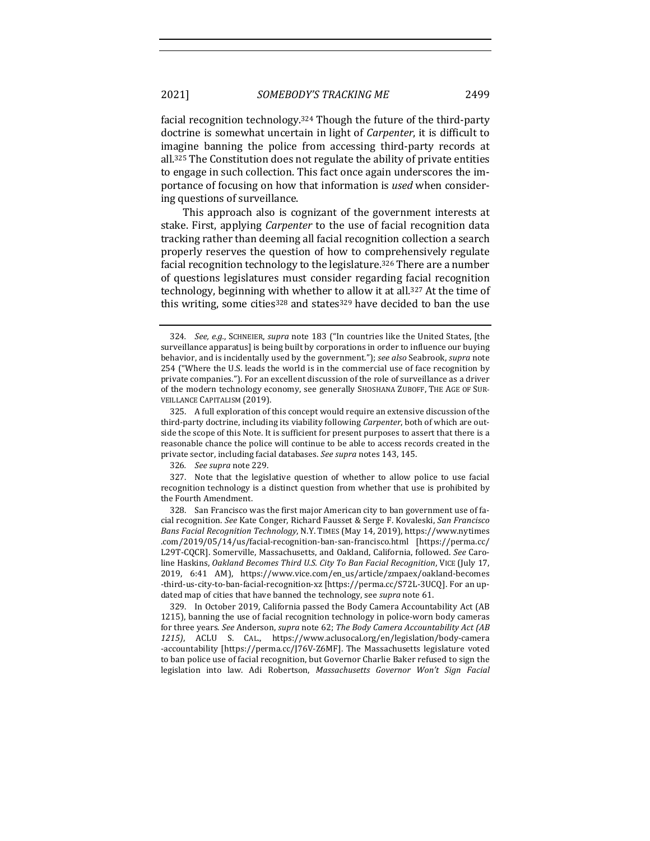facial recognition technology.<sup>324</sup> Though the future of the third-party doctrine is somewhat uncertain in light of *Carpenter*, it is difficult to imagine banning the police from accessing third-party records at all.<sup>325</sup> The Constitution does not regulate the ability of private entities to engage in such collection. This fact once again underscores the importance of focusing on how that information is *used* when considering questions of surveillance.

This approach also is cognizant of the government interests at stake. First, applying *Carpenter* to the use of facial recognition data tracking rather than deeming all facial recognition collection a search properly reserves the question of how to comprehensively regulate facial recognition technology to the legislature.<sup>326</sup> There are a number of questions legislatures must consider regarding facial recognition technology, beginning with whether to allow it at all.<sup>327</sup> At the time of this writing, some cities<sup>328</sup> and states<sup>329</sup> have decided to ban the use

<sup>324.</sup> *See, e.g.*, SCHNEIER, *supra* note 183 ("In countries like the United States, [the surveillance apparatus] is being built by corporations in order to influence our buying behavior, and is incidentally used by the government."); *see also* Seabrook, *supra* note 254 ("Where the U.S. leads the world is in the commercial use of face recognition by private companies."). For an excellent discussion of the role of surveillance as a driver of the modern technology economy, see generally SHOSHANA ZUBOFF, THE AGE OF SUR-VEILLANCE CAPITALISM (2019).

<sup>325.</sup> A full exploration of this concept would require an extensive discussion of the third-party doctrine, including its viability following *Carpenter*, both of which are outside the scope of this Note. It is sufficient for present purposes to assert that there is a reasonable chance the police will continue to be able to access records created in the private sector, including facial databases. See supra notes 143, 145.

<sup>326</sup>*. See supra* note 229.

<sup>327.</sup> Note that the legislative question of whether to allow police to use facial recognition technology is a distinct question from whether that use is prohibited by the Fourth Amendment.

<sup>328.</sup> San Francisco was the first major American city to ban government use of facial recognition. See Kate Conger, Richard Fausset & Serge F. Kovaleski, *San Francisco* Bans Facial Recognition Technology, N.Y. TIMES (May 14, 2019), https://www.nytimes .com/2019/05/14/us/facial-recognition-ban-san-francisco.html [https://perma.cc/ L29T-CQCR]. Somerville, Massachusetts, and Oakland, California, followed. See Caroline Haskins, Oakland Becomes Third U.S. City To Ban Facial Recognition, VICE (July 17, 2019, 6:41 AM), https://www.vice.com/en\_us/article/zmpaex/oakland-becomes -third-us-city-to-ban-facial-recognition-xz [https://perma.cc/S72L-3UCQ]. For an updated map of cities that have banned the technology, see *supra* note 61.

<sup>329.</sup> In October 2019, California passed the Body Camera Accountability Act (AB 1215), banning the use of facial recognition technology in police-worn body cameras for three years. See Anderson, *supra* note 62; *The Body Camera Accountability Act* (AB *1215)*, ACLU S. CAL., https://www.aclusocal.org/en/legislation/body-camera -accountability [https://perma.cc/J76V-Z6MF]. The Massachusetts legislature voted to ban police use of facial recognition, but Governor Charlie Baker refused to sign the legislation into law. Adi Robertson, *Massachusetts Governor Won't Sign Facial*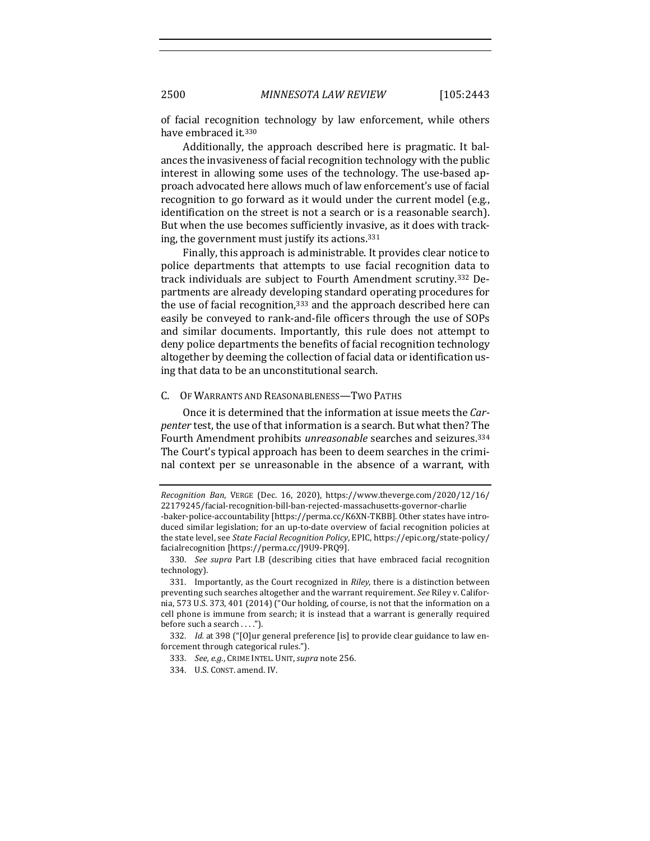of facial recognition technology by law enforcement, while others have embraced it.<sup>330</sup>

Additionally, the approach described here is pragmatic. It balances the invasiveness of facial recognition technology with the public interest in allowing some uses of the technology. The use-based approach advocated here allows much of law enforcement's use of facial recognition to go forward as it would under the current model (e.g., identification on the street is not a search or is a reasonable search). But when the use becomes sufficiently invasive, as it does with tracking, the government must justify its actions.<sup>331</sup>

Finally, this approach is administrable. It provides clear notice to police departments that attempts to use facial recognition data to track individuals are subject to Fourth Amendment scrutiny.<sup>332</sup> Departments are already developing standard operating procedures for the use of facial recognition, $333$  and the approach described here can easily be conveyed to rank-and-file officers through the use of SOPs and similar documents. Importantly, this rule does not attempt to deny police departments the benefits of facial recognition technology altogether by deeming the collection of facial data or identification using that data to be an unconstitutional search.

#### C. OF WARRANTS AND REASONABLENESS-TWO PATHS

Once it is determined that the information at issue meets the *Carpenter* test, the use of that information is a search. But what then? The Fourth Amendment prohibits *unreasonable* searches and seizures.<sup>334</sup> The Court's typical approach has been to deem searches in the criminal context per se unreasonable in the absence of a warrant, with

*Recognition Ban*, VERGE (Dec. 16, 2020), https://www.theverge.com/2020/12/16/ 22179245/facial-recognition-bill-ban-rejected-massachusetts-governor-charlie -baker-police-accountability [https://perma.cc/K6XN-TKBB]. Other states have introduced similar legislation; for an up-to-date overview of facial recognition policies at the state level, see *State Facial Recognition Policy*, EPIC, https://epic.org/state-policy/ facialrecognition [https://perma.cc/J9U9-PRQ9].

<sup>330.</sup> *See supra* Part I.B (describing cities that have embraced facial recognition technology).

<sup>331.</sup> Importantly, as the Court recognized in *Riley*, there is a distinction between preventing such searches altogether and the warrant requirement. See Riley v. California, 573 U.S. 373, 401 (2014) ("Our holding, of course, is not that the information on a cell phone is immune from search; it is instead that a warrant is generally required before such a search  $\dots$ ").

<sup>332.</sup> *Id.* at 398 ("[O]ur general preference [is] to provide clear guidance to law enforcement through categorical rules.").

<sup>333.</sup> See, e.g., CRIME INTEL. UNIT, supra note 256.

<sup>334.</sup> U.S. CONST. amend. IV.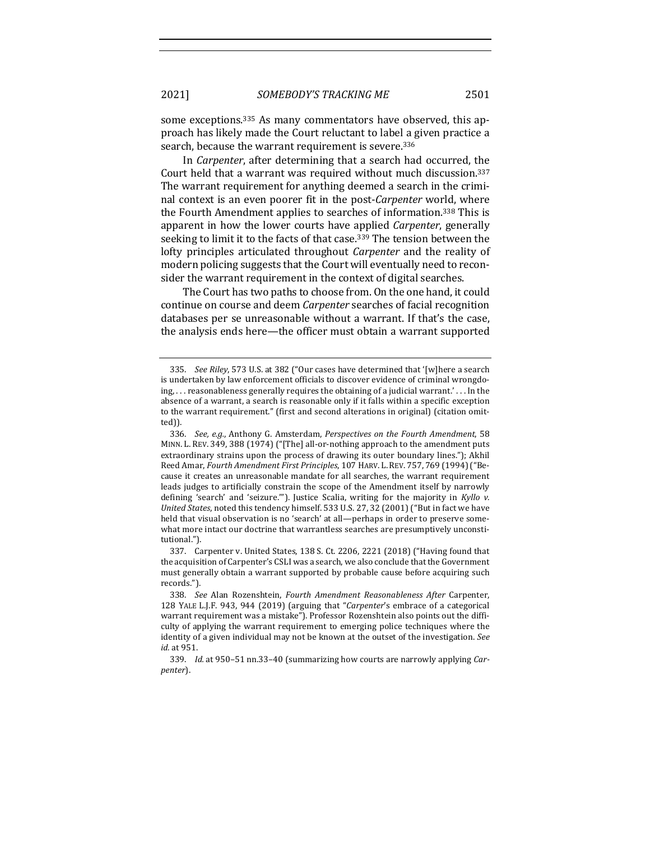some exceptions.<sup>335</sup> As many commentators have observed, this approach has likely made the Court reluctant to label a given practice a search, because the warrant requirement is severe.<sup>336</sup>

In *Carpenter*, after determining that a search had occurred, the Court held that a warrant was required without much discussion.<sup>337</sup> The warrant requirement for anything deemed a search in the criminal context is an even poorer fit in the post-*Carpenter* world, where the Fourth Amendment applies to searches of information.<sup>338</sup> This is apparent in how the lower courts have applied *Carpenter*, generally seeking to limit it to the facts of that case.<sup>339</sup> The tension between the lofty principles articulated throughout *Carpenter* and the reality of modern policing suggests that the Court will eventually need to reconsider the warrant requirement in the context of digital searches.

The Court has two paths to choose from. On the one hand, it could continue on course and deem *Carpenter* searches of facial recognition databases per se unreasonable without a warrant. If that's the case, the analysis ends here—the officer must obtain a warrant supported

337. Carpenter v. United States, 138 S. Ct. 2206, 2221 (2018) ("Having found that the acquisition of Carpenter's CSLI was a search, we also conclude that the Government must generally obtain a warrant supported by probable cause before acquiring such records.").

<sup>335.</sup> *See Riley*, 573 U.S. at 382 ("Our cases have determined that '[w]here a search is undertaken by law enforcement officials to discover evidence of criminal wrongdoing, ... reasonableness generally requires the obtaining of a judicial warrant.' ... In the absence of a warrant, a search is reasonable only if it falls within a specific exception to the warrant requirement." (first and second alterations in original) (citation omitted)).

<sup>336.</sup> *See, e.g.*, Anthony G. Amsterdam, *Perspectives on the Fourth Amendment*, 58 MINN. L. REV. 349, 388 (1974) ("[The] all-or-nothing approach to the amendment puts extraordinary strains upon the process of drawing its outer boundary lines."); Akhil Reed Amar, *Fourth Amendment First Principles*, 107 HARV. L. REV. 757, 769 (1994) ("Because it creates an unreasonable mandate for all searches, the warrant requirement leads judges to artificially constrain the scope of the Amendment itself by narrowly defining 'search' and 'seizure.""). Justice Scalia, writing for the majority in *Kyllo v.* United States, noted this tendency himself. 533 U.S. 27, 32 (2001) ("But in fact we have held that visual observation is no 'search' at all—perhaps in order to preserve somewhat more intact our doctrine that warrantless searches are presumptively unconstitutional.").

<sup>338.</sup> *See* Alan Rozenshtein, *Fourth Amendment Reasonableness After Carpenter,* 128 YALE L.J.F. 943, 944 (2019) (arguing that "*Carpenter's* embrace of a categorical warrant requirement was a mistake"). Professor Rozenshtein also points out the difficulty of applying the warrant requirement to emerging police techniques where the identity of a given individual may not be known at the outset of the investigation. See *id.* at 951.

<sup>339.</sup> *Id.* at 950-51 nn.33-40 (summarizing how courts are narrowly applying *Carpenter*).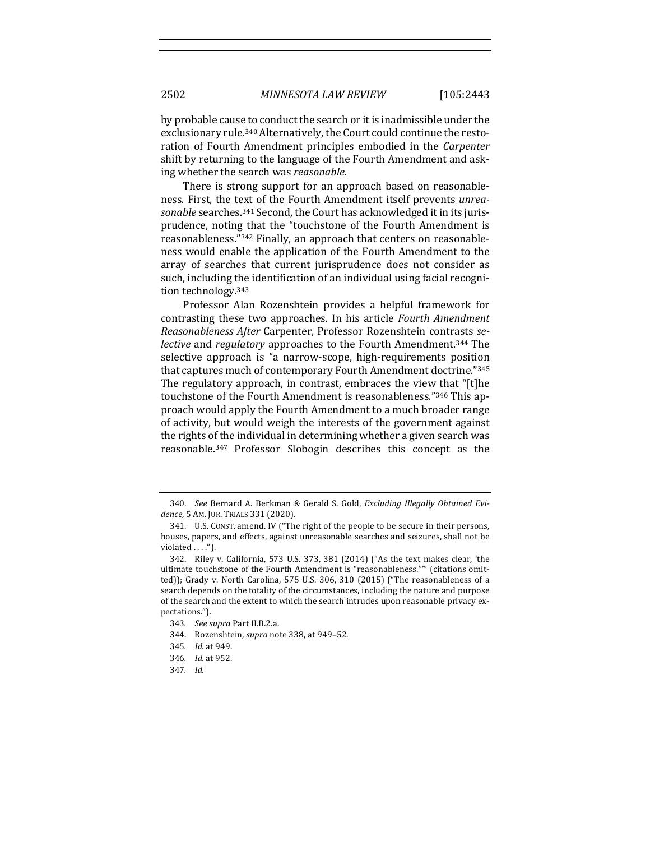by probable cause to conduct the search or it is inadmissible under the exclusionary rule.<sup>340</sup> Alternatively, the Court could continue the restoration of Fourth Amendment principles embodied in the *Carpenter* shift by returning to the language of the Fourth Amendment and asking whether the search was *reasonable*.

There is strong support for an approach based on reasonableness. First, the text of the Fourth Amendment itself prevents *unrea*sonable searches.<sup>341</sup> Second, the Court has acknowledged it in its jurisprudence, noting that the "touchstone of the Fourth Amendment is reasonableness."<sup>342</sup> Finally, an approach that centers on reasonableness would enable the application of the Fourth Amendment to the array of searches that current jurisprudence does not consider as such, including the identification of an individual using facial recognition technology<sup>343</sup>

Professor Alan Rozenshtein provides a helpful framework for contrasting these two approaches. In his article *Fourth Amendment Reasonableness After* Carpenter, Professor Rozenshtein contrasts *selective* and *regulatory* approaches to the Fourth Amendment.<sup>344</sup> The selective approach is "a narrow-scope, high-requirements position that captures much of contemporary Fourth Amendment doctrine."345 The regulatory approach, in contrast, embraces the view that "[t]he touchstone of the Fourth Amendment is reasonableness."346 This approach would apply the Fourth Amendment to a much broader range of activity, but would weigh the interests of the government against the rights of the individual in determining whether a given search was reasonable.<sup>347</sup> Professor Slobogin describes this concept as the

<sup>340.</sup> See Bernard A. Berkman & Gerald S. Gold, *Excluding Illegally Obtained Evi*dence, 5 AM. JUR. TRIALS 331 (2020).

<sup>341.</sup> U.S. CONST. amend. IV ("The right of the people to be secure in their persons, houses, papers, and effects, against unreasonable searches and seizures, shall not be violated  $\dots$ .").

<sup>342.</sup> Riley v. California, 573 U.S. 373, 381  $(2014)$  ("As the text makes clear, 'the ultimate touchstone of the Fourth Amendment is "reasonableness."" (citations omitted)); Grady v. North Carolina,  $575$  U.S.  $306$ ,  $310$   $(2015)$  ("The reasonableness of a search depends on the totality of the circumstances, including the nature and purpose of the search and the extent to which the search intrudes upon reasonable privacy expectations.").

<sup>343</sup>*. See supra* Part II.B.2.a.

<sup>344.</sup> Rozenshtein, *supra* note 338, at 949-52.

<sup>345</sup>*. Id.* at 949.

<sup>346</sup>*. Id.* at 952.

<sup>347</sup>*. Id.*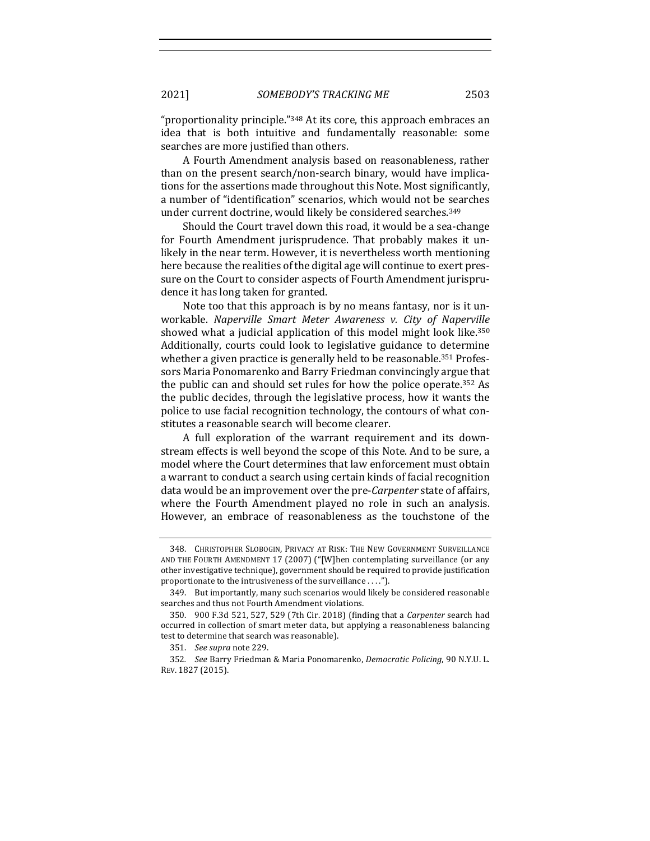2021] *SOMEBODY'S TRACKING ME* 2503

"proportionality principle." $348$  At its core, this approach embraces an idea that is both intuitive and fundamentally reasonable: some searches are more justified than others.

A Fourth Amendment analysis based on reasonableness, rather than on the present search/non-search binary, would have implications for the assertions made throughout this Note. Most significantly, a number of "identification" scenarios, which would not be searches under current doctrine, would likely be considered searches.<sup>349</sup>

Should the Court travel down this road, it would be a sea-change for Fourth Amendment jurisprudence. That probably makes it unlikely in the near term. However, it is nevertheless worth mentioning here because the realities of the digital age will continue to exert pressure on the Court to consider aspects of Fourth Amendment jurisprudence it has long taken for granted.

Note too that this approach is by no means fantasy, nor is it unworkable. *Naperville Smart Meter Awareness v. City of Naperville* showed what a judicial application of this model might look like. $350$ Additionally, courts could look to legislative guidance to determine whether a given practice is generally held to be reasonable.<sup>351</sup> Professors Maria Ponomarenko and Barry Friedman convincingly argue that the public can and should set rules for how the police operate.<sup>352</sup> As the public decides, through the legislative process, how it wants the police to use facial recognition technology, the contours of what constitutes a reasonable search will become clearer.

A full exploration of the warrant requirement and its downstream effects is well beyond the scope of this Note. And to be sure, a model where the Court determines that law enforcement must obtain a warrant to conduct a search using certain kinds of facial recognition data would be an improvement over the pre-*Carpenter* state of affairs, where the Fourth Amendment played no role in such an analysis. However, an embrace of reasonableness as the touchstone of the

<sup>348.</sup> CHRISTOPHER SLOBOGIN, PRIVACY AT RISK: THE NEW GOVERNMENT SURVEILLANCE AND THE FOURTH AMENDMENT 17 (2007) ("[W]hen contemplating surveillance (or any other investigative technique), government should be required to provide justification proportionate to the intrusiveness of the surveillance  $\dots$ ").

<sup>349.</sup> But importantly, many such scenarios would likely be considered reasonable searches and thus not Fourth Amendment violations.

<sup>350.</sup> 900 F.3d 521, 527, 529 (7th Cir. 2018) (finding that a *Carpenter* search had occurred in collection of smart meter data, but applying a reasonableness balancing test to determine that search was reasonable).

<sup>351.</sup> *See supra* note 229. 

<sup>352</sup>*. See* Barry Friedman & Maria Ponomarenko, *Democratic Policing*, 90 N.Y.U. L. REV. 1827 (2015).